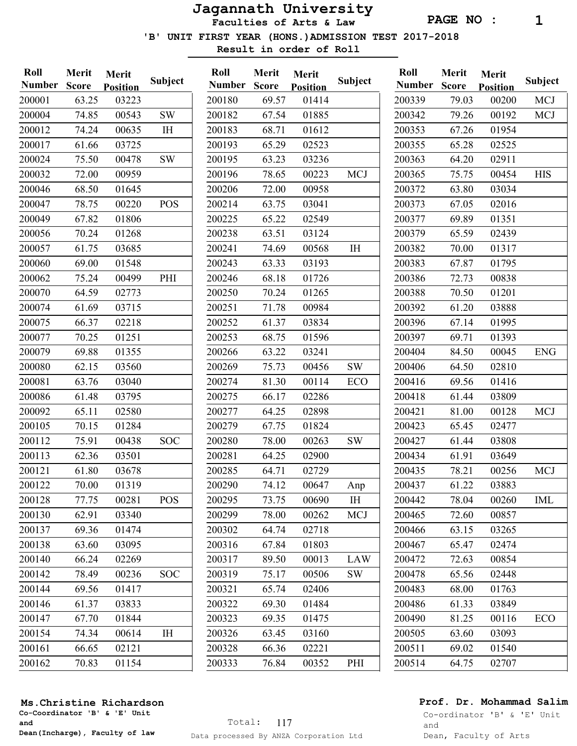Faculties of Arts & Law

PAGE NO : 1

'B' UNIT FIRST YEAR (HONS.)ADMISSION TEST 2017-2018

Result in order of Roll

| Roll          | Merit | Merit           | Subject    |
|---------------|-------|-----------------|------------|
| <b>Number</b> | Score | <b>Position</b> |            |
| 200001        | 63.25 | 03223           |            |
| 200004        | 74.85 | 00543           | <b>SW</b>  |
| 200012        | 74.24 | 00635           | IH         |
| 200017        | 61.66 | 03725           |            |
| 200024        | 75.50 | 00478           | <b>SW</b>  |
| 200032        | 72.00 | 00959           |            |
| 200046        | 68.50 | 01645           |            |
| 200047        | 78.75 | 00220           | <b>POS</b> |
| 200049        | 67.82 | 01806           |            |
| 200056        | 70.24 | 01268           |            |
| 200057        | 61.75 | 03685           |            |
| 200060        | 69.00 | 01548           |            |
| 200062        | 75.24 | 00499           | PHI        |
| 200070        | 64.59 | 02773           |            |
| 200074        | 61.69 | 03715           |            |
| 200075        | 66.37 | 02218           |            |
| 200077        | 70.25 | 01251           |            |
| 200079        | 69.88 | 01355           |            |
| 200080        | 62.15 | 03560           |            |
| 200081        | 63.76 | 03040           |            |
| 200086        | 61.48 | 03795           |            |
| 200092        | 65.11 | 02580           |            |
| 200105        | 70.15 | 01284           |            |
| 200112        | 75.91 | 00438           | SOC        |
| 200113        | 62.36 | 03501           |            |
| 200121        | 61.80 | 03678           |            |
| 200122        | 70.00 | 01319           |            |
| 200128        | 77.75 | 00281           | POS        |
| 200130        | 62.91 | 03340           |            |
| 200137        | 69.36 | 01474           |            |
| 200138        | 63.60 | 03095           |            |
| 200140        | 66.24 | 02269           |            |
| 200142        | 78.49 | 00236           | <b>SOC</b> |
| 200144        | 69.56 | 01417           |            |
| 200146        | 61.37 | 03833           |            |
| 200147        | 67.70 | 01844           |            |
| 200154        | 74.34 | 00614           | ΙH         |
| 200161        | 66.65 | 02121           |            |
| 200162        | 70.83 | 01154           |            |

| Number<br><b>Score</b><br><b>Position</b><br>69.57<br>01414<br>67.54<br>01885<br>68.71<br>01612<br>65.29<br>02523<br>63.23<br>03236<br><b>MCJ</b><br>78.65<br>00223<br>72.00<br>00958<br>63.75<br>03041<br>65.22<br>02549<br>63.51<br>03124<br>74.69<br>00568<br>IH<br>63.33<br>03193<br>68.18<br>01726<br>70.24<br>01265<br>71.78<br>00984<br>61.37<br>03834<br>68.75<br>01596<br>63.22<br>03241<br>00456<br>SW<br>75.73<br>81.30<br>ECO<br>00114<br>02286<br>66.17<br>64.25<br>02898<br>67.75<br>01824<br>SW<br>78.00<br>00263<br>64.25<br>02900<br>64.71<br>02729<br>74.12<br>00647<br>Anp<br>73.75<br>00690<br>I <sub>H</sub><br>78.00<br>00262<br>MCJ<br>64.74<br>02718<br>67.84<br>01803<br><b>LAW</b><br>89.50<br>00013<br>75.17<br>00506<br><b>SW</b><br>65.74<br>02406<br>69.30<br>01484<br>69.35<br>01475<br>63.45<br>03160<br>66.36<br>02221<br>76.84<br>00352<br>PHI | Roll   | Merit | Merit |         |
|----------------------------------------------------------------------------------------------------------------------------------------------------------------------------------------------------------------------------------------------------------------------------------------------------------------------------------------------------------------------------------------------------------------------------------------------------------------------------------------------------------------------------------------------------------------------------------------------------------------------------------------------------------------------------------------------------------------------------------------------------------------------------------------------------------------------------------------------------------------------------------|--------|-------|-------|---------|
|                                                                                                                                                                                                                                                                                                                                                                                                                                                                                                                                                                                                                                                                                                                                                                                                                                                                                  |        |       |       | Subject |
|                                                                                                                                                                                                                                                                                                                                                                                                                                                                                                                                                                                                                                                                                                                                                                                                                                                                                  | 200180 |       |       |         |
|                                                                                                                                                                                                                                                                                                                                                                                                                                                                                                                                                                                                                                                                                                                                                                                                                                                                                  | 200182 |       |       |         |
|                                                                                                                                                                                                                                                                                                                                                                                                                                                                                                                                                                                                                                                                                                                                                                                                                                                                                  | 200183 |       |       |         |
|                                                                                                                                                                                                                                                                                                                                                                                                                                                                                                                                                                                                                                                                                                                                                                                                                                                                                  | 200193 |       |       |         |
|                                                                                                                                                                                                                                                                                                                                                                                                                                                                                                                                                                                                                                                                                                                                                                                                                                                                                  | 200195 |       |       |         |
|                                                                                                                                                                                                                                                                                                                                                                                                                                                                                                                                                                                                                                                                                                                                                                                                                                                                                  | 200196 |       |       |         |
|                                                                                                                                                                                                                                                                                                                                                                                                                                                                                                                                                                                                                                                                                                                                                                                                                                                                                  | 200206 |       |       |         |
|                                                                                                                                                                                                                                                                                                                                                                                                                                                                                                                                                                                                                                                                                                                                                                                                                                                                                  | 200214 |       |       |         |
|                                                                                                                                                                                                                                                                                                                                                                                                                                                                                                                                                                                                                                                                                                                                                                                                                                                                                  | 200225 |       |       |         |
|                                                                                                                                                                                                                                                                                                                                                                                                                                                                                                                                                                                                                                                                                                                                                                                                                                                                                  | 200238 |       |       |         |
|                                                                                                                                                                                                                                                                                                                                                                                                                                                                                                                                                                                                                                                                                                                                                                                                                                                                                  | 200241 |       |       |         |
|                                                                                                                                                                                                                                                                                                                                                                                                                                                                                                                                                                                                                                                                                                                                                                                                                                                                                  | 200243 |       |       |         |
|                                                                                                                                                                                                                                                                                                                                                                                                                                                                                                                                                                                                                                                                                                                                                                                                                                                                                  | 200246 |       |       |         |
|                                                                                                                                                                                                                                                                                                                                                                                                                                                                                                                                                                                                                                                                                                                                                                                                                                                                                  | 200250 |       |       |         |
|                                                                                                                                                                                                                                                                                                                                                                                                                                                                                                                                                                                                                                                                                                                                                                                                                                                                                  | 200251 |       |       |         |
|                                                                                                                                                                                                                                                                                                                                                                                                                                                                                                                                                                                                                                                                                                                                                                                                                                                                                  | 200252 |       |       |         |
|                                                                                                                                                                                                                                                                                                                                                                                                                                                                                                                                                                                                                                                                                                                                                                                                                                                                                  | 200253 |       |       |         |
|                                                                                                                                                                                                                                                                                                                                                                                                                                                                                                                                                                                                                                                                                                                                                                                                                                                                                  | 200266 |       |       |         |
|                                                                                                                                                                                                                                                                                                                                                                                                                                                                                                                                                                                                                                                                                                                                                                                                                                                                                  | 200269 |       |       |         |
|                                                                                                                                                                                                                                                                                                                                                                                                                                                                                                                                                                                                                                                                                                                                                                                                                                                                                  | 200274 |       |       |         |
|                                                                                                                                                                                                                                                                                                                                                                                                                                                                                                                                                                                                                                                                                                                                                                                                                                                                                  | 200275 |       |       |         |
|                                                                                                                                                                                                                                                                                                                                                                                                                                                                                                                                                                                                                                                                                                                                                                                                                                                                                  | 200277 |       |       |         |
|                                                                                                                                                                                                                                                                                                                                                                                                                                                                                                                                                                                                                                                                                                                                                                                                                                                                                  | 200279 |       |       |         |
|                                                                                                                                                                                                                                                                                                                                                                                                                                                                                                                                                                                                                                                                                                                                                                                                                                                                                  | 200280 |       |       |         |
|                                                                                                                                                                                                                                                                                                                                                                                                                                                                                                                                                                                                                                                                                                                                                                                                                                                                                  | 200281 |       |       |         |
|                                                                                                                                                                                                                                                                                                                                                                                                                                                                                                                                                                                                                                                                                                                                                                                                                                                                                  | 200285 |       |       |         |
|                                                                                                                                                                                                                                                                                                                                                                                                                                                                                                                                                                                                                                                                                                                                                                                                                                                                                  | 200290 |       |       |         |
|                                                                                                                                                                                                                                                                                                                                                                                                                                                                                                                                                                                                                                                                                                                                                                                                                                                                                  | 200295 |       |       |         |
|                                                                                                                                                                                                                                                                                                                                                                                                                                                                                                                                                                                                                                                                                                                                                                                                                                                                                  | 200299 |       |       |         |
|                                                                                                                                                                                                                                                                                                                                                                                                                                                                                                                                                                                                                                                                                                                                                                                                                                                                                  | 200302 |       |       |         |
|                                                                                                                                                                                                                                                                                                                                                                                                                                                                                                                                                                                                                                                                                                                                                                                                                                                                                  | 200316 |       |       |         |
|                                                                                                                                                                                                                                                                                                                                                                                                                                                                                                                                                                                                                                                                                                                                                                                                                                                                                  | 200317 |       |       |         |
|                                                                                                                                                                                                                                                                                                                                                                                                                                                                                                                                                                                                                                                                                                                                                                                                                                                                                  | 200319 |       |       |         |
|                                                                                                                                                                                                                                                                                                                                                                                                                                                                                                                                                                                                                                                                                                                                                                                                                                                                                  | 200321 |       |       |         |
|                                                                                                                                                                                                                                                                                                                                                                                                                                                                                                                                                                                                                                                                                                                                                                                                                                                                                  | 200322 |       |       |         |
|                                                                                                                                                                                                                                                                                                                                                                                                                                                                                                                                                                                                                                                                                                                                                                                                                                                                                  | 200323 |       |       |         |
|                                                                                                                                                                                                                                                                                                                                                                                                                                                                                                                                                                                                                                                                                                                                                                                                                                                                                  | 200326 |       |       |         |
|                                                                                                                                                                                                                                                                                                                                                                                                                                                                                                                                                                                                                                                                                                                                                                                                                                                                                  | 200328 |       |       |         |
|                                                                                                                                                                                                                                                                                                                                                                                                                                                                                                                                                                                                                                                                                                                                                                                                                                                                                  | 200333 |       |       |         |

| Roll          | Merit | Merit           |            |
|---------------|-------|-----------------|------------|
| <b>Number</b> | Score | <b>Position</b> | Subject    |
| 200339        | 79.03 | 00200           | <b>MCJ</b> |
| 200342        | 79.26 | 00192           | <b>MCJ</b> |
| 200353        | 67.26 | 01954           |            |
| 200355        | 65.28 | 02525           |            |
| 200363        | 64.20 | 02911           |            |
| 200365        | 75.75 | 00454           | <b>HIS</b> |
| 200372        | 63.80 | 03034           |            |
| 200373        | 67.05 | 02016           |            |
| 200377        | 69.89 | 01351           |            |
| 200379        | 65.59 | 02439           |            |
| 200382        | 70.00 | 01317           |            |
| 200383        | 67.87 | 01795           |            |
| 200386        | 72.73 | 00838           |            |
| 200388        | 70.50 | 01201           |            |
| 200392        | 61.20 | 03888           |            |
| 200396        | 67.14 | 01995           |            |
| 200397        | 69.71 | 01393           |            |
| 200404        | 84.50 | 00045           | <b>ENG</b> |
| 200406        | 64.50 | 02810           |            |
| 200416        | 69.56 | 01416           |            |
| 200418        | 61.44 | 03809           |            |
| 200421        | 81.00 | 00128           | <b>MCJ</b> |
| 200423        | 65.45 | 02477           |            |
| 200427        | 61.44 | 03808           |            |
| 200434        | 61.91 | 03649           |            |
| 200435        | 78.21 | 00256           | <b>MCJ</b> |
| 200437        | 61.22 | 03883           |            |
| 200442        | 78.04 | 00260           | <b>IML</b> |
| 200465        | 72.60 | 00857           |            |
| 200466        | 63.15 | 03265           |            |
| 200467        | 65.47 | 02474           |            |
| 200472        | 72.63 | 00854           |            |
| 200478        | 65.56 | 02448           |            |
| 200483        | 68.00 | 01763           |            |
| 200486        | 61.33 | 03849           |            |
| 200490        | 81.25 | 00116           | <b>ECO</b> |
| 200505        | 63.60 | 03093           |            |
| 200511        | 69.02 | 01540           |            |
| 200514        | 64.75 | 02707           |            |
|               |       |                 |            |

#### Ms.Christine Richardson

Co-Coordinator 'B' & 'E' Unit and Dean(Incharge), Faculty of law

### Prof. Dr. Mohammad Salim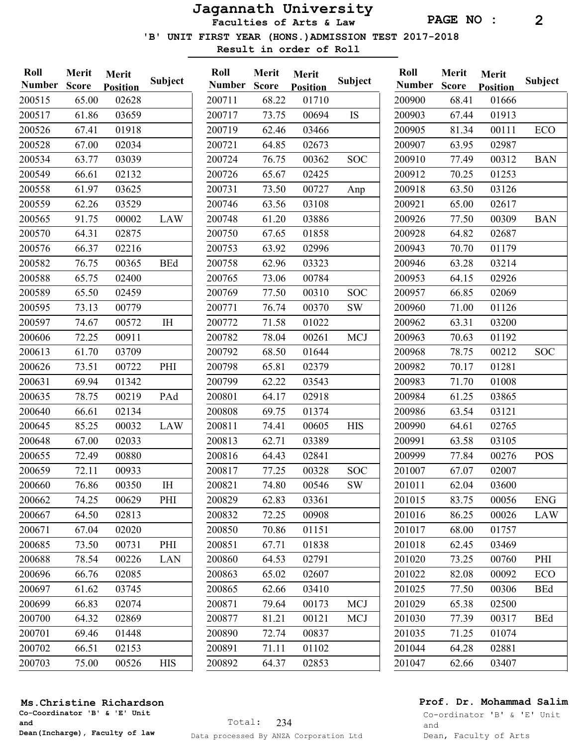PAGE NO : 2

'B' UNIT FIRST YEAR (HONS.)ADMISSION TEST 2017-2018

01710

03466 02673

02425

01022

03389 02841

00694 IS

00362 SOC

00727 Anp

00310 SOC 00370 SW

00261 MCJ

00605 HIS

00328 SOC 00546 SW

00173 MCJ 00121 MCJ

00837 01102 02853

Result in order of Roll

| Roll          | Merit        | Merit           |                | Roll          | Merit        | Merit           |
|---------------|--------------|-----------------|----------------|---------------|--------------|-----------------|
| <b>Number</b> | <b>Score</b> | <b>Position</b> | <b>Subject</b> | <b>Number</b> | <b>Score</b> | <b>Position</b> |
| 200515        | 65.00        | 02628           |                | 200711        | 68.22        | 01710           |
| 200517        | 61.86        | 03659           |                | 200717        | 73.75        | 00694           |
| 200526        | 67.41        | 01918           |                | 200719        | 62.46        | 03466           |
| 200528        | 67.00        | 02034           |                | 200721        | 64.85        | 02673           |
| 200534        | 63.77        | 03039           |                | 200724        | 76.75        | 00362           |
| 200549        | 66.61        | 02132           |                | 200726        | 65.67        | 02425           |
| 200558        | 61.97        | 03625           |                | 200731        | 73.50        | 00727           |
| 200559        | 62.26        | 03529           |                | 200746        | 63.56        | 03108           |
| 200565        | 91.75        | 00002           | <b>LAW</b>     | 200748        | 61.20        | 03886           |
| 200570        | 64.31        | 02875           |                | 200750        | 67.65        | 01858           |
| 200576        | 66.37        | 02216           |                | 200753        | 63.92        | 02996           |
| 200582        | 76.75        | 00365           | <b>BEd</b>     | 200758        | 62.96        | 03323           |
| 200588        | 65.75        | 02400           |                | 200765        | 73.06        | 00784           |
| 200589        | 65.50        | 02459           |                | 200769        | 77.50        | 00310           |
| 200595        | 73.13        | 00779           |                | 200771        | 76.74        | 00370           |
| 200597        | 74.67        | 00572           | IH             | 200772        | 71.58        | 01022           |
| 200606        | 72.25        | 00911           |                | 200782        | 78.04        | 00261           |
| 200613        | 61.70        | 03709           |                | 200792        | 68.50        | 01644           |
| 200626        | 73.51        | 00722           | PHI            | 200798        | 65.81        | 02379           |
| 200631        | 69.94        | 01342           |                | 200799        | 62.22        | 03543           |
| 200635        | 78.75        | 00219           | PAd            | 200801        | 64.17        | 02918           |
| 200640        | 66.61        | 02134           |                | 200808        | 69.75        | 01374           |
| 200645        | 85.25        | 00032           | LAW            | 200811        | 74.41        | 00605           |
| 200648        | 67.00        | 02033           |                | 200813        | 62.71        | 03389           |
| 200655        | 72.49        | 00880           |                | 200816        | 64.43        | 02841           |
| 200659        | 72.11        | 00933           |                | 200817        | 77.25        | 00328           |
| 200660        | 76.86        | 00350           | ΙH             | 200821        | 74.80        | 00546           |
| 200662        | 74.25        | 00629           | PHI            | 200829        | 62.83        | 03361           |
| 200667        | 64.50        | 02813           |                | 200832        | 72.25        | 00908           |
| 200671        | 67.04        | 02020           |                | 200850        | 70.86        | 01151           |
| 200685        | 73.50        | 00731           | PHI            | 200851        | 67.71        | 01838           |
| 200688        | 78.54        | 00226           | <b>LAN</b>     | 200860        | 64.53        | 02791           |
| 200696        | 66.76        | 02085           |                | 200863        | 65.02        | 02607           |
| 200697        | 61.62        | 03745           |                | 200865        | 62.66        | 03410           |
| 200699        | 66.83        | 02074           |                | 200871        | 79.64        | 00173           |
| 200700        | 64.32        | 02869           |                | 200877        | 81.21        | 00121           |
| 200701        | 69.46        | 01448           |                | 200890        | 72.74        | 00837           |
| 200702        | 66.51        | 02153           |                | 200891        | 71.11        | 01102           |
| 200703        | 75.00        | 00526           | <b>HIS</b>     | 200892        | 64.37        | 02853           |
|               |              |                 |                |               |              |                 |

|            | Roll   | Merit        | Merit           |            |
|------------|--------|--------------|-----------------|------------|
| Subject    | Number | <b>Score</b> | <b>Position</b> | Subject    |
|            | 200900 | 68.41        | 01666           |            |
| IS         | 200903 | 67.44        | 01913           |            |
|            | 200905 | 81.34        | 00111           | <b>ECO</b> |
|            | 200907 | 63.95        | 02987           |            |
| <b>SOC</b> | 200910 | 77.49        | 00312           | <b>BAN</b> |
|            | 200912 | 70.25        | 01253           |            |
| Anp        | 200918 | 63.50        | 03126           |            |
|            | 200921 | 65.00        | 02617           |            |
|            | 200926 | 77.50        | 00309           | <b>BAN</b> |
|            | 200928 | 64.82        | 02687           |            |
|            | 200943 | 70.70        | 01179           |            |
|            | 200946 | 63.28        | 03214           |            |
|            | 200953 | 64.15        | 02926           |            |
| <b>SOC</b> | 200957 | 66.85        | 02069           |            |
| <b>SW</b>  | 200960 | 71.00        | 01126           |            |
|            | 200962 | 63.31        | 03200           |            |
| <b>MCJ</b> | 200963 | 70.63        | 01192           |            |
|            | 200968 | 78.75        | 00212           | <b>SOC</b> |
|            | 200982 | 70.17        | 01281           |            |
|            | 200983 | 71.70        | 01008           |            |
|            | 200984 | 61.25        | 03865           |            |
|            | 200986 | 63.54        | 03121           |            |
| <b>HIS</b> | 200990 | 64.61        | 02765           |            |
|            | 200991 | 63.58        | 03105           |            |
|            | 200999 | 77.84        | 00276           | <b>POS</b> |
| <b>SOC</b> | 201007 | 67.07        | 02007           |            |
| <b>SW</b>  | 201011 | 62.04        | 03600           |            |
|            | 201015 | 83.75        | 00056           | <b>ENG</b> |
|            | 201016 | 86.25        | 00026           | <b>LAW</b> |
|            | 201017 | 68.00        | 01757           |            |
|            | 201018 | 62.45        | 03469           |            |
|            | 201020 | 73.25        | 00760           | PHI        |
|            | 201022 | 82.08        | 00092           | ECO        |
|            | 201025 | 77.50        | 00306           | <b>BEd</b> |
| <b>MCJ</b> | 201029 | 65.38        | 02500           |            |
| <b>MCJ</b> | 201030 | 77.39        | 00317           | <b>BEd</b> |
|            | 201035 | 71.25        | 01074           |            |
|            | 201044 | 64.28        | 02881           |            |
|            | 201047 | 62.66        | 03407           |            |
|            |        |              |                 |            |

#### Ms.Christine Richardson

Co-Coordinator 'B' & 'E' Unit and Dean(Incharge), Faculty of law

### Prof. Dr. Mohammad Salim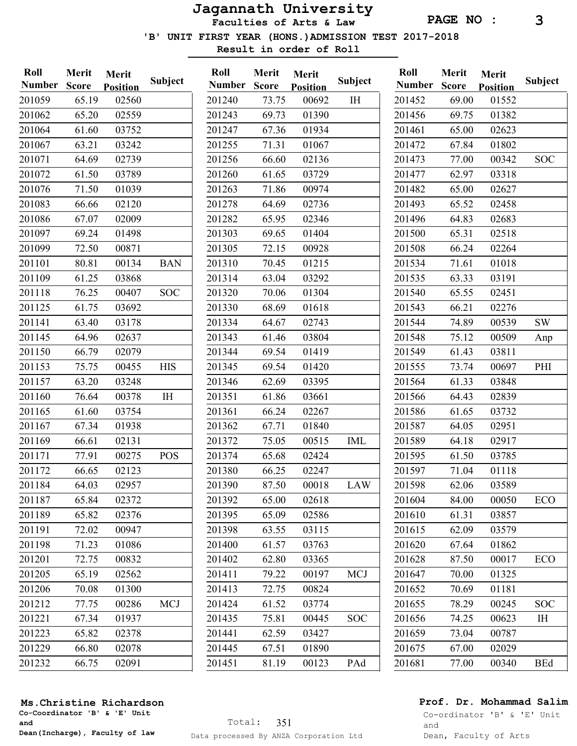PAGE NO : 3

'B' UNIT FIRST YEAR (HONS.)ADMISSION TEST 2017-2018

Result in order of Roll

| Roll<br><b>Number</b> | Merit<br><b>Score</b> | Merit<br><b>Position</b> | Subject    | Roll<br><b>Number</b> | Merit<br><b>Score</b> | Merit<br><b>Position</b> | <b>Subject</b> | Roll<br><b>Number</b> | Merit<br><b>Score</b> | Merit<br><b>Position</b> | <b>Subject</b> |
|-----------------------|-----------------------|--------------------------|------------|-----------------------|-----------------------|--------------------------|----------------|-----------------------|-----------------------|--------------------------|----------------|
| 201059                | 65.19                 | 02560                    |            | 201240                | 73.75                 | 00692                    | $\rm I \rm H$  | 201452                | 69.00                 | 01552                    |                |
| 201062                | 65.20                 | 02559                    |            | 201243                | 69.73                 | 01390                    |                | 201456                | 69.75                 | 01382                    |                |
| 201064                | 61.60                 | 03752                    |            | 201247                | 67.36                 | 01934                    |                | 201461                | 65.00                 | 02623                    |                |
| 201067                | 63.21                 | 03242                    |            | 201255                | 71.31                 | 01067                    |                | 201472                | 67.84                 | 01802                    |                |
| 201071                | 64.69                 | 02739                    |            | 201256                | 66.60                 | 02136                    |                | 201473                | 77.00                 | 00342                    | <b>SOC</b>     |
| 201072                | 61.50                 | 03789                    |            | 201260                | 61.65                 | 03729                    |                | 201477                | 62.97                 | 03318                    |                |
| 201076                | 71.50                 | 01039                    |            | 201263                | 71.86                 | 00974                    |                | 201482                | 65.00                 | 02627                    |                |
| 201083                | 66.66                 | 02120                    |            | 201278                | 64.69                 | 02736                    |                | 201493                | 65.52                 | 02458                    |                |
| 201086                | 67.07                 | 02009                    |            | 201282                | 65.95                 | 02346                    |                | 201496                | 64.83                 | 02683                    |                |
| 201097                | 69.24                 | 01498                    |            | 201303                | 69.65                 | 01404                    |                | 201500                | 65.31                 | 02518                    |                |
| 201099                | 72.50                 | 00871                    |            | 201305                | 72.15                 | 00928                    |                | 201508                | 66.24                 | 02264                    |                |
| 201101                | 80.81                 | 00134                    | <b>BAN</b> | 201310                | 70.45                 | 01215                    |                | 201534                | 71.61                 | 01018                    |                |
| 201109                | 61.25                 | 03868                    |            | 201314                | 63.04                 | 03292                    |                | 201535                | 63.33                 | 03191                    |                |
| 201118                | 76.25                 | 00407                    | <b>SOC</b> | 201320                | 70.06                 | 01304                    |                | 201540                | 65.55                 | 02451                    |                |
| 201125                | 61.75                 | 03692                    |            | 201330                | 68.69                 | 01618                    |                | 201543                | 66.21                 | 02276                    |                |
| 201141                | 63.40                 | 03178                    |            | 201334                | 64.67                 | 02743                    |                | 201544                | 74.89                 | 00539                    | <b>SW</b>      |
| 201145                | 64.96                 | 02637                    |            | 201343                | 61.46                 | 03804                    |                | 201548                | 75.12                 | 00509                    | Anp            |
| 201150                | 66.79                 | 02079                    |            | 201344                | 69.54                 | 01419                    |                | 201549                | 61.43                 | 03811                    |                |
| 201153                | 75.75                 | 00455                    | <b>HIS</b> | 201345                | 69.54                 | 01420                    |                | 201555                | 73.74                 | 00697                    | PHI            |
| 201157                | 63.20                 | 03248                    |            | 201346                | 62.69                 | 03395                    |                | 201564                | 61.33                 | 03848                    |                |
| 201160                | 76.64                 | 00378                    | $I\!H$     | 201351                | 61.86                 | 03661                    |                | 201566                | 64.43                 | 02839                    |                |
| 201165                | 61.60                 | 03754                    |            | 201361                | 66.24                 | 02267                    |                | 201586                | 61.65                 | 03732                    |                |
| 201167                | 67.34                 | 01938                    |            | 201362                | 67.71                 | 01840                    |                | 201587                | 64.05                 | 02951                    |                |
| 201169                | 66.61                 | 02131                    |            | 201372                | 75.05                 | 00515                    | <b>IML</b>     | 201589                | 64.18                 | 02917                    |                |
| 201171                | 77.91                 | 00275                    | <b>POS</b> | 201374                | 65.68                 | 02424                    |                | 201595                | 61.50                 | 03785                    |                |
| 201172                | 66.65                 | 02123                    |            | 201380                | 66.25                 | 02247                    |                | 201597                | 71.04                 | 01118                    |                |
| 201184                | 64.03                 | 02957                    |            | 201390                | 87.50                 | 00018                    | <b>LAW</b>     | 201598                | 62.06                 | 03589                    |                |
| 201187                | 65.84                 | 02372                    |            | 201392                | 65.00                 | 02618                    |                | 201604                | 84.00                 | 00050                    | ECO            |
| 201189                | 65.82                 | 02376                    |            | 201395                | 65.09                 | 02586                    |                | 201610                | 61.31                 | 03857                    |                |
| 201191                | 72.02                 | 00947                    |            | 201398                | 63.55                 | 03115                    |                | 201615                | 62.09                 | 03579                    |                |
| 201198                | 71.23                 | 01086                    |            | 201400                | 61.57                 | 03763                    |                | 201620                | 67.64                 | 01862                    |                |
| 201201                | 72.75                 | 00832                    |            | 201402                | 62.80                 | 03365                    |                | 201628                | 87.50                 | 00017                    | ECO            |
| 201205                | 65.19                 | 02562                    |            | 201411                | 79.22                 | 00197                    | <b>MCJ</b>     | 201647                | 70.00                 | 01325                    |                |
| 201206                | 70.08                 | 01300                    |            | 201413                | 72.75                 | 00824                    |                | 201652                | 70.69                 | 01181                    |                |
| 201212                | 77.75                 | 00286                    | <b>MCJ</b> | 201424                | 61.52                 | 03774                    |                | 201655                | 78.29                 | 00245                    | <b>SOC</b>     |
| 201221                | 67.34                 | 01937                    |            | 201435                | 75.81                 | 00445                    | <b>SOC</b>     | 201656                | 74.25                 | 00623                    | IH             |
| 201223                | 65.82                 | 02378                    |            | 201441                | 62.59                 | 03427                    |                | 201659                | 73.04                 | 00787                    |                |
| 201229                | 66.80                 | 02078                    |            | 201445                | 67.51                 | 01890                    |                | 201675                | 67.00                 | 02029                    |                |
| 201232                | 66.75                 | 02091                    |            | 201451                | 81.19                 | 00123                    | PAd            | 201681                | 77.00                 | 00340                    | <b>BEd</b>     |

Ms.Christine Richardson

Co-Coordinator 'B' & 'E' Unit and Dean(Incharge), Faculty of law

## Prof. Dr. Mohammad Salim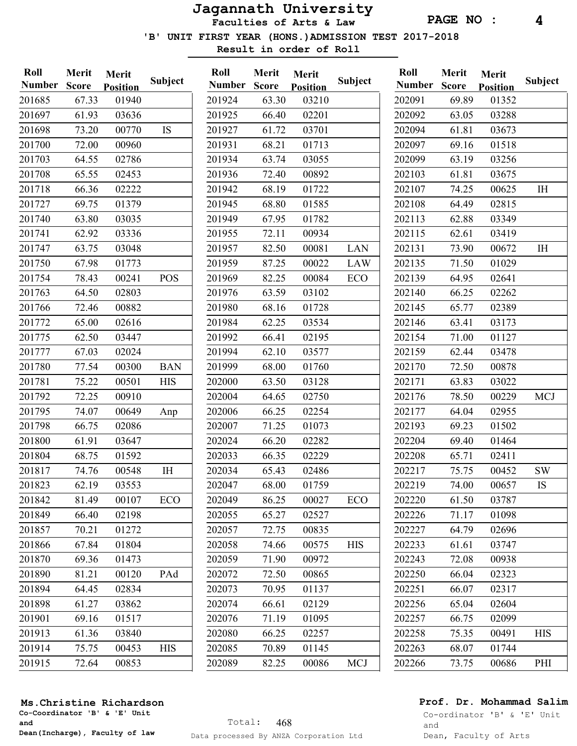PAGE NO : 4

'B' UNIT FIRST YEAR (HONS.)ADMISSION TEST 2017-2018

Result in order of Roll

| 67.33<br>01940<br>63.30<br>202091<br>69.89<br>201685<br>201924<br>03210<br>01352<br>201697<br>61.93<br>66.40<br>02201<br>202092<br>03636<br>201925<br>63.05<br>03288<br>201698<br>73.20<br>00770<br>IS<br>201927<br>61.72<br>03701<br>202094<br>61.81<br>03673<br>201700<br>00960<br>202097<br>69.16<br>01518<br>72.00<br>201931<br>68.21<br>01713<br>64.55<br>02786<br>63.74<br>03055<br>202099<br>63.19<br>03256<br>201703<br>201934<br>201708<br>65.55<br>02453<br>201936<br>00892<br>202103<br>61.81<br>03675<br>72.40<br>66.36<br>02222<br>202107<br>74.25<br>201718<br>201942<br>68.19<br>01722<br>00625<br>IH<br>202108<br>201727<br>69.75<br>01379<br>201945<br>68.80<br>01585<br>02815<br>64.49<br>201740<br>63.80<br>03035<br>201949<br>01782<br>202113<br>03349<br>67.95<br>62.88<br>202115<br>62.92<br>03336<br>201955<br>72.11<br>00934<br>62.61<br>03419<br>201741<br>63.75<br>202131<br>201747<br>03048<br>201957<br>82.50<br>00081<br>LAN<br>73.90<br>00672<br>I <sub>H</sub><br>201750<br>67.98<br>01773<br>201959<br>87.25<br>00022<br><b>LAW</b><br>202135<br>71.50<br>01029<br>78.43<br>POS<br>202139<br>201754<br>00241<br>201969<br>82.25<br>00084<br>ECO<br>64.95<br>02641<br>201763<br>64.50<br>02803<br>201976<br>63.59<br>03102<br>202140<br>66.25<br>02262<br>00882<br>201766<br>72.46<br>201980<br>68.16<br>01728<br>202145<br>65.77<br>02389<br>201772<br>65.00<br>02616<br>201984<br>62.25<br>03534<br>202146<br>63.41<br>03173<br>201775<br>62.50<br>03447<br>201992<br>202154<br>01127<br>66.41<br>02195<br>71.00<br>202159<br>67.03<br>02024<br>201994<br>62.10<br>03577<br>62.44<br>03478<br>201777<br>201780<br>202170<br>77.54<br>00300<br><b>BAN</b><br>201999<br>68.00<br>01760<br>72.50<br>00878<br>00501<br><b>HIS</b><br>202000<br>202171<br>201781<br>75.22<br>63.50<br>03128<br>63.83<br>03022<br>72.25<br>00910<br>202176<br>78.50<br>201792<br>202004<br>64.65<br>02750<br>00229<br><b>MCJ</b><br>201795<br>74.07<br>00649<br>202006<br>66.25<br>02254<br>202177<br>64.04<br>02955<br>Anp<br>201798<br>66.75<br>02086<br>202007<br>71.25<br>01073<br>202193<br>69.23<br>01502<br>202204<br>201800<br>61.91<br>03647<br>202024<br>66.20<br>02282<br>69.40<br>01464<br>201804<br>68.75<br>01592<br>202033<br>02229<br>202208<br>66.35<br>65.71<br>02411<br>$\rm I\rm H$<br>202217<br>75.75<br>201817<br>74.76<br>00548<br>202034<br>65.43<br>02486<br>00452<br><b>SW</b><br>201823<br>62.19<br>03553<br>202047<br>01759<br>202219<br>68.00<br>74.00<br>00657<br>IS<br>201842<br>81.49<br>00107<br><b>ECO</b><br>202049<br>86.25<br>00027<br><b>ECO</b><br>202220<br>61.50<br>03787<br>201849<br>66.40<br>02198<br>202055<br>02527<br>202226<br>71.17<br>65.27<br>01098<br>201857<br>70.21<br>01272<br>202057<br>72.75<br>00835<br>202227<br>64.79<br>02696<br>201866<br>67.84<br>01804<br>202058<br>74.66<br><b>HIS</b><br>202233<br>61.61<br>00575<br>03747<br>201870<br>69.36<br>01473<br>202059<br>71.90<br>00972<br>202243<br>72.08<br>00938<br>201890<br>81.21<br>PAd<br>00865<br>202250<br>00120<br>202072<br>72.50<br>66.04<br>02323<br>201894<br>202251<br>64.45<br>02834<br>202073<br>70.95<br>01137<br>66.07<br>02317<br>201898<br>61.27<br>202074<br>02129<br>202256<br>03862<br>66.61<br>65.04<br>02604<br>201901<br>69.16<br>01517<br>202076<br>71.19<br>01095<br>202257<br>66.75<br>02099<br>201913<br>61.36<br>03840<br>202080<br>66.25<br>02257<br>202258<br>75.35<br>00491<br><b>HIS</b><br>201914<br>75.75<br>202085<br>202263<br>00453<br>70.89<br>01145<br><b>HIS</b><br>68.07<br>01744<br>201915<br>72.64<br>00853<br>202089<br>82.25<br>202266<br>73.75<br>00086<br><b>MCJ</b><br>00686<br>PHI | Roll<br><b>Number</b> | Merit<br><b>Score</b> | Merit<br><b>Position</b> | Subject | Roll<br><b>Number</b> | Merit<br><b>Score</b> | Merit<br><b>Position</b> | <b>Subject</b> | Roll<br><b>Number</b> | Merit<br><b>Score</b> | Merit<br><b>Position</b> | <b>Subject</b> |
|-----------------------------------------------------------------------------------------------------------------------------------------------------------------------------------------------------------------------------------------------------------------------------------------------------------------------------------------------------------------------------------------------------------------------------------------------------------------------------------------------------------------------------------------------------------------------------------------------------------------------------------------------------------------------------------------------------------------------------------------------------------------------------------------------------------------------------------------------------------------------------------------------------------------------------------------------------------------------------------------------------------------------------------------------------------------------------------------------------------------------------------------------------------------------------------------------------------------------------------------------------------------------------------------------------------------------------------------------------------------------------------------------------------------------------------------------------------------------------------------------------------------------------------------------------------------------------------------------------------------------------------------------------------------------------------------------------------------------------------------------------------------------------------------------------------------------------------------------------------------------------------------------------------------------------------------------------------------------------------------------------------------------------------------------------------------------------------------------------------------------------------------------------------------------------------------------------------------------------------------------------------------------------------------------------------------------------------------------------------------------------------------------------------------------------------------------------------------------------------------------------------------------------------------------------------------------------------------------------------------------------------------------------------------------------------------------------------------------------------------------------------------------------------------------------------------------------------------------------------------------------------------------------------------------------------------------------------------------------------------------------------------------------------------------------------------------------------------------------------------------------------------------------------------------------------------------------------------------------------------------------------------------------------------------------------------------------------------------------------------------------------------------------------------------------------------------------------------------------------------------------------------------------------------------------------------------------------------------------------------------------------------------------------------|-----------------------|-----------------------|--------------------------|---------|-----------------------|-----------------------|--------------------------|----------------|-----------------------|-----------------------|--------------------------|----------------|
|                                                                                                                                                                                                                                                                                                                                                                                                                                                                                                                                                                                                                                                                                                                                                                                                                                                                                                                                                                                                                                                                                                                                                                                                                                                                                                                                                                                                                                                                                                                                                                                                                                                                                                                                                                                                                                                                                                                                                                                                                                                                                                                                                                                                                                                                                                                                                                                                                                                                                                                                                                                                                                                                                                                                                                                                                                                                                                                                                                                                                                                                                                                                                                                                                                                                                                                                                                                                                                                                                                                                                                                                                                                                 |                       |                       |                          |         |                       |                       |                          |                |                       |                       |                          |                |
|                                                                                                                                                                                                                                                                                                                                                                                                                                                                                                                                                                                                                                                                                                                                                                                                                                                                                                                                                                                                                                                                                                                                                                                                                                                                                                                                                                                                                                                                                                                                                                                                                                                                                                                                                                                                                                                                                                                                                                                                                                                                                                                                                                                                                                                                                                                                                                                                                                                                                                                                                                                                                                                                                                                                                                                                                                                                                                                                                                                                                                                                                                                                                                                                                                                                                                                                                                                                                                                                                                                                                                                                                                                                 |                       |                       |                          |         |                       |                       |                          |                |                       |                       |                          |                |
|                                                                                                                                                                                                                                                                                                                                                                                                                                                                                                                                                                                                                                                                                                                                                                                                                                                                                                                                                                                                                                                                                                                                                                                                                                                                                                                                                                                                                                                                                                                                                                                                                                                                                                                                                                                                                                                                                                                                                                                                                                                                                                                                                                                                                                                                                                                                                                                                                                                                                                                                                                                                                                                                                                                                                                                                                                                                                                                                                                                                                                                                                                                                                                                                                                                                                                                                                                                                                                                                                                                                                                                                                                                                 |                       |                       |                          |         |                       |                       |                          |                |                       |                       |                          |                |
|                                                                                                                                                                                                                                                                                                                                                                                                                                                                                                                                                                                                                                                                                                                                                                                                                                                                                                                                                                                                                                                                                                                                                                                                                                                                                                                                                                                                                                                                                                                                                                                                                                                                                                                                                                                                                                                                                                                                                                                                                                                                                                                                                                                                                                                                                                                                                                                                                                                                                                                                                                                                                                                                                                                                                                                                                                                                                                                                                                                                                                                                                                                                                                                                                                                                                                                                                                                                                                                                                                                                                                                                                                                                 |                       |                       |                          |         |                       |                       |                          |                |                       |                       |                          |                |
|                                                                                                                                                                                                                                                                                                                                                                                                                                                                                                                                                                                                                                                                                                                                                                                                                                                                                                                                                                                                                                                                                                                                                                                                                                                                                                                                                                                                                                                                                                                                                                                                                                                                                                                                                                                                                                                                                                                                                                                                                                                                                                                                                                                                                                                                                                                                                                                                                                                                                                                                                                                                                                                                                                                                                                                                                                                                                                                                                                                                                                                                                                                                                                                                                                                                                                                                                                                                                                                                                                                                                                                                                                                                 |                       |                       |                          |         |                       |                       |                          |                |                       |                       |                          |                |
|                                                                                                                                                                                                                                                                                                                                                                                                                                                                                                                                                                                                                                                                                                                                                                                                                                                                                                                                                                                                                                                                                                                                                                                                                                                                                                                                                                                                                                                                                                                                                                                                                                                                                                                                                                                                                                                                                                                                                                                                                                                                                                                                                                                                                                                                                                                                                                                                                                                                                                                                                                                                                                                                                                                                                                                                                                                                                                                                                                                                                                                                                                                                                                                                                                                                                                                                                                                                                                                                                                                                                                                                                                                                 |                       |                       |                          |         |                       |                       |                          |                |                       |                       |                          |                |
|                                                                                                                                                                                                                                                                                                                                                                                                                                                                                                                                                                                                                                                                                                                                                                                                                                                                                                                                                                                                                                                                                                                                                                                                                                                                                                                                                                                                                                                                                                                                                                                                                                                                                                                                                                                                                                                                                                                                                                                                                                                                                                                                                                                                                                                                                                                                                                                                                                                                                                                                                                                                                                                                                                                                                                                                                                                                                                                                                                                                                                                                                                                                                                                                                                                                                                                                                                                                                                                                                                                                                                                                                                                                 |                       |                       |                          |         |                       |                       |                          |                |                       |                       |                          |                |
|                                                                                                                                                                                                                                                                                                                                                                                                                                                                                                                                                                                                                                                                                                                                                                                                                                                                                                                                                                                                                                                                                                                                                                                                                                                                                                                                                                                                                                                                                                                                                                                                                                                                                                                                                                                                                                                                                                                                                                                                                                                                                                                                                                                                                                                                                                                                                                                                                                                                                                                                                                                                                                                                                                                                                                                                                                                                                                                                                                                                                                                                                                                                                                                                                                                                                                                                                                                                                                                                                                                                                                                                                                                                 |                       |                       |                          |         |                       |                       |                          |                |                       |                       |                          |                |
|                                                                                                                                                                                                                                                                                                                                                                                                                                                                                                                                                                                                                                                                                                                                                                                                                                                                                                                                                                                                                                                                                                                                                                                                                                                                                                                                                                                                                                                                                                                                                                                                                                                                                                                                                                                                                                                                                                                                                                                                                                                                                                                                                                                                                                                                                                                                                                                                                                                                                                                                                                                                                                                                                                                                                                                                                                                                                                                                                                                                                                                                                                                                                                                                                                                                                                                                                                                                                                                                                                                                                                                                                                                                 |                       |                       |                          |         |                       |                       |                          |                |                       |                       |                          |                |
|                                                                                                                                                                                                                                                                                                                                                                                                                                                                                                                                                                                                                                                                                                                                                                                                                                                                                                                                                                                                                                                                                                                                                                                                                                                                                                                                                                                                                                                                                                                                                                                                                                                                                                                                                                                                                                                                                                                                                                                                                                                                                                                                                                                                                                                                                                                                                                                                                                                                                                                                                                                                                                                                                                                                                                                                                                                                                                                                                                                                                                                                                                                                                                                                                                                                                                                                                                                                                                                                                                                                                                                                                                                                 |                       |                       |                          |         |                       |                       |                          |                |                       |                       |                          |                |
|                                                                                                                                                                                                                                                                                                                                                                                                                                                                                                                                                                                                                                                                                                                                                                                                                                                                                                                                                                                                                                                                                                                                                                                                                                                                                                                                                                                                                                                                                                                                                                                                                                                                                                                                                                                                                                                                                                                                                                                                                                                                                                                                                                                                                                                                                                                                                                                                                                                                                                                                                                                                                                                                                                                                                                                                                                                                                                                                                                                                                                                                                                                                                                                                                                                                                                                                                                                                                                                                                                                                                                                                                                                                 |                       |                       |                          |         |                       |                       |                          |                |                       |                       |                          |                |
|                                                                                                                                                                                                                                                                                                                                                                                                                                                                                                                                                                                                                                                                                                                                                                                                                                                                                                                                                                                                                                                                                                                                                                                                                                                                                                                                                                                                                                                                                                                                                                                                                                                                                                                                                                                                                                                                                                                                                                                                                                                                                                                                                                                                                                                                                                                                                                                                                                                                                                                                                                                                                                                                                                                                                                                                                                                                                                                                                                                                                                                                                                                                                                                                                                                                                                                                                                                                                                                                                                                                                                                                                                                                 |                       |                       |                          |         |                       |                       |                          |                |                       |                       |                          |                |
|                                                                                                                                                                                                                                                                                                                                                                                                                                                                                                                                                                                                                                                                                                                                                                                                                                                                                                                                                                                                                                                                                                                                                                                                                                                                                                                                                                                                                                                                                                                                                                                                                                                                                                                                                                                                                                                                                                                                                                                                                                                                                                                                                                                                                                                                                                                                                                                                                                                                                                                                                                                                                                                                                                                                                                                                                                                                                                                                                                                                                                                                                                                                                                                                                                                                                                                                                                                                                                                                                                                                                                                                                                                                 |                       |                       |                          |         |                       |                       |                          |                |                       |                       |                          |                |
|                                                                                                                                                                                                                                                                                                                                                                                                                                                                                                                                                                                                                                                                                                                                                                                                                                                                                                                                                                                                                                                                                                                                                                                                                                                                                                                                                                                                                                                                                                                                                                                                                                                                                                                                                                                                                                                                                                                                                                                                                                                                                                                                                                                                                                                                                                                                                                                                                                                                                                                                                                                                                                                                                                                                                                                                                                                                                                                                                                                                                                                                                                                                                                                                                                                                                                                                                                                                                                                                                                                                                                                                                                                                 |                       |                       |                          |         |                       |                       |                          |                |                       |                       |                          |                |
|                                                                                                                                                                                                                                                                                                                                                                                                                                                                                                                                                                                                                                                                                                                                                                                                                                                                                                                                                                                                                                                                                                                                                                                                                                                                                                                                                                                                                                                                                                                                                                                                                                                                                                                                                                                                                                                                                                                                                                                                                                                                                                                                                                                                                                                                                                                                                                                                                                                                                                                                                                                                                                                                                                                                                                                                                                                                                                                                                                                                                                                                                                                                                                                                                                                                                                                                                                                                                                                                                                                                                                                                                                                                 |                       |                       |                          |         |                       |                       |                          |                |                       |                       |                          |                |
|                                                                                                                                                                                                                                                                                                                                                                                                                                                                                                                                                                                                                                                                                                                                                                                                                                                                                                                                                                                                                                                                                                                                                                                                                                                                                                                                                                                                                                                                                                                                                                                                                                                                                                                                                                                                                                                                                                                                                                                                                                                                                                                                                                                                                                                                                                                                                                                                                                                                                                                                                                                                                                                                                                                                                                                                                                                                                                                                                                                                                                                                                                                                                                                                                                                                                                                                                                                                                                                                                                                                                                                                                                                                 |                       |                       |                          |         |                       |                       |                          |                |                       |                       |                          |                |
|                                                                                                                                                                                                                                                                                                                                                                                                                                                                                                                                                                                                                                                                                                                                                                                                                                                                                                                                                                                                                                                                                                                                                                                                                                                                                                                                                                                                                                                                                                                                                                                                                                                                                                                                                                                                                                                                                                                                                                                                                                                                                                                                                                                                                                                                                                                                                                                                                                                                                                                                                                                                                                                                                                                                                                                                                                                                                                                                                                                                                                                                                                                                                                                                                                                                                                                                                                                                                                                                                                                                                                                                                                                                 |                       |                       |                          |         |                       |                       |                          |                |                       |                       |                          |                |
|                                                                                                                                                                                                                                                                                                                                                                                                                                                                                                                                                                                                                                                                                                                                                                                                                                                                                                                                                                                                                                                                                                                                                                                                                                                                                                                                                                                                                                                                                                                                                                                                                                                                                                                                                                                                                                                                                                                                                                                                                                                                                                                                                                                                                                                                                                                                                                                                                                                                                                                                                                                                                                                                                                                                                                                                                                                                                                                                                                                                                                                                                                                                                                                                                                                                                                                                                                                                                                                                                                                                                                                                                                                                 |                       |                       |                          |         |                       |                       |                          |                |                       |                       |                          |                |
|                                                                                                                                                                                                                                                                                                                                                                                                                                                                                                                                                                                                                                                                                                                                                                                                                                                                                                                                                                                                                                                                                                                                                                                                                                                                                                                                                                                                                                                                                                                                                                                                                                                                                                                                                                                                                                                                                                                                                                                                                                                                                                                                                                                                                                                                                                                                                                                                                                                                                                                                                                                                                                                                                                                                                                                                                                                                                                                                                                                                                                                                                                                                                                                                                                                                                                                                                                                                                                                                                                                                                                                                                                                                 |                       |                       |                          |         |                       |                       |                          |                |                       |                       |                          |                |
|                                                                                                                                                                                                                                                                                                                                                                                                                                                                                                                                                                                                                                                                                                                                                                                                                                                                                                                                                                                                                                                                                                                                                                                                                                                                                                                                                                                                                                                                                                                                                                                                                                                                                                                                                                                                                                                                                                                                                                                                                                                                                                                                                                                                                                                                                                                                                                                                                                                                                                                                                                                                                                                                                                                                                                                                                                                                                                                                                                                                                                                                                                                                                                                                                                                                                                                                                                                                                                                                                                                                                                                                                                                                 |                       |                       |                          |         |                       |                       |                          |                |                       |                       |                          |                |
|                                                                                                                                                                                                                                                                                                                                                                                                                                                                                                                                                                                                                                                                                                                                                                                                                                                                                                                                                                                                                                                                                                                                                                                                                                                                                                                                                                                                                                                                                                                                                                                                                                                                                                                                                                                                                                                                                                                                                                                                                                                                                                                                                                                                                                                                                                                                                                                                                                                                                                                                                                                                                                                                                                                                                                                                                                                                                                                                                                                                                                                                                                                                                                                                                                                                                                                                                                                                                                                                                                                                                                                                                                                                 |                       |                       |                          |         |                       |                       |                          |                |                       |                       |                          |                |
|                                                                                                                                                                                                                                                                                                                                                                                                                                                                                                                                                                                                                                                                                                                                                                                                                                                                                                                                                                                                                                                                                                                                                                                                                                                                                                                                                                                                                                                                                                                                                                                                                                                                                                                                                                                                                                                                                                                                                                                                                                                                                                                                                                                                                                                                                                                                                                                                                                                                                                                                                                                                                                                                                                                                                                                                                                                                                                                                                                                                                                                                                                                                                                                                                                                                                                                                                                                                                                                                                                                                                                                                                                                                 |                       |                       |                          |         |                       |                       |                          |                |                       |                       |                          |                |
|                                                                                                                                                                                                                                                                                                                                                                                                                                                                                                                                                                                                                                                                                                                                                                                                                                                                                                                                                                                                                                                                                                                                                                                                                                                                                                                                                                                                                                                                                                                                                                                                                                                                                                                                                                                                                                                                                                                                                                                                                                                                                                                                                                                                                                                                                                                                                                                                                                                                                                                                                                                                                                                                                                                                                                                                                                                                                                                                                                                                                                                                                                                                                                                                                                                                                                                                                                                                                                                                                                                                                                                                                                                                 |                       |                       |                          |         |                       |                       |                          |                |                       |                       |                          |                |
|                                                                                                                                                                                                                                                                                                                                                                                                                                                                                                                                                                                                                                                                                                                                                                                                                                                                                                                                                                                                                                                                                                                                                                                                                                                                                                                                                                                                                                                                                                                                                                                                                                                                                                                                                                                                                                                                                                                                                                                                                                                                                                                                                                                                                                                                                                                                                                                                                                                                                                                                                                                                                                                                                                                                                                                                                                                                                                                                                                                                                                                                                                                                                                                                                                                                                                                                                                                                                                                                                                                                                                                                                                                                 |                       |                       |                          |         |                       |                       |                          |                |                       |                       |                          |                |
|                                                                                                                                                                                                                                                                                                                                                                                                                                                                                                                                                                                                                                                                                                                                                                                                                                                                                                                                                                                                                                                                                                                                                                                                                                                                                                                                                                                                                                                                                                                                                                                                                                                                                                                                                                                                                                                                                                                                                                                                                                                                                                                                                                                                                                                                                                                                                                                                                                                                                                                                                                                                                                                                                                                                                                                                                                                                                                                                                                                                                                                                                                                                                                                                                                                                                                                                                                                                                                                                                                                                                                                                                                                                 |                       |                       |                          |         |                       |                       |                          |                |                       |                       |                          |                |
|                                                                                                                                                                                                                                                                                                                                                                                                                                                                                                                                                                                                                                                                                                                                                                                                                                                                                                                                                                                                                                                                                                                                                                                                                                                                                                                                                                                                                                                                                                                                                                                                                                                                                                                                                                                                                                                                                                                                                                                                                                                                                                                                                                                                                                                                                                                                                                                                                                                                                                                                                                                                                                                                                                                                                                                                                                                                                                                                                                                                                                                                                                                                                                                                                                                                                                                                                                                                                                                                                                                                                                                                                                                                 |                       |                       |                          |         |                       |                       |                          |                |                       |                       |                          |                |
|                                                                                                                                                                                                                                                                                                                                                                                                                                                                                                                                                                                                                                                                                                                                                                                                                                                                                                                                                                                                                                                                                                                                                                                                                                                                                                                                                                                                                                                                                                                                                                                                                                                                                                                                                                                                                                                                                                                                                                                                                                                                                                                                                                                                                                                                                                                                                                                                                                                                                                                                                                                                                                                                                                                                                                                                                                                                                                                                                                                                                                                                                                                                                                                                                                                                                                                                                                                                                                                                                                                                                                                                                                                                 |                       |                       |                          |         |                       |                       |                          |                |                       |                       |                          |                |
|                                                                                                                                                                                                                                                                                                                                                                                                                                                                                                                                                                                                                                                                                                                                                                                                                                                                                                                                                                                                                                                                                                                                                                                                                                                                                                                                                                                                                                                                                                                                                                                                                                                                                                                                                                                                                                                                                                                                                                                                                                                                                                                                                                                                                                                                                                                                                                                                                                                                                                                                                                                                                                                                                                                                                                                                                                                                                                                                                                                                                                                                                                                                                                                                                                                                                                                                                                                                                                                                                                                                                                                                                                                                 |                       |                       |                          |         |                       |                       |                          |                |                       |                       |                          |                |
|                                                                                                                                                                                                                                                                                                                                                                                                                                                                                                                                                                                                                                                                                                                                                                                                                                                                                                                                                                                                                                                                                                                                                                                                                                                                                                                                                                                                                                                                                                                                                                                                                                                                                                                                                                                                                                                                                                                                                                                                                                                                                                                                                                                                                                                                                                                                                                                                                                                                                                                                                                                                                                                                                                                                                                                                                                                                                                                                                                                                                                                                                                                                                                                                                                                                                                                                                                                                                                                                                                                                                                                                                                                                 |                       |                       |                          |         |                       |                       |                          |                |                       |                       |                          |                |
|                                                                                                                                                                                                                                                                                                                                                                                                                                                                                                                                                                                                                                                                                                                                                                                                                                                                                                                                                                                                                                                                                                                                                                                                                                                                                                                                                                                                                                                                                                                                                                                                                                                                                                                                                                                                                                                                                                                                                                                                                                                                                                                                                                                                                                                                                                                                                                                                                                                                                                                                                                                                                                                                                                                                                                                                                                                                                                                                                                                                                                                                                                                                                                                                                                                                                                                                                                                                                                                                                                                                                                                                                                                                 |                       |                       |                          |         |                       |                       |                          |                |                       |                       |                          |                |
|                                                                                                                                                                                                                                                                                                                                                                                                                                                                                                                                                                                                                                                                                                                                                                                                                                                                                                                                                                                                                                                                                                                                                                                                                                                                                                                                                                                                                                                                                                                                                                                                                                                                                                                                                                                                                                                                                                                                                                                                                                                                                                                                                                                                                                                                                                                                                                                                                                                                                                                                                                                                                                                                                                                                                                                                                                                                                                                                                                                                                                                                                                                                                                                                                                                                                                                                                                                                                                                                                                                                                                                                                                                                 |                       |                       |                          |         |                       |                       |                          |                |                       |                       |                          |                |
|                                                                                                                                                                                                                                                                                                                                                                                                                                                                                                                                                                                                                                                                                                                                                                                                                                                                                                                                                                                                                                                                                                                                                                                                                                                                                                                                                                                                                                                                                                                                                                                                                                                                                                                                                                                                                                                                                                                                                                                                                                                                                                                                                                                                                                                                                                                                                                                                                                                                                                                                                                                                                                                                                                                                                                                                                                                                                                                                                                                                                                                                                                                                                                                                                                                                                                                                                                                                                                                                                                                                                                                                                                                                 |                       |                       |                          |         |                       |                       |                          |                |                       |                       |                          |                |
|                                                                                                                                                                                                                                                                                                                                                                                                                                                                                                                                                                                                                                                                                                                                                                                                                                                                                                                                                                                                                                                                                                                                                                                                                                                                                                                                                                                                                                                                                                                                                                                                                                                                                                                                                                                                                                                                                                                                                                                                                                                                                                                                                                                                                                                                                                                                                                                                                                                                                                                                                                                                                                                                                                                                                                                                                                                                                                                                                                                                                                                                                                                                                                                                                                                                                                                                                                                                                                                                                                                                                                                                                                                                 |                       |                       |                          |         |                       |                       |                          |                |                       |                       |                          |                |
|                                                                                                                                                                                                                                                                                                                                                                                                                                                                                                                                                                                                                                                                                                                                                                                                                                                                                                                                                                                                                                                                                                                                                                                                                                                                                                                                                                                                                                                                                                                                                                                                                                                                                                                                                                                                                                                                                                                                                                                                                                                                                                                                                                                                                                                                                                                                                                                                                                                                                                                                                                                                                                                                                                                                                                                                                                                                                                                                                                                                                                                                                                                                                                                                                                                                                                                                                                                                                                                                                                                                                                                                                                                                 |                       |                       |                          |         |                       |                       |                          |                |                       |                       |                          |                |
|                                                                                                                                                                                                                                                                                                                                                                                                                                                                                                                                                                                                                                                                                                                                                                                                                                                                                                                                                                                                                                                                                                                                                                                                                                                                                                                                                                                                                                                                                                                                                                                                                                                                                                                                                                                                                                                                                                                                                                                                                                                                                                                                                                                                                                                                                                                                                                                                                                                                                                                                                                                                                                                                                                                                                                                                                                                                                                                                                                                                                                                                                                                                                                                                                                                                                                                                                                                                                                                                                                                                                                                                                                                                 |                       |                       |                          |         |                       |                       |                          |                |                       |                       |                          |                |
|                                                                                                                                                                                                                                                                                                                                                                                                                                                                                                                                                                                                                                                                                                                                                                                                                                                                                                                                                                                                                                                                                                                                                                                                                                                                                                                                                                                                                                                                                                                                                                                                                                                                                                                                                                                                                                                                                                                                                                                                                                                                                                                                                                                                                                                                                                                                                                                                                                                                                                                                                                                                                                                                                                                                                                                                                                                                                                                                                                                                                                                                                                                                                                                                                                                                                                                                                                                                                                                                                                                                                                                                                                                                 |                       |                       |                          |         |                       |                       |                          |                |                       |                       |                          |                |
|                                                                                                                                                                                                                                                                                                                                                                                                                                                                                                                                                                                                                                                                                                                                                                                                                                                                                                                                                                                                                                                                                                                                                                                                                                                                                                                                                                                                                                                                                                                                                                                                                                                                                                                                                                                                                                                                                                                                                                                                                                                                                                                                                                                                                                                                                                                                                                                                                                                                                                                                                                                                                                                                                                                                                                                                                                                                                                                                                                                                                                                                                                                                                                                                                                                                                                                                                                                                                                                                                                                                                                                                                                                                 |                       |                       |                          |         |                       |                       |                          |                |                       |                       |                          |                |
|                                                                                                                                                                                                                                                                                                                                                                                                                                                                                                                                                                                                                                                                                                                                                                                                                                                                                                                                                                                                                                                                                                                                                                                                                                                                                                                                                                                                                                                                                                                                                                                                                                                                                                                                                                                                                                                                                                                                                                                                                                                                                                                                                                                                                                                                                                                                                                                                                                                                                                                                                                                                                                                                                                                                                                                                                                                                                                                                                                                                                                                                                                                                                                                                                                                                                                                                                                                                                                                                                                                                                                                                                                                                 |                       |                       |                          |         |                       |                       |                          |                |                       |                       |                          |                |
|                                                                                                                                                                                                                                                                                                                                                                                                                                                                                                                                                                                                                                                                                                                                                                                                                                                                                                                                                                                                                                                                                                                                                                                                                                                                                                                                                                                                                                                                                                                                                                                                                                                                                                                                                                                                                                                                                                                                                                                                                                                                                                                                                                                                                                                                                                                                                                                                                                                                                                                                                                                                                                                                                                                                                                                                                                                                                                                                                                                                                                                                                                                                                                                                                                                                                                                                                                                                                                                                                                                                                                                                                                                                 |                       |                       |                          |         |                       |                       |                          |                |                       |                       |                          |                |

## Ms.Christine Richardson

Co-Coordinator 'B' & 'E' Unit and Dean(Incharge), Faculty of law

## Prof. Dr. Mohammad Salim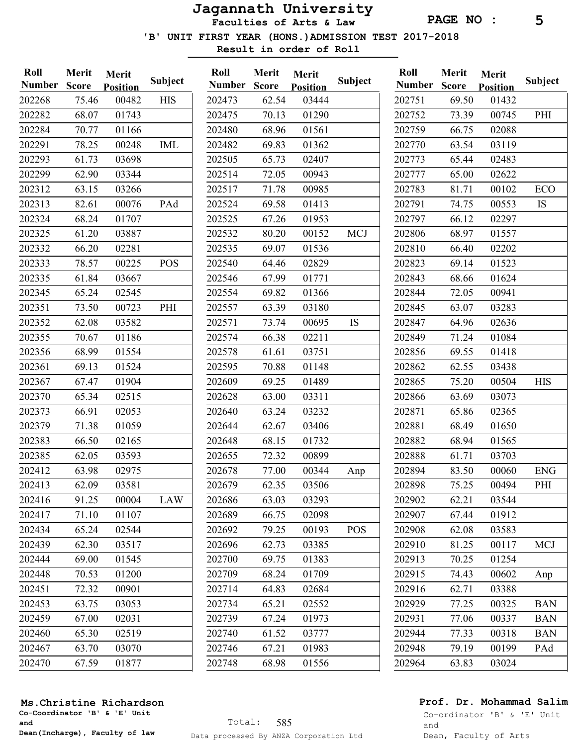PAGE NO : 5

'B' UNIT FIRST YEAR (HONS.)ADMISSION TEST 2017-2018

Result in order of Roll

| Roll<br><b>Number</b> | Merit<br><b>Score</b> | Merit<br><b>Position</b> | Subject    | Roll<br><b>Number</b> | Merit<br><b>Score</b> | Merit<br><b>Position</b> | Subject    | Roll<br><b>Number</b> | Merit<br><b>Score</b> | Merit<br><b>Position</b> | <b>Subject</b> |
|-----------------------|-----------------------|--------------------------|------------|-----------------------|-----------------------|--------------------------|------------|-----------------------|-----------------------|--------------------------|----------------|
| 202268                | 75.46                 | 00482                    | <b>HIS</b> | 202473                | 62.54                 | 03444                    |            | 202751                | 69.50                 | 01432                    |                |
| 202282                | 68.07                 | 01743                    |            | 202475                | 70.13                 | 01290                    |            | 202752                | 73.39                 | 00745                    | PHI            |
| 202284                | 70.77                 | 01166                    |            | 202480                | 68.96                 | 01561                    |            | 202759                | 66.75                 | 02088                    |                |
| 202291                | 78.25                 | 00248                    | <b>IML</b> | 202482                | 69.83                 | 01362                    |            | 202770                | 63.54                 | 03119                    |                |
| 202293                | 61.73                 | 03698                    |            | 202505                | 65.73                 | 02407                    |            | 202773                | 65.44                 | 02483                    |                |
| 202299                | 62.90                 | 03344                    |            | 202514                | 72.05                 | 00943                    |            | 202777                | 65.00                 | 02622                    |                |
| 202312                | 63.15                 | 03266                    |            | 202517                | 71.78                 | 00985                    |            | 202783                | 81.71                 | 00102                    | ECO            |
| 202313                | 82.61                 | 00076                    | PAd        | 202524                | 69.58                 | 01413                    |            | 202791                | 74.75                 | 00553                    | <b>IS</b>      |
| 202324                | 68.24                 | 01707                    |            | 202525                | 67.26                 | 01953                    |            | 202797                | 66.12                 | 02297                    |                |
| 202325                | 61.20                 | 03887                    |            | 202532                | 80.20                 | 00152                    | <b>MCJ</b> | 202806                | 68.97                 | 01557                    |                |
| 202332                | 66.20                 | 02281                    |            | 202535                | 69.07                 | 01536                    |            | 202810                | 66.40                 | 02202                    |                |
| 202333                | 78.57                 | 00225                    | <b>POS</b> | 202540                | 64.46                 | 02829                    |            | 202823                | 69.14                 | 01523                    |                |
| 202335                | 61.84                 | 03667                    |            | 202546                | 67.99                 | 01771                    |            | 202843                | 68.66                 | 01624                    |                |
| 202345                | 65.24                 | 02545                    |            | 202554                | 69.82                 | 01366                    |            | 202844                | 72.05                 | 00941                    |                |
| 202351                | 73.50                 | 00723                    | PHI        | 202557                | 63.39                 | 03180                    |            | 202845                | 63.07                 | 03283                    |                |
| 202352                | 62.08                 | 03582                    |            | 202571                | 73.74                 | 00695                    | <b>IS</b>  | 202847                | 64.96                 | 02636                    |                |
| 202355                | 70.67                 | 01186                    |            | 202574                | 66.38                 | 02211                    |            | 202849                | 71.24                 | 01084                    |                |
| 202356                | 68.99                 | 01554                    |            | 202578                | 61.61                 | 03751                    |            | 202856                | 69.55                 | 01418                    |                |
| 202361                | 69.13                 | 01524                    |            | 202595                | 70.88                 | 01148                    |            | 202862                | 62.55                 | 03438                    |                |
| 202367                | 67.47                 | 01904                    |            | 202609                | 69.25                 | 01489                    |            | 202865                | 75.20                 | 00504                    | <b>HIS</b>     |
| 202370                | 65.34                 | 02515                    |            | 202628                | 63.00                 | 03311                    |            | 202866                | 63.69                 | 03073                    |                |
| 202373                | 66.91                 | 02053                    |            | 202640                | 63.24                 | 03232                    |            | 202871                | 65.86                 | 02365                    |                |
| 202379                | 71.38                 | 01059                    |            | 202644                | 62.67                 | 03406                    |            | 202881                | 68.49                 | 01650                    |                |
| 202383                | 66.50                 | 02165                    |            | 202648                | 68.15                 | 01732                    |            | 202882                | 68.94                 | 01565                    |                |
| 202385                | 62.05                 | 03593                    |            | 202655                | 72.32                 | 00899                    |            | 202888                | 61.71                 | 03703                    |                |
| 202412                | 63.98                 | 02975                    |            | 202678                | 77.00                 | 00344                    | Anp        | 202894                | 83.50                 | 00060                    | <b>ENG</b>     |
| 202413                | 62.09                 | 03581                    |            | 202679                | 62.35                 | 03506                    |            | 202898                | 75.25                 | 00494                    | PHI            |
| 202416                | 91.25                 | 00004                    | LAW        | 202686                | 63.03                 | 03293                    |            | 202902                | 62.21                 | 03544                    |                |
| 202417                | 71.10                 | 01107                    |            | 202689                | 66.75                 | 02098                    |            | 202907                | 67.44                 | 01912                    |                |
| 202434                | 65.24                 | 02544                    |            | 202692                | 79.25                 | 00193                    | <b>POS</b> | 202908                | 62.08                 | 03583                    |                |
| 202439                | 62.30                 | 03517                    |            | 202696                | 62.73                 | 03385                    |            | 202910                | 81.25                 | 00117                    | MCJ            |
| 202444                | 69.00                 | 01545                    |            | 202700                | 69.75                 | 01383                    |            | 202913                | 70.25                 | 01254                    |                |
| 202448                | 70.53                 | 01200                    |            | 202709                | 68.24                 | 01709                    |            | 202915                | 74.43                 | 00602                    | Anp            |
| 202451                | 72.32                 | 00901                    |            | 202714                | 64.83                 | 02684                    |            | 202916                | 62.71                 | 03388                    |                |
| 202453                | 63.75                 | 03053                    |            | 202734                | 65.21                 | 02552                    |            | 202929                | 77.25                 | 00325                    | <b>BAN</b>     |
| 202459                | 67.00                 | 02031                    |            | 202739                | 67.24                 | 01973                    |            | 202931                | 77.06                 | 00337                    | <b>BAN</b>     |
| 202460                | 65.30                 | 02519                    |            | 202740                | 61.52                 | 03777                    |            | 202944                | 77.33                 | 00318                    | <b>BAN</b>     |
| 202467                | 63.70                 | 03070                    |            | 202746                | 67.21                 | 01983                    |            | 202948                | 79.19                 | 00199                    | PAd            |
| 202470                | 67.59                 | 01877                    |            | 202748                | 68.98                 | 01556                    |            | 202964                | 63.83                 | 03024                    |                |

### Ms.Christine Richardson

Co-Coordinator 'B' & 'E' Unit and Dean(Incharge), Faculty of law

## Prof. Dr. Mohammad Salim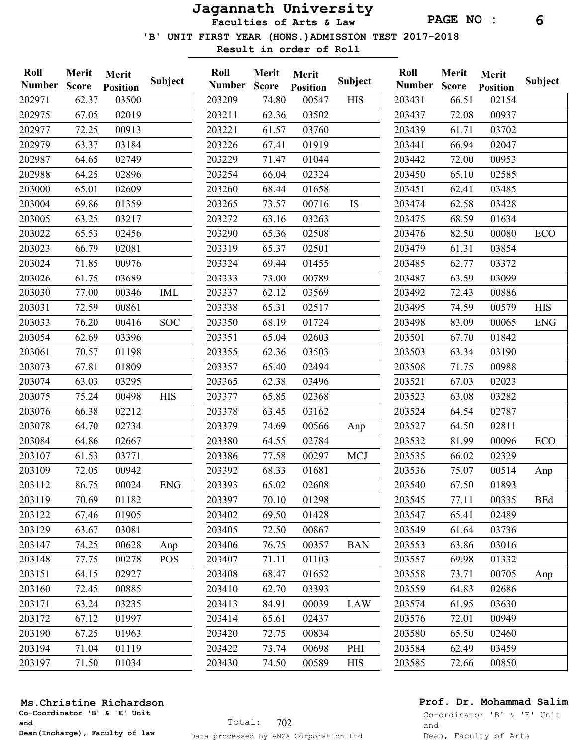PAGE NO : 6

'B' UNIT FIRST YEAR (HONS.)ADMISSION TEST 2017-2018

Result in order of Roll

| Roll<br><b>Number</b> | Merit<br><b>Score</b> | Merit<br><b>Position</b> | <b>Subject</b> | Roll<br><b>Number</b> | Merit<br><b>Score</b> | Merit<br><b>Position</b> | <b>Subject</b> | Roll<br><b>Number</b> | Merit<br><b>Score</b> | Merit<br><b>Position</b> | Subject    |
|-----------------------|-----------------------|--------------------------|----------------|-----------------------|-----------------------|--------------------------|----------------|-----------------------|-----------------------|--------------------------|------------|
| 202971                | 62.37                 | 03500                    |                | 203209                | 74.80                 | 00547                    | <b>HIS</b>     | 203431                | 66.51                 | 02154                    |            |
| 202975                | 67.05                 | 02019                    |                | 203211                | 62.36                 | 03502                    |                | 203437                | 72.08                 | 00937                    |            |
| 202977                | 72.25                 | 00913                    |                | 203221                | 61.57                 | 03760                    |                | 203439                | 61.71                 | 03702                    |            |
| 202979                | 63.37                 | 03184                    |                | 203226                | 67.41                 | 01919                    |                | 203441                | 66.94                 | 02047                    |            |
| 202987                | 64.65                 | 02749                    |                | 203229                | 71.47                 | 01044                    |                | 203442                | 72.00                 | 00953                    |            |
| 202988                | 64.25                 | 02896                    |                | 203254                | 66.04                 | 02324                    |                | 203450                | 65.10                 | 02585                    |            |
| 203000                | 65.01                 | 02609                    |                | 203260                | 68.44                 | 01658                    |                | 203451                | 62.41                 | 03485                    |            |
| 203004                | 69.86                 | 01359                    |                | 203265                | 73.57                 | 00716                    | IS             | 203474                | 62.58                 | 03428                    |            |
| 203005                | 63.25                 | 03217                    |                | 203272                | 63.16                 | 03263                    |                | 203475                | 68.59                 | 01634                    |            |
| 203022                | 65.53                 | 02456                    |                | 203290                | 65.36                 | 02508                    |                | 203476                | 82.50                 | 00080                    | ECO        |
| 203023                | 66.79                 | 02081                    |                | 203319                | 65.37                 | 02501                    |                | 203479                | 61.31                 | 03854                    |            |
| 203024                | 71.85                 | 00976                    |                | 203324                | 69.44                 | 01455                    |                | 203485                | 62.77                 | 03372                    |            |
| 203026                | 61.75                 | 03689                    |                | 203333                | 73.00                 | 00789                    |                | 203487                | 63.59                 | 03099                    |            |
| 203030                | 77.00                 | 00346                    | <b>IML</b>     | 203337                | 62.12                 | 03569                    |                | 203492                | 72.43                 | 00886                    |            |
| 203031                | 72.59                 | 00861                    |                | 203338                | 65.31                 | 02517                    |                | 203495                | 74.59                 | 00579                    | <b>HIS</b> |
| 203033                | 76.20                 | 00416                    | <b>SOC</b>     | 203350                | 68.19                 | 01724                    |                | 203498                | 83.09                 | 00065                    | <b>ENG</b> |
| 203054                | 62.69                 | 03396                    |                | 203351                | 65.04                 | 02603                    |                | 203501                | 67.70                 | 01842                    |            |
| 203061                | 70.57                 | 01198                    |                | 203355                | 62.36                 | 03503                    |                | 203503                | 63.34                 | 03190                    |            |
| 203073                | 67.81                 | 01809                    |                | 203357                | 65.40                 | 02494                    |                | 203508                | 71.75                 | 00988                    |            |
| 203074                | 63.03                 | 03295                    |                | 203365                | 62.38                 | 03496                    |                | 203521                | 67.03                 | 02023                    |            |
| 203075                | 75.24                 | 00498                    | <b>HIS</b>     | 203377                | 65.85                 | 02368                    |                | 203523                | 63.08                 | 03282                    |            |
| 203076                | 66.38                 | 02212                    |                | 203378                | 63.45                 | 03162                    |                | 203524                | 64.54                 | 02787                    |            |
| 203078                | 64.70                 | 02734                    |                | 203379                | 74.69                 | 00566                    | Anp            | 203527                | 64.50                 | 02811                    |            |
| 203084                | 64.86                 | 02667                    |                | 203380                | 64.55                 | 02784                    |                | 203532                | 81.99                 | 00096                    | ECO        |
| 203107                | 61.53                 | 03771                    |                | 203386                | 77.58                 | 00297                    | <b>MCJ</b>     | 203535                | 66.02                 | 02329                    |            |
| 203109                | 72.05                 | 00942                    |                | 203392                | 68.33                 | 01681                    |                | 203536                | 75.07                 | 00514                    | Anp        |
| 203112                | 86.75                 | 00024                    | <b>ENG</b>     | 203393                | 65.02                 | 02608                    |                | 203540                | 67.50                 | 01893                    |            |
| 203119                | 70.69                 | 01182                    |                | 203397                | 70.10                 | 01298                    |                | 203545                | 77.11                 | 00335                    | <b>BEd</b> |
| 203122                | 67.46                 | 01905                    |                | 203402                | 69.50                 | 01428                    |                | 203547                | 65.41                 | 02489                    |            |
| 203129                | 63.67                 | 03081                    |                | 203405                | 72.50                 | 00867                    |                | 203549                | 61.64                 | 03736                    |            |
| 203147                | 74.25                 | 00628                    | Anp            | 203406                | 76.75                 | 00357                    | <b>BAN</b>     | 203553                | 63.86                 | 03016                    |            |
| 203148                | 77.75                 | 00278                    | <b>POS</b>     | 203407                | 71.11                 | 01103                    |                | 203557                | 69.98                 | 01332                    |            |
| 203151                | 64.15                 | 02927                    |                | 203408                | 68.47                 | 01652                    |                | 203558                | 73.71                 | 00705                    | Anp        |
| 203160                | 72.45                 | 00885                    |                | 203410                | 62.70                 | 03393                    |                | 203559                | 64.83                 | 02686                    |            |
| 203171                | 63.24                 | 03235                    |                | 203413                | 84.91                 | 00039                    | LAW            | 203574                | 61.95                 | 03630                    |            |
| 203172                | 67.12                 | 01997                    |                | 203414                | 65.61                 | 02437                    |                | 203576                | 72.01                 | 00949                    |            |
| 203190                | 67.25                 | 01963                    |                | 203420                | 72.75                 | 00834                    |                | 203580                | 65.50                 | 02460                    |            |
| 203194                | 71.04                 | 01119                    |                | 203422                | 73.74                 | 00698                    | PHI            | 203584                | 62.49                 | 03459                    |            |
| 203197                | 71.50                 | 01034                    |                | 203430                | 74.50                 | 00589                    | <b>HIS</b>     | 203585                | 72.66                 | 00850                    |            |

#### Ms.Christine Richardson

Co-Coordinator 'B' & 'E' Unit and Dean(Incharge), Faculty of law

## Prof. Dr. Mohammad Salim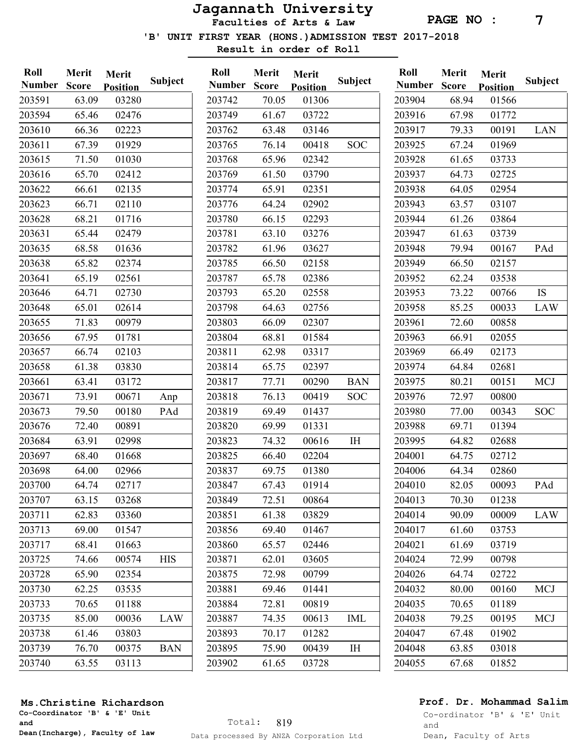PAGE NO : 7

'B' UNIT FIRST YEAR (HONS.)ADMISSION TEST 2017-2018

Result in order of Roll

| Roll<br><b>Number</b> | Merit<br><b>Score</b> | Merit<br><b>Position</b> | <b>Subject</b> | Roll<br><b>Number</b> | Merit<br><b>Score</b> | Merit<br><b>Position</b> | <b>Subject</b> | Roll<br><b>Number</b> | Merit<br><b>Score</b> | Merit<br><b>Position</b> | Subject    |
|-----------------------|-----------------------|--------------------------|----------------|-----------------------|-----------------------|--------------------------|----------------|-----------------------|-----------------------|--------------------------|------------|
| 203591                | 63.09                 | 03280                    |                | 203742                | 70.05                 | 01306                    |                | 203904                | 68.94                 | 01566                    |            |
| 203594                | 65.46                 | 02476                    |                | 203749                | 61.67                 | 03722                    |                | 203916                | 67.98                 | 01772                    |            |
| 203610                | 66.36                 | 02223                    |                | 203762                | 63.48                 | 03146                    |                | 203917                | 79.33                 | 00191                    | LAN        |
| 203611                | 67.39                 | 01929                    |                | 203765                | 76.14                 | 00418                    | <b>SOC</b>     | 203925                | 67.24                 | 01969                    |            |
| 203615                | 71.50                 | 01030                    |                | 203768                | 65.96                 | 02342                    |                | 203928                | 61.65                 | 03733                    |            |
| 203616                | 65.70                 | 02412                    |                | 203769                | 61.50                 | 03790                    |                | 203937                | 64.73                 | 02725                    |            |
| 203622                | 66.61                 | 02135                    |                | 203774                | 65.91                 | 02351                    |                | 203938                | 64.05                 | 02954                    |            |
| 203623                | 66.71                 | 02110                    |                | 203776                | 64.24                 | 02902                    |                | 203943                | 63.57                 | 03107                    |            |
| 203628                | 68.21                 | 01716                    |                | 203780                | 66.15                 | 02293                    |                | 203944                | 61.26                 | 03864                    |            |
| 203631                | 65.44                 | 02479                    |                | 203781                | 63.10                 | 03276                    |                | 203947                | 61.63                 | 03739                    |            |
| 203635                | 68.58                 | 01636                    |                | 203782                | 61.96                 | 03627                    |                | 203948                | 79.94                 | 00167                    | PAd        |
| 203638                | 65.82                 | 02374                    |                | 203785                | 66.50                 | 02158                    |                | 203949                | 66.50                 | 02157                    |            |
| 203641                | 65.19                 | 02561                    |                | 203787                | 65.78                 | 02386                    |                | 203952                | 62.24                 | 03538                    |            |
| 203646                | 64.71                 | 02730                    |                | 203793                | 65.20                 | 02558                    |                | 203953                | 73.22                 | 00766                    | <b>IS</b>  |
| 203648                | 65.01                 | 02614                    |                | 203798                | 64.63                 | 02756                    |                | 203958                | 85.25                 | 00033                    | LAW        |
| 203655                | 71.83                 | 00979                    |                | 203803                | 66.09                 | 02307                    |                | 203961                | 72.60                 | 00858                    |            |
| 203656                | 67.95                 | 01781                    |                | 203804                | 68.81                 | 01584                    |                | 203963                | 66.91                 | 02055                    |            |
| 203657                | 66.74                 | 02103                    |                | 203811                | 62.98                 | 03317                    |                | 203969                | 66.49                 | 02173                    |            |
| 203658                | 61.38                 | 03830                    |                | 203814                | 65.75                 | 02397                    |                | 203974                | 64.84                 | 02681                    |            |
| 203661                | 63.41                 | 03172                    |                | 203817                | 77.71                 | 00290                    | <b>BAN</b>     | 203975                | 80.21                 | 00151                    | <b>MCJ</b> |
| 203671                | 73.91                 | 00671                    | Anp            | 203818                | 76.13                 | 00419                    | <b>SOC</b>     | 203976                | 72.97                 | 00800                    |            |
| 203673                | 79.50                 | 00180                    | PAd            | 203819                | 69.49                 | 01437                    |                | 203980                | 77.00                 | 00343                    | <b>SOC</b> |
| 203676                | 72.40                 | 00891                    |                | 203820                | 69.99                 | 01331                    |                | 203988                | 69.71                 | 01394                    |            |
| 203684                | 63.91                 | 02998                    |                | 203823                | 74.32                 | 00616                    | $\rm I \rm H$  | 203995                | 64.82                 | 02688                    |            |
| 203697                | 68.40                 | 01668                    |                | 203825                | 66.40                 | 02204                    |                | 204001                | 64.75                 | 02712                    |            |
| 203698                | 64.00                 | 02966                    |                | 203837                | 69.75                 | 01380                    |                | 204006                | 64.34                 | 02860                    |            |
| 203700                | 64.74                 | 02717                    |                | 203847                | 67.43                 | 01914                    |                | 204010                | 82.05                 | 00093                    | PAd        |
| 203707                | 63.15                 | 03268                    |                | 203849                | 72.51                 | 00864                    |                | 204013                | 70.30                 | 01238                    |            |
| 203711                | 62.83                 | 03360                    |                | 203851                | 61.38                 | 03829                    |                | 204014                | 90.09                 | 00009                    | LAW        |
| 203713                | 69.00                 | 01547                    |                | 203856                | 69.40                 | 01467                    |                | 204017                | 61.60                 | 03753                    |            |
| 203717                | 68.41                 | 01663                    |                | 203860                | 65.57                 | 02446                    |                | 204021                | 61.69                 | 03719                    |            |
| 203725                | 74.66                 | 00574                    | <b>HIS</b>     | 203871                | 62.01                 | 03605                    |                | 204024                | 72.99                 | 00798                    |            |
| 203728                | 65.90                 | 02354                    |                | 203875                | 72.98                 | 00799                    |                | 204026                | 64.74                 | 02722                    |            |
| 203730                | 62.25                 | 03535                    |                | 203881                | 69.46                 | 01441                    |                | 204032                | 80.00                 | 00160                    | MCJ        |
| 203733                | 70.65                 | 01188                    |                | 203884                | 72.81                 | 00819                    |                | 204035                | 70.65                 | 01189                    |            |
| 203735                | 85.00                 | 00036                    | LAW            | 203887                | 74.35                 | 00613                    | <b>IML</b>     | 204038                | 79.25                 | 00195                    | MCJ        |
| 203738                | 61.46                 | 03803                    |                | 203893                | 70.17                 | 01282                    |                | 204047                | 67.48                 | 01902                    |            |
| 203739                | 76.70                 | 00375                    | <b>BAN</b>     | 203895                | 75.90                 | 00439                    | IH             | 204048                | 63.85                 | 03018                    |            |
| 203740                | 63.55                 | 03113                    |                | 203902                | 61.65                 | 03728                    |                | 204055                | 67.68                 | 01852                    |            |
|                       |                       |                          |                |                       |                       |                          |                |                       |                       |                          |            |

## Prof. Dr. Mohammad Salim

Co-ordinator 'B' & 'E' Unit and Dean, Faculty of Arts

## Ms.Christine Richardson

Co-Coordinator 'B' & 'E' Unit and Dean(Incharge), Faculty of law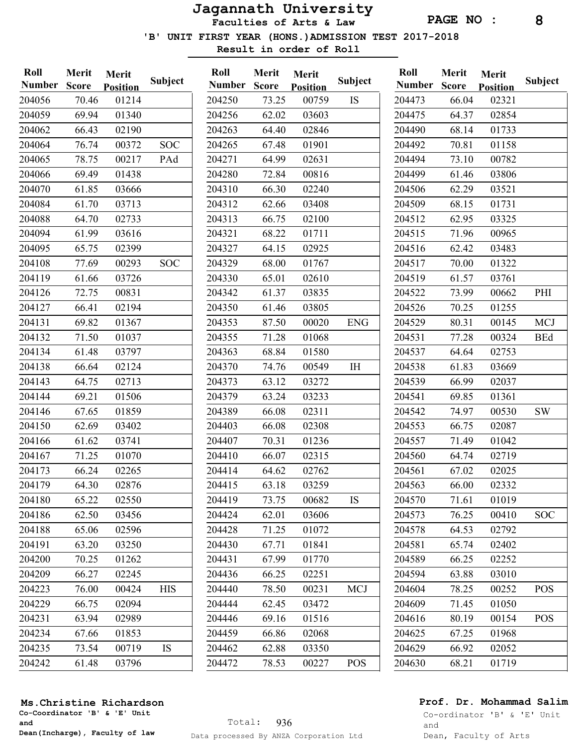Faculties of Arts & Law

PAGE NO : 8

'B' UNIT FIRST YEAR (HONS.)ADMISSION TEST 2017-2018

Result in order of Roll

| Roll<br><b>Number</b> | <b>Merit</b><br><b>Score</b> | Merit<br><b>Position</b> | <b>Subject</b> | Roll<br><b>Number</b> | Merit<br><b>Score</b> | Merit<br><b>Position</b> | <b>Subject</b> | Roll<br><b>Number</b> | Merit<br><b>Score</b> | Merit<br><b>Position</b> | Subject    |
|-----------------------|------------------------------|--------------------------|----------------|-----------------------|-----------------------|--------------------------|----------------|-----------------------|-----------------------|--------------------------|------------|
| 204056                | 70.46                        | 01214                    |                | 204250                | 73.25                 | 00759                    | <b>IS</b>      | 204473                | 66.04                 | 02321                    |            |
| 204059                | 69.94                        | 01340                    |                | 204256                | 62.02                 | 03603                    |                | 204475                | 64.37                 | 02854                    |            |
| 204062                | 66.43                        | 02190                    |                | 204263                | 64.40                 | 02846                    |                | 204490                | 68.14                 | 01733                    |            |
| 204064                | 76.74                        | 00372                    | <b>SOC</b>     | 204265                | 67.48                 | 01901                    |                | 204492                | 70.81                 | 01158                    |            |
| 204065                | 78.75                        | 00217                    | PAd            | 204271                | 64.99                 | 02631                    |                | 204494                | 73.10                 | 00782                    |            |
| 204066                | 69.49                        | 01438                    |                | 204280                | 72.84                 | 00816                    |                | 204499                | 61.46                 | 03806                    |            |
| 204070                | 61.85                        | 03666                    |                | 204310                | 66.30                 | 02240                    |                | 204506                | 62.29                 | 03521                    |            |
| 204084                | 61.70                        | 03713                    |                | 204312                | 62.66                 | 03408                    |                | 204509                | 68.15                 | 01731                    |            |
| 204088                | 64.70                        | 02733                    |                | 204313                | 66.75                 | 02100                    |                | 204512                | 62.95                 | 03325                    |            |
| 204094                | 61.99                        | 03616                    |                | 204321                | 68.22                 | 01711                    |                | 204515                | 71.96                 | 00965                    |            |
| 204095                | 65.75                        | 02399                    |                | 204327                | 64.15                 | 02925                    |                | 204516                | 62.42                 | 03483                    |            |
| 204108                | 77.69                        | 00293                    | <b>SOC</b>     | 204329                | 68.00                 | 01767                    |                | 204517                | 70.00                 | 01322                    |            |
| 204119                | 61.66                        | 03726                    |                | 204330                | 65.01                 | 02610                    |                | 204519                | 61.57                 | 03761                    |            |
| 204126                | 72.75                        | 00831                    |                | 204342                | 61.37                 | 03835                    |                | 204522                | 73.99                 | 00662                    | PHI        |
| 204127                | 66.41                        | 02194                    |                | 204350                | 61.46                 | 03805                    |                | 204526                | 70.25                 | 01255                    |            |
| 204131                | 69.82                        | 01367                    |                | 204353                | 87.50                 | 00020                    | <b>ENG</b>     | 204529                | 80.31                 | 00145                    | <b>MCJ</b> |
| 204132                | 71.50                        | 01037                    |                | 204355                | 71.28                 | 01068                    |                | 204531                | 77.28                 | 00324                    | <b>BEd</b> |
| 204134                | 61.48                        | 03797                    |                | 204363                | 68.84                 | 01580                    |                | 204537                | 64.64                 | 02753                    |            |
| 204138                | 66.64                        | 02124                    |                | 204370                | 74.76                 | 00549                    | I <sub>H</sub> | 204538                | 61.83                 | 03669                    |            |
| 204143                | 64.75                        | 02713                    |                | 204373                | 63.12                 | 03272                    |                | 204539                | 66.99                 | 02037                    |            |
| 204144                | 69.21                        | 01506                    |                | 204379                | 63.24                 | 03233                    |                | 204541                | 69.85                 | 01361                    |            |
| 204146                | 67.65                        | 01859                    |                | 204389                | 66.08                 | 02311                    |                | 204542                | 74.97                 | 00530                    | <b>SW</b>  |
| 204150                | 62.69                        | 03402                    |                | 204403                | 66.08                 | 02308                    |                | 204553                | 66.75                 | 02087                    |            |
| 204166                | 61.62                        | 03741                    |                | 204407                | 70.31                 | 01236                    |                | 204557                | 71.49                 | 01042                    |            |
| 204167                | 71.25                        | 01070                    |                | 204410                | 66.07                 | 02315                    |                | 204560                | 64.74                 | 02719                    |            |
| 204173                | 66.24                        | 02265                    |                | 204414                | 64.62                 | 02762                    |                | 204561                | 67.02                 | 02025                    |            |
| 204179                | 64.30                        | 02876                    |                | 204415                | 63.18                 | 03259                    |                | 204563                | 66.00                 | 02332                    |            |
| 204180                | 65.22                        | 02550                    |                | 204419                | 73.75                 | 00682                    | IS.            | 204570                | 71.61                 | 01019                    |            |
| 204186                | 62.50                        | 03456                    |                | 204424                | 62.01                 | 03606                    |                | 204573                | 76.25                 | 00410                    | <b>SOC</b> |
| 204188                | 65.06                        | 02596                    |                | 204428                | 71.25                 | 01072                    |                | 204578                | 64.53                 | 02792                    |            |
| 204191                | 63.20                        | 03250                    |                | 204430                | 67.71                 | 01841                    |                | 204581                | 65.74                 | 02402                    |            |
| 204200                | 70.25                        | 01262                    |                | 204431                | 67.99                 | 01770                    |                | 204589                | 66.25                 | 02252                    |            |
| 204209                | 66.27                        | 02245                    |                | 204436                | 66.25                 | 02251                    |                | 204594                | 63.88                 | 03010                    |            |
| 204223                | 76.00                        | 00424                    | <b>HIS</b>     | 204440                | 78.50                 | 00231                    | <b>MCJ</b>     | 204604                | 78.25                 | 00252                    | <b>POS</b> |
| 204229                | 66.75                        | 02094                    |                | 204444                | 62.45                 | 03472                    |                | 204609                | 71.45                 | 01050                    |            |
| 204231                | 63.94                        | 02989                    |                | 204446                | 69.16                 | 01516                    |                | 204616                | 80.19                 | 00154                    | <b>POS</b> |
| 204234                | 67.66                        | 01853                    |                | 204459                | 66.86                 | 02068                    |                | 204625                | 67.25                 | 01968                    |            |
| 204235                | 73.54                        | 00719                    | IS             | 204462                | 62.88                 | 03350                    |                | 204629                | 66.92                 | 02052                    |            |
| 204242                | 61.48                        | 03796                    |                | 204472                | 78.53                 | 00227                    | <b>POS</b>     | 204630                | 68.21                 | 01719                    |            |

### Ms.Christine Richardson

Co-Coordinator 'B' & 'E' Unit and Dean(Incharge), Faculty of law

## Prof. Dr. Mohammad Salim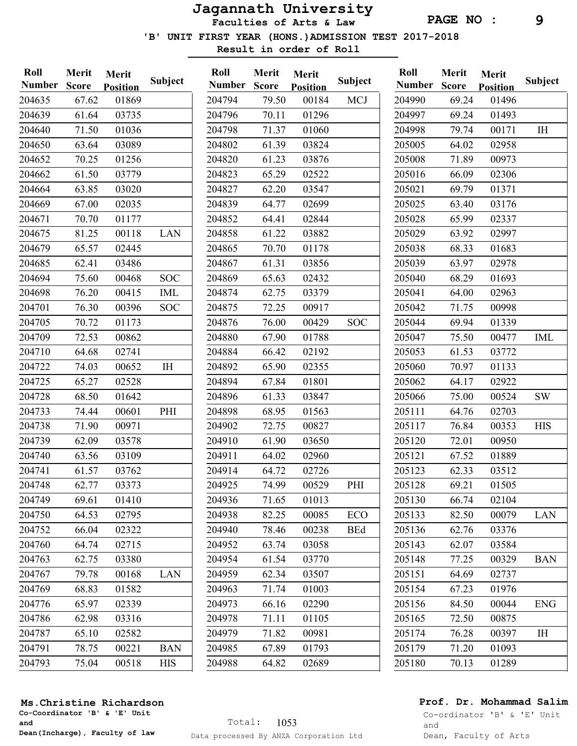PAGE NO : 9

'B' UNIT FIRST YEAR (HONS.)ADMISSION TEST 2017-2018

Result in order of Roll

| Roll<br><b>Number</b> | Merit<br><b>Score</b> | <b>Merit</b><br><b>Position</b> | Subject      | Roll<br><b>Number</b> | <b>Merit</b><br><b>Score</b> | <b>Merit</b><br><b>Position</b> | Subject    | Roll<br><b>Number</b> | Merit<br><b>Score</b> | Merit<br><b>Position</b> | <b>Subject</b> |
|-----------------------|-----------------------|---------------------------------|--------------|-----------------------|------------------------------|---------------------------------|------------|-----------------------|-----------------------|--------------------------|----------------|
| 204635                | 67.62                 | 01869                           |              | 204794                | 79.50                        | 00184                           | <b>MCJ</b> | 204990                | 69.24                 | 01496                    |                |
| 204639                | 61.64                 | 03735                           |              | 204796                | 70.11                        | 01296                           |            | 204997                | 69.24                 | 01493                    |                |
| 204640                | 71.50                 | 01036                           |              | 204798                | 71.37                        | 01060                           |            | 204998                | 79.74                 | 00171                    | IH             |
| 204650                | 63.64                 | 03089                           |              | 204802                | 61.39                        | 03824                           |            | 205005                | 64.02                 | 02958                    |                |
| 204652                | 70.25                 | 01256                           |              | 204820                | 61.23                        | 03876                           |            | 205008                | 71.89                 | 00973                    |                |
| 204662                | 61.50                 | 03779                           |              | 204823                | 65.29                        | 02522                           |            | 205016                | 66.09                 | 02306                    |                |
| 204664                | 63.85                 | 03020                           |              | 204827                | 62.20                        | 03547                           |            | 205021                | 69.79                 | 01371                    |                |
| 204669                | 67.00                 | 02035                           |              | 204839                | 64.77                        | 02699                           |            | 205025                | 63.40                 | 03176                    |                |
| 204671                | 70.70                 | 01177                           |              | 204852                | 64.41                        | 02844                           |            | 205028                | 65.99                 | 02337                    |                |
| 204675                | 81.25                 | 00118                           | LAN          | 204858                | 61.22                        | 03882                           |            | 205029                | 63.92                 | 02997                    |                |
| 204679                | 65.57                 | 02445                           |              | 204865                | 70.70                        | 01178                           |            | 205038                | 68.33                 | 01683                    |                |
| 204685                | 62.41                 | 03486                           |              | 204867                | 61.31                        | 03856                           |            | 205039                | 63.97                 | 02978                    |                |
| 204694                | 75.60                 | 00468                           | <b>SOC</b>   | 204869                | 65.63                        | 02432                           |            | 205040                | 68.29                 | 01693                    |                |
| 204698                | 76.20                 | 00415                           | <b>IML</b>   | 204874                | 62.75                        | 03379                           |            | 205041                | 64.00                 | 02963                    |                |
| 204701                | 76.30                 | 00396                           | <b>SOC</b>   | 204875                | 72.25                        | 00917                           |            | 205042                | 71.75                 | 00998                    |                |
| 204705                | 70.72                 | 01173                           |              | 204876                | 76.00                        | 00429                           | <b>SOC</b> | 205044                | 69.94                 | 01339                    |                |
| 204709                | 72.53                 | 00862                           |              | 204880                | 67.90                        | 01788                           |            | 205047                | 75.50                 | 00477                    | <b>IML</b>     |
| 204710                | 64.68                 | 02741                           |              | 204884                | 66.42                        | 02192                           |            | 205053                | 61.53                 | 03772                    |                |
| 204722                | 74.03                 | 00652                           | $\rm I\rm H$ | 204892                | 65.90                        | 02355                           |            | 205060                | 70.97                 | 01133                    |                |
| 204725                | 65.27                 | 02528                           |              | 204894                | 67.84                        | 01801                           |            | 205062                | 64.17                 | 02922                    |                |
| 204728                | 68.50                 | 01642                           |              | 204896                | 61.33                        | 03847                           |            | 205066                | 75.00                 | 00524                    | <b>SW</b>      |
| 204733                | 74.44                 | 00601                           | PHI          | 204898                | 68.95                        | 01563                           |            | 205111                | 64.76                 | 02703                    |                |
| 204738                | 71.90                 | 00971                           |              | 204902                | 72.75                        | 00827                           |            | 205117                | 76.84                 | 00353                    | <b>HIS</b>     |
| 204739                | 62.09                 | 03578                           |              | 204910                | 61.90                        | 03650                           |            | 205120                | 72.01                 | 00950                    |                |
| 204740                | 63.56                 | 03109                           |              | 204911                | 64.02                        | 02960                           |            | 205121                | 67.52                 | 01889                    |                |
| 204741                | 61.57                 | 03762                           |              | 204914                | 64.72                        | 02726                           |            | 205123                | 62.33                 | 03512                    |                |
| 204748                | 62.77                 | 03373                           |              | 204925                | 74.99                        | 00529                           | PHI        | 205128                | 69.21                 | 01505                    |                |
| 204749                | 69.61                 | 01410                           |              | 204936                | 71.65                        | 01013                           |            | 205130                | 66.74                 | 02104                    |                |
| 204750                | 64.53                 | 02795                           |              | 204938                | 82.25                        | 00085                           | ECO        | 205133                | 82.50                 | 00079                    | LAN            |
| 204752                | 66.04                 | 02322                           |              | 204940                | 78.46                        | 00238                           | <b>BEd</b> | 205136                | 62.76                 | 03376                    |                |
| 204760                | 64.74                 | 02715                           |              | 204952                | 63.74                        | 03058                           |            | 205143                | 62.07                 | 03584                    |                |
| 204763                | 62.75                 | 03380                           |              | 204954                | 61.54                        | 03770                           |            | 205148                | 77.25                 | 00329                    | <b>BAN</b>     |
| 204767                | 79.78                 | 00168                           | <b>LAN</b>   | 204959                | 62.34                        | 03507                           |            | 205151                | 64.69                 | 02737                    |                |
| 204769                | 68.83                 | 01582                           |              | 204963                | 71.74                        | 01003                           |            | 205154                | 67.23                 | 01976                    |                |
| 204776                | 65.97                 | 02339                           |              | 204973                | 66.16                        | 02290                           |            | 205156                | 84.50                 | 00044                    | <b>ENG</b>     |
| 204786                | 62.98                 | 03316                           |              | 204978                | 71.11                        | 01105                           |            | 205165                | 72.50                 | 00875                    |                |
| 204787                | 65.10                 | 02582                           |              | 204979                | 71.82                        | 00981                           |            | 205174                | 76.28                 | 00397                    | IH             |
| 204791                | 78.75                 | 00221                           | <b>BAN</b>   | 204985                | 67.89                        | 01793                           |            | 205179                | 71.20                 | 01093                    |                |
| 204793                | 75.04                 | 00518                           | <b>HIS</b>   | 204988                | 64.82                        | 02689                           |            | 205180                | 70.13                 | 01289                    |                |

#### Ms.Christine Richardson

Co-Coordinator 'B' & 'E' Unit and Dean(Incharge), Faculty of law

## Prof. Dr. Mohammad Salim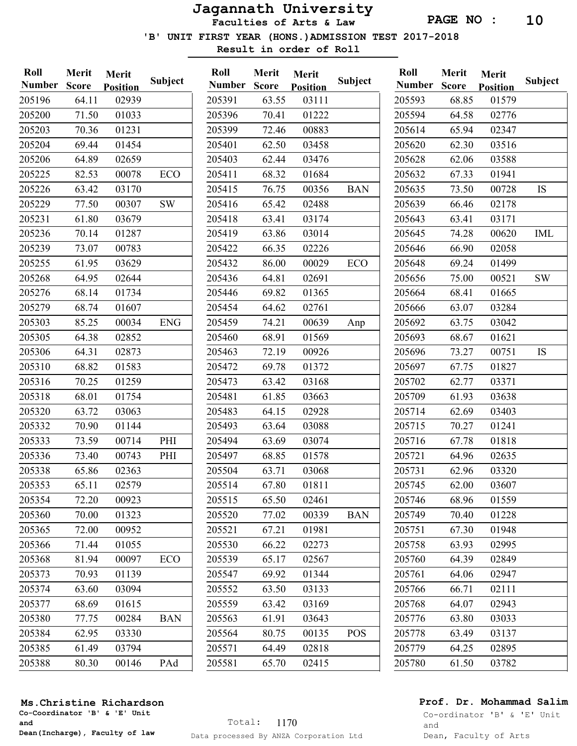Faculties of Arts & Law

'B' UNIT FIRST YEAR (HONS.)ADMISSION TEST 2017-2018

Result in order of Roll

Merit Merit

| Roll          | Merit        | Merit           |            | Roll        |
|---------------|--------------|-----------------|------------|-------------|
| <b>Number</b> | <b>Score</b> | <b>Position</b> | Subject    | <b>Numb</b> |
| 205196        | 64.11        | 02939           |            | 205391      |
| 205200        | 71.50        | 01033           |            | 205396      |
| 205203        | 70.36        | 01231           |            | 205399      |
| 205204        | 69.44        | 01454           |            | 205401      |
| 205206        | 64.89        | 02659           |            | 205403      |
| 205225        | 82.53        | 00078           | <b>ECO</b> | 205411      |
| 205226        | 63.42        | 03170           |            | 205415      |
| 205229        | 77.50        | 00307           | <b>SW</b>  | 205416      |
| 205231        | 61.80        | 03679           |            | 205418      |
| 205236        | 70.14        | 01287           |            | 205419      |
| 205239        | 73.07        | 00783           |            | 205422      |
| 205255        | 61.95        | 03629           |            | 205432      |
| 205268        | 64.95        | 02644           |            | 205436      |
| 205276        | 68.14        | 01734           |            | 205446      |
| 205279        | 68.74        | 01607           |            | 205454      |
| 205303        | 85.25        | 00034           | <b>ENG</b> | 205459      |
| 205305        | 64.38        | 02852           |            | 205460      |
| 205306        | 64.31        | 02873           |            | 205463      |
| 205310        | 68.82        | 01583           |            | 205472      |
| 205316        | 70.25        | 01259           |            | 205473      |
| 205318        | 68.01        | 01754           |            | 205481      |
| 205320        | 63.72        | 03063           |            | 205483      |
| 205332        | 70.90        | 01144           |            | 205493      |
| 205333        | 73.59        | 00714           | PHI        | 205494      |
| 205336        | 73.40        | 00743           | PHI        | 205497      |
| 205338        | 65.86        | 02363           |            | 205504      |
| 205353        | 65.11        | 02579           |            | 205514      |
| 205354        | 72.20        | 00923           |            | 205515      |
| 205360        | 70.00        | 01323           |            | 205520      |
| 205365        | 72.00        | 00952           |            | 205521      |
| 205366        | 71.44        | 01055           |            | 205530      |
| 205368        | 81.94        | 00097           | ECO        | 205539      |
| 205373        | 70.93        | 01139           |            | 205547      |
| 205374        | 63.60        | 03094           |            | 205552      |
| 205377        | 68.69        | 01615           |            | 205559      |
| 205380        | 77.75        | 00284           | <b>BAN</b> | 205563      |
| 205384        | 62.95        | 03330           |            | 205564      |
| 205385        | 61.49        | 03794           |            | 205571      |
| 205388        | 80.30        | 00146           | PAd        | 205581      |
|               |              |                 |            |             |

|               | <b>IMELIL</b> | Merit           |            |
|---------------|---------------|-----------------|------------|
| <b>Number</b> | Score         | <b>Position</b> | Subject    |
| 205391        | 63.55         | 03111           |            |
| 205396        | 70.41         | 01222           |            |
| 205399        | 72.46         | 00883           |            |
| 205401        | 62.50         | 03458           |            |
| 205403        | 62.44         | 03476           |            |
| 205411        | 68.32         | 01684           |            |
| 205415        | 76.75         | 00356           | <b>BAN</b> |
| 205416        | 65.42         | 02488           |            |
| 205418        | 63.41         | 03174           |            |
| 205419        | 63.86         | 03014           |            |
| 205422        | 66.35         | 02226           |            |
| 205432        | 86.00         | 00029           | <b>ECO</b> |
| 205436        | 64.81         | 02691           |            |
| 205446        | 69.82         | 01365           |            |
| 205454        | 64.62         | 02761           |            |
| 205459        | 74.21         | 00639           | Anp        |
| 205460        | 68.91         | 01569           |            |
| 205463        | 72.19         | 00926           |            |
| 205472        | 69.78         | 01372           |            |
| 205473        | 63.42         | 03168           |            |
| 205481        | 61.85         | 03663           |            |
| 205483        | 64.15         | 02928           |            |
| 205493        | 63.64         | 03088           |            |
| 205494        | 63.69         | 03074           |            |
| 205497        | 68.85         | 01578           |            |
| 205504        | 63.71         | 03068           |            |
| 205514        | 67.80         | 01811           |            |
| 205515        | 65.50         | 02461           |            |
| 205520        | 77.02         | 00339           | <b>BAN</b> |
| 205521        | 67.21         | 01981           |            |
| 205530        | 66.22         | 02273           |            |
| 205539        | 65.17         | 02567           |            |
| 205547        | 69.92         | 01344           |            |
| 205552        | 63.50         | 03133           |            |
| 205559        | 63.42         | 03169           |            |
| 205563        | 61.91         | 03643           |            |
| 205564        | 80.75         | 00135           | <b>POS</b> |
| 205571        | 64.49         | 02818           |            |
| 205581        | 65.70         | 02415           |            |
|               |               |                 |            |

| Roll          | Merit        | Merit           |           |  |  |
|---------------|--------------|-----------------|-----------|--|--|
| <b>Number</b> | <b>Score</b> | <b>Position</b> | Subject   |  |  |
| 205593        | 68.85        | 01579           |           |  |  |
| 205594        | 64.58        | 02776           |           |  |  |
| 205614        | 65.94        | 02347           |           |  |  |
| 205620        | 62.30        | 03516           |           |  |  |
| 205628        | 62.06        | 03588           |           |  |  |
| 205632        | 67.33        | 01941           |           |  |  |
| 205635        | 73.50        | 00728           | IS        |  |  |
| 205639        | 66.46        | 02178           |           |  |  |
| 205643        | 63.41        | 03171           |           |  |  |
| 205645        | 74.28        | 00620           | IML       |  |  |
| 205646        | 66.90        | 02058           |           |  |  |
| 205648        | 69.24        | 01499           |           |  |  |
| 205656        | 75.00        | 00521           | <b>SW</b> |  |  |
| 205664        | 68.41        | 01665           |           |  |  |
| 205666        | 63.07        | 03284           |           |  |  |
| 205692        | 63.75        | 03042           |           |  |  |
| 205693        | 68.67        | 01621           |           |  |  |
| 205696        | 73.27        | 00751           | IS        |  |  |
| 205697        | 67.75        | 01827           |           |  |  |
| 205702        | 62.77        | 03371           |           |  |  |
| 205709        | 61.93        | 03638           |           |  |  |
| 205714        | 62.69        | 03403           |           |  |  |
| 205715        | 70.27        | 01241           |           |  |  |
| 205716        | 67.78        | 01818           |           |  |  |
| 205721        | 64.96        | 02635           |           |  |  |
| 205731        | 62.96        | 03320           |           |  |  |
| 205745        | 62.00        | 03607           |           |  |  |
| 205746        | 68.96        | 01559           |           |  |  |
| 205749        | 70.40        | 01228           |           |  |  |
| 205751        | 67.30        | 01948           |           |  |  |
| 205758        | 63.93        | 02995           |           |  |  |
| 205760        | 64.39        | 02849           |           |  |  |
| 205761        | 64.06        | 02947           |           |  |  |
| 205766        | 66.71        | 02111           |           |  |  |
| 205768        | 64.07        | 02943           |           |  |  |
| 205776        | 63.80        | 03033           |           |  |  |
| 205778        | 63.49        | 03137           |           |  |  |
| 205779        | 64.25        | 02895           |           |  |  |
| 205780        | 61.50        | 03782           |           |  |  |
|               |              |                 |           |  |  |

#### Ms.Christine Richardson

Co-Coordinator 'B' & 'E' Unit and Dean(Incharge), Faculty of law

## Prof. Dr. Mohammad Salim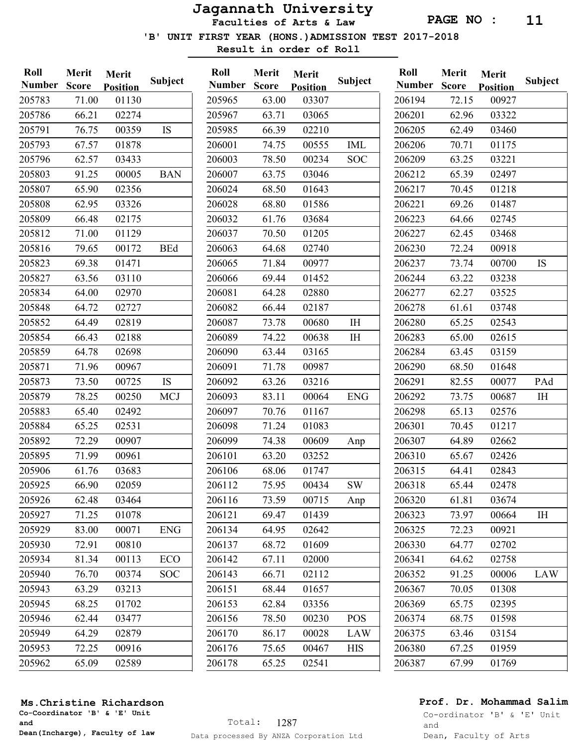Faculties of Arts & Law

'B' UNIT FIRST YEAR (HONS.)ADMISSION TEST 2017-2018

Result in order of Roll

| Roll<br><b>Number</b> | Merit<br><b>Score</b> | Merit<br><b>Position</b> | Subject    | Roll<br><b>Number</b> | Merit<br><b>Score</b> | Merit<br><b>Positio</b> |
|-----------------------|-----------------------|--------------------------|------------|-----------------------|-----------------------|-------------------------|
| 205783                | 71.00                 | 01130                    |            | 205965                | 63.00                 | 033(                    |
| 205786                | 66.21                 | 02274                    |            | 205967                | 63.71                 | 030                     |
| 205791                | 76.75                 | 00359                    | IS         | 205985                | 66.39                 | 022                     |
| 205793                | 67.57                 | 01878                    |            | 206001                | 74.75                 | 005                     |
| 205796                | 62.57                 | 03433                    |            | 206003                | 78.50                 | 002                     |
| 205803                | 91.25                 | 00005                    | <b>BAN</b> | 206007                | 63.75                 | 030                     |
| 205807                | 65.90                 | 02356                    |            | 206024                | 68.50                 | 016                     |
| 205808                | 62.95                 | 03326                    |            | 206028                | 68.80                 | 015                     |
| 205809                | 66.48                 | 02175                    |            | 206032                | 61.76                 | 036                     |
| 205812                | 71.00                 | 01129                    |            | 206037                | 70.50                 | 012(                    |
| 205816                | 79.65                 | 00172                    | <b>BEd</b> | 206063                | 64.68                 | $027 -$                 |
| 205823                | 69.38                 | 01471                    |            | 206065                | 71.84                 | 009'                    |
| 205827                | 63.56                 | 03110                    |            | 206066                | 69.44                 | 014                     |
| 205834                | 64.00                 | 02970                    |            | 206081                | 64.28                 | 028                     |
| 205848                | 64.72                 | 02727                    |            | 206082                | 66.44                 | 021                     |
| 205852                | 64.49                 | 02819                    |            | 206087                | 73.78                 | 006                     |
| 205854                | 66.43                 | 02188                    |            | 206089                | 74.22                 | 006                     |
| 205859                | 64.78                 | 02698                    |            | 206090                | 63.44                 | 031(                    |
| 205871                | 71.96                 | 00967                    |            | 206091                | 71.78                 | 009                     |
| 205873                | 73.50                 | 00725                    | IS         | 206092                | 63.26                 | 032                     |
| 205879                | 78.25                 | 00250                    | <b>MCJ</b> | 206093                | 83.11                 | 000(                    |
| 205883                | 65.40                 | 02492                    |            | 206097                | 70.76                 | 011                     |
| 205884                | 65.25                 | 02531                    |            | 206098                | 71.24                 | 010                     |
| 205892                | 72.29                 | 00907                    |            | 206099                | 74.38                 | 006                     |
| 205895                | 71.99                 | 00961                    |            | 206101                | 63.20                 | 032.                    |
| 205906                | 61.76                 | 03683                    |            | 206106                | 68.06                 | $017-$                  |
| 205925                | 66.90                 | 02059                    |            | 206112                | 75.95                 | 004                     |
| 205926                | 62.48                 | 03464                    |            | 206116                | 73.59                 | 007                     |
| 205927                | 71.25                 | 01078                    |            | 206121                | 69.47                 | 014                     |
| 205929                | 83.00                 | 00071                    | <b>ENG</b> | 206134                | 64.95                 | 026                     |
| 205930                | 72.91                 | 00810                    |            | 206137                | 68.72                 | 016                     |
| 205934                | 81.34                 | 00113                    | ECO        | 206142                | 67.11                 | 020                     |
| 205940                | 76.70                 | 00374                    | <b>SOC</b> | 206143                | 66.71                 | 021                     |
| 205943                | 63.29                 | 03213                    |            | 206151                | 68.44                 | 016                     |
| 205945                | 68.25                 | 01702                    |            | 206153                | 62.84                 | 033                     |
| 205946                | 62.44                 | 03477                    |            | 206156                | 78.50                 | 002                     |
| 205949                | 64.29                 | 02879                    |            | 206170                | 86.17                 | 000                     |
| 205953                | 72.25                 | 00916                    |            | 206176                | 75.65                 | 004                     |
| 205962                | 65.09                 | 02589                    |            | 206178                | 65.25                 | $025 -$                 |

| Number Score |       | <b>Position</b> | Subject    |  |  |
|--------------|-------|-----------------|------------|--|--|
| 205965       | 63.00 | 03307           |            |  |  |
| 205967       | 63.71 | 03065           |            |  |  |
| 205985       | 66.39 | 02210           |            |  |  |
| 206001       | 74.75 | 00555           | IML        |  |  |
| 206003       | 78.50 | 00234           | <b>SOC</b> |  |  |
| 206007       | 63.75 | 03046           |            |  |  |
| 206024       | 68.50 | 01643           |            |  |  |
| 206028       | 68.80 | 01586           |            |  |  |
| 206032       | 61.76 | 03684           |            |  |  |
| 206037       | 70.50 | 01205           |            |  |  |
| 206063       | 64.68 | 02740           |            |  |  |
| 206065       | 71.84 | 00977           |            |  |  |
| 206066       | 69.44 | 01452           |            |  |  |
| 206081       | 64.28 | 02880           |            |  |  |
| 206082       | 66.44 | 02187           |            |  |  |
| 206087       | 73.78 | 00680           | $I\!H$     |  |  |
| 206089       | 74.22 | 00638           | IH         |  |  |
| 206090       | 63.44 | 03165           |            |  |  |
| 206091       | 71.78 | 00987           |            |  |  |
| 206092       | 63.26 | 03216           |            |  |  |
| 206093       | 83.11 | 00064           | <b>ENG</b> |  |  |
| 206097       | 70.76 | 01167           |            |  |  |
| 206098       | 71.24 | 01083           |            |  |  |
| 206099       | 74.38 | 00609           | Anp        |  |  |
| 206101       | 63.20 | 03252           |            |  |  |
| 206106       | 68.06 | 01747           |            |  |  |
| 206112       | 75.95 | 00434           | SW         |  |  |
| 206116       | 73.59 | 00715           | Anp        |  |  |
| 206121       | 69.47 | 01439           |            |  |  |
| 206134       | 64.95 | 02642           |            |  |  |
| 206137       | 68.72 | 01609           |            |  |  |
| 206142       | 67.11 | 02000           |            |  |  |
| 206143       | 66.71 | 02112           |            |  |  |
| 206151       | 68.44 | 01657           |            |  |  |
| 206153       | 62.84 | 03356           |            |  |  |
| 206156       | 78.50 | 00230           | POS        |  |  |
| 206170       | 86.17 | 00028           | LAW        |  |  |
| 206176       | 75.65 | 00467           | <b>HIS</b> |  |  |
| 206178       | 65.25 | 02541           |            |  |  |
|              |       |                 |            |  |  |

| Roll          | Merit        | Merit           |            |  |  |
|---------------|--------------|-----------------|------------|--|--|
| <b>Number</b> | <b>Score</b> | <u>Position</u> | Subject    |  |  |
| 206194        | 72.15        | 00927           |            |  |  |
| 206201        | 62.96        | 03322           |            |  |  |
| 206205        | 62.49        | 03460           |            |  |  |
| 206206        | 70.71        | 01175           |            |  |  |
| 206209        | 63.25        | 03221           |            |  |  |
| 206212        | 65.39        | 02497           |            |  |  |
| 206217        | 70.45        | 01218           |            |  |  |
| 206221        | 69.26        | 01487           |            |  |  |
| 206223        | 64.66        | 02745           |            |  |  |
| 206227        | 62.45        | 03468           |            |  |  |
| 206230        | 72.24        | 00918           |            |  |  |
| 206237        | 73.74        | 00700           | IS         |  |  |
| 206244        | 63.22        | 03238           |            |  |  |
| 206277        | 62.27        | 03525           |            |  |  |
| 206278        | 61.61        | 03748           |            |  |  |
| 206280        | 65.25        | 02543           |            |  |  |
| 206283        | 65.00        | 02615           |            |  |  |
| 206284        | 63.45        | 03159           |            |  |  |
| 206290        | 68.50        | 01648           |            |  |  |
| 206291        | 82.55        | 00077           | PAd        |  |  |
| 206292        | 73.75        | 00687           | IH         |  |  |
| 206298        | 65.13        | 02576           |            |  |  |
| 206301        | 70.45        | 01217           |            |  |  |
| 206307        | 64.89        | 02662           |            |  |  |
| 206310        | 65.67        | 02426           |            |  |  |
| 206315        | 64.41        | 02843           |            |  |  |
| 206318        | 65.44        | 02478           |            |  |  |
| 206320        | 61.81        | 03674           |            |  |  |
| 206323        | 73.97        | 00664           | ΙH         |  |  |
| 206325        | 72.23        | 00921           |            |  |  |
| 206330        | 64.77        | 02702           |            |  |  |
| 206341        | 64.62        | 02758           |            |  |  |
| 206352        | 91.25        | 00006           | <b>LAW</b> |  |  |
| 206367        | 70.05        | 01308           |            |  |  |
| 206369        | 65.75        | 02395           |            |  |  |
| 206374        | 68.75        | 01598           |            |  |  |
| 206375        | 63.46        | 03154           |            |  |  |
| 206380        | 67.25        | 01959           |            |  |  |
| 206387        | 67.99        | 01769           |            |  |  |
|               |              |                 |            |  |  |

## Prof. Dr. Mohammad Salim

Co-Coordinator 'B' & 'E' Unit and Dean(Incharge), Faculty of law

Ms.Christine Richardson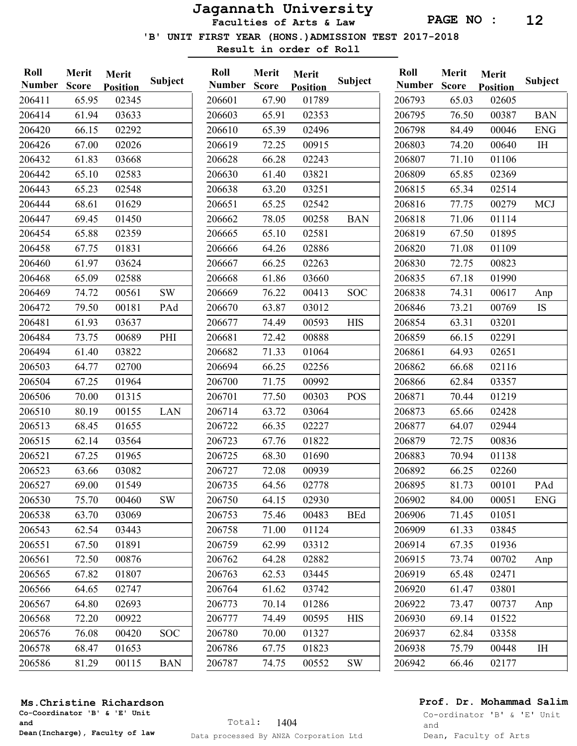Faculties of Arts & Law

'B' UNIT FIRST YEAR (HONS.)ADMISSION TEST 2017-2018

Result in order of Roll

| Roll<br><b>Number</b> | Merit<br><b>Score</b> | Merit<br><b>Position</b> | <b>Subject</b> | Roll<br><b>Number</b> | Merit<br><b>Score</b> | Merit<br><b>Position</b> | Subject       | Roll<br><b>Number</b> | Merit<br><b>Score</b> | Merit<br><b>Position</b> | <b>Subject</b> |
|-----------------------|-----------------------|--------------------------|----------------|-----------------------|-----------------------|--------------------------|---------------|-----------------------|-----------------------|--------------------------|----------------|
| 206411                | 65.95                 | 02345                    |                | 206601                | 67.90                 | 01789                    |               | 206793                | 65.03                 | 02605                    |                |
| 206414                | 61.94                 | 03633                    |                | 206603                | 65.91                 | 02353                    |               | 206795                | 76.50                 | 00387                    | <b>BAN</b>     |
| 206420                | 66.15                 | 02292                    |                | 206610                | 65.39                 | 02496                    |               | 206798                | 84.49                 | 00046                    | <b>ENG</b>     |
| 206426                | 67.00                 | 02026                    |                | 206619                | 72.25                 | 00915                    |               | 206803                | 74.20                 | 00640                    | IH             |
| 206432                | 61.83                 | 03668                    |                | 206628                | 66.28                 | 02243                    |               | 206807                | 71.10                 | 01106                    |                |
| 206442                | 65.10                 | 02583                    |                | 206630                | 61.40                 | 03821                    |               | 206809                | 65.85                 | 02369                    |                |
| 206443                | 65.23                 | 02548                    |                | 206638                | 63.20                 | 03251                    |               | 206815                | 65.34                 | 02514                    |                |
| 206444                | 68.61                 | 01629                    |                | 206651                | 65.25                 | 02542                    |               | 206816                | 77.75                 | 00279                    | <b>MCJ</b>     |
| 206447                | 69.45                 | 01450                    |                | 206662                | 78.05                 | 00258                    | <b>BAN</b>    | 206818                | 71.06                 | 01114                    |                |
| 206454                | 65.88                 | 02359                    |                | 206665                | 65.10                 | 02581                    |               | 206819                | 67.50                 | 01895                    |                |
| 206458                | 67.75                 | 01831                    |                | 206666                | 64.26                 | 02886                    |               | 206820                | 71.08                 | 01109                    |                |
| 206460                | 61.97                 | 03624                    |                | 206667                | 66.25                 | 02263                    |               | 206830                | 72.75                 | 00823                    |                |
| 206468                | 65.09                 | 02588                    |                | 206668                | 61.86                 | 03660                    |               | 206835                | 67.18                 | 01990                    |                |
| 206469                | 74.72                 | 00561                    | <b>SW</b>      | 206669                | 76.22                 | 00413                    | <b>SOC</b>    | 206838                | 74.31                 | 00617                    | Anp            |
| 206472                | 79.50                 | 00181                    | PAd            | 206670                | 63.87                 | 03012                    |               | 206846                | 73.21                 | 00769                    | IS             |
| 206481                | 61.93                 | 03637                    |                | 206677                | 74.49                 | 00593                    | <b>HIS</b>    | 206854                | 63.31                 | 03201                    |                |
| 206484                | 73.75                 | 00689                    | PHI            | 206681                | 72.42                 | 00888                    |               | 206859                | 66.15                 | 02291                    |                |
| 206494                | 61.40                 | 03822                    |                | 206682                | 71.33                 | 01064                    |               | 206861                | 64.93                 | 02651                    |                |
| 206503                | 64.77                 | 02700                    |                | 206694                | 66.25                 | 02256                    |               | 206862                | 66.68                 | 02116                    |                |
| 206504                | 67.25                 | 01964                    |                | 206700                | 71.75                 | 00992                    |               | 206866                | 62.84                 | 03357                    |                |
| 206506                | 70.00                 | 01315                    |                | 206701                | 77.50                 | 00303                    | POS           | 206871                | 70.44                 | 01219                    |                |
| 206510                | 80.19                 | 00155                    | LAN            | 206714                | 63.72                 | 03064                    |               | 206873                | 65.66                 | 02428                    |                |
| 206513                | 68.45                 | 01655                    |                | 206722                | 66.35                 | 02227                    |               | 206877                | 64.07                 | 02944                    |                |
| 206515                | 62.14                 | 03564                    |                | 206723                | 67.76                 | 01822                    |               | 206879                | 72.75                 | 00836                    |                |
| 206521                | 67.25                 | 01965                    |                | 206725                | 68.30                 | 01690                    |               | 206883                | 70.94                 | 01138                    |                |
| 206523                | 63.66                 | 03082                    |                | 206727                | 72.08                 | 00939                    |               | 206892                | 66.25                 | 02260                    |                |
| 206527                | 69.00                 | 01549                    |                | 206735                | 64.56                 | 02778                    |               | 206895                | 81.73                 | 00101                    | PAd            |
| 206530                | 75.70                 | 00460                    | <b>SW</b>      | 206750                | 64.15                 | 02930                    |               | 206902                | 84.00                 | 00051                    | <b>ENG</b>     |
| 206538                | 63.70                 | 03069                    |                | 206753                | 75.46                 | 00483                    | <b>BEd</b>    | 206906                | 71.45                 | 01051                    |                |
| 206543                | 62.54                 | 03443                    |                | 206758                | 71.00                 | 01124                    |               | 206909                | 61.33                 | 03845                    |                |
| 206551                | 67.50                 | 01891                    |                | 206759                | 62.99                 | 03312                    |               | 206914                | 67.35                 | 01936                    |                |
| 206561                | 72.50                 | 00876                    |                | 206762                | 64.28                 | 02882                    |               | 206915                | 73.74                 | 00702                    | Anp            |
| 206565                | 67.82                 | 01807                    |                | 206763                | 62.53                 | 03445                    |               | 206919                | 65.48                 | 02471                    |                |
| 206566                | 64.65                 | 02747                    |                | 206764                | 61.62                 | 03742                    |               | 206920                | 61.47                 | 03801                    |                |
| 206567                | 64.80                 | 02693                    |                | 206773                | 70.14                 | 01286                    |               | 206922                | 73.47                 | 00737                    | Anp            |
| 206568                | 72.20                 | 00922                    |                | 206777                | 74.49                 | 00595                    | <b>HIS</b>    | 206930                | 69.14                 | 01522                    |                |
| 206576                | 76.08                 | 00420                    | <b>SOC</b>     | 206780                | 70.00                 | 01327                    |               | 206937                | 62.84                 | 03358                    |                |
| 206578                | 68.47                 | 01653                    |                | 206786                | 67.75                 | 01823                    |               | 206938                | 75.79                 | 00448                    | IH             |
| 206586                | 81.29                 | 00115                    | <b>BAN</b>     | 206787                | 74.75                 | 00552                    | $\mathrm{SW}$ | 206942                | 66.46                 | 02177                    |                |
|                       |                       |                          |                |                       |                       |                          |               |                       |                       |                          |                |

## Ms.Christine Richardson

Co-Coordinator 'B' & 'E' Unit and Dean(Incharge), Faculty of law

## Prof. Dr. Mohammad Salim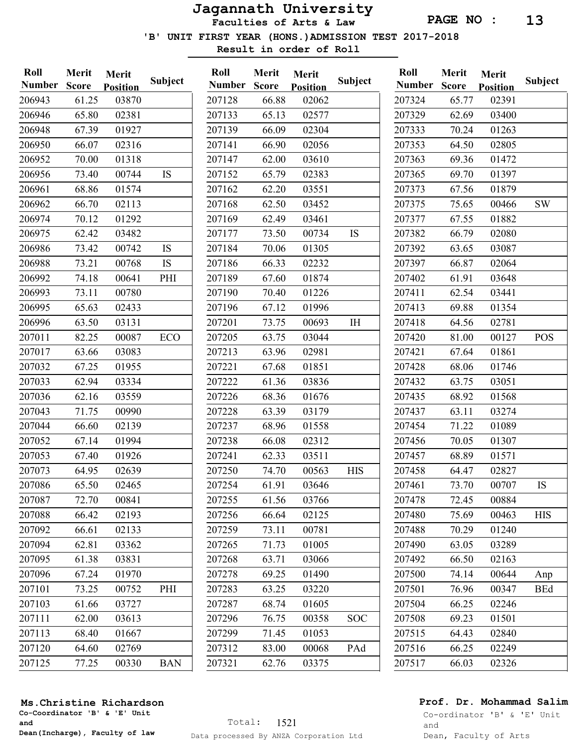Faculties of Arts & Law

'B' UNIT FIRST YEAR (HONS.)ADMISSION TEST 2017-2018

Result in order of Roll

| <b>Position</b><br><b>Position</b>                                                        | <b>Position</b>    | <b>Subject</b> |
|-------------------------------------------------------------------------------------------|--------------------|----------------|
| 206943<br>61.25<br>03870<br>207128<br>66.88<br>02062<br>207324<br>65.77                   | 02391              |                |
| 65.80<br>02381<br>207133<br>65.13<br>02577<br>207329<br>62.69<br>206946                   | 03400              |                |
| 207139<br>206948<br>67.39<br>01927<br>66.09<br>02304<br>207333<br>70.24                   | 01263              |                |
| 206950<br>66.07<br>02316<br>207141<br>66.90<br>02056<br>207353<br>64.50                   | 02805              |                |
| 206952<br>70.00<br>01318<br>207147<br>62.00<br>03610<br>207363<br>69.36                   | 01472              |                |
| 73.40<br>00744<br><b>IS</b><br>207152<br>02383<br>207365<br>206956<br>65.79<br>69.70      | 01397              |                |
| 206961<br>68.86<br>01574<br>207162<br>03551<br>207373<br>62.20<br>67.56                   | 01879              |                |
| 206962<br>66.70<br>02113<br>207168<br>62.50<br>03452<br>75.65<br>207375                   | <b>SW</b><br>00466 |                |
| 207169<br>206974<br>70.12<br>01292<br>62.49<br>03461<br>207377<br>67.55                   | 01882              |                |
| 03482<br>207177<br><b>IS</b><br>207382<br>206975<br>62.42<br>73.50<br>00734<br>66.79      | 02080              |                |
| <b>IS</b><br>206986<br>207184<br>207392<br>73.42<br>00742<br>70.06<br>01305<br>63.65      | 03087              |                |
| 206988<br>73.21<br>00768<br>IS<br>207186<br>66.33<br>02232<br>207397<br>66.87             | 02064              |                |
| 206992<br>01874<br>74.18<br>00641<br>PHI<br>207189<br>67.60<br>207402<br>61.91            | 03648              |                |
| 207411<br>206993<br>73.11<br>00780<br>207190<br>70.40<br>01226<br>62.54                   | 03441              |                |
| 206995<br>207196<br>207413<br>69.88<br>65.63<br>02433<br>67.12<br>01996                   | 01354              |                |
| 206996<br>63.50<br>03131<br>207201<br>73.75<br>00693<br>I <sub>H</sub><br>207418<br>64.56 | 02781              |                |
| 207011<br>82.25<br>00087<br>ECO<br>207205<br>03044<br>207420<br>81.00<br>63.75            | 00127              | <b>POS</b>     |
| 03083<br>207017<br>63.66<br>207213<br>63.96<br>02981<br>207421<br>67.64                   | 01861              |                |
| 207032<br>67.25<br>01955<br>207221<br>01851<br>207428<br>67.68<br>68.06                   | 01746              |                |
| 207033<br>03334<br>207222<br>03836<br>207432<br>63.75<br>62.94<br>61.36                   | 03051              |                |
| 207036<br>62.16<br>03559<br>207226<br>68.36<br>01676<br>68.92<br>207435                   | 01568              |                |
| 207043<br>207228<br>207437<br>71.75<br>00990<br>63.39<br>03179<br>63.11                   | 03274              |                |
| 207044<br>02139<br>207237<br>01558<br>207454<br>66.60<br>68.96<br>71.22                   | 01089              |                |
| 207238<br>207052<br>67.14<br>01994<br>66.08<br>02312<br>207456<br>70.05                   | 01307              |                |
| 207053<br>01926<br>207241<br>03511<br>207457<br>68.89<br>67.40<br>62.33                   | 01571              |                |
| 207073<br>64.95<br>02639<br>74.70<br>00563<br>207458<br>64.47<br>207250<br><b>HIS</b>     | 02827              |                |
| 207254<br>207086<br>65.50<br>02465<br>61.91<br>03646<br>207461<br>73.70                   | 00707<br><b>IS</b> |                |
| 207087<br>207255<br>207478<br>72.70<br>00841<br>61.56<br>03766<br>72.45                   | 00884              |                |
| 207088<br>02193<br>207256<br>02125<br>75.69<br>66.42<br>66.64<br>207480                   | 00463              | <b>HIS</b>     |
| 207092<br>66.61<br>02133<br>207259<br>73.11<br>207488<br>70.29<br>00781                   | 01240              |                |
| 207094<br>62.81<br>207265<br>03362<br>71.73<br>01005<br>207490<br>63.05                   | 03289              |                |
| 207095<br>03831<br>207268<br>61.38<br>63.71<br>03066<br>207492<br>66.50                   | 02163              |                |
| 207096<br>01970<br>207278<br>207500<br>74.14<br>67.24<br>69.25<br>01490                   | 00644              | Anp            |
| 207101<br>73.25<br>PHI<br>207283<br>63.25<br>207501<br>76.96<br>00752<br>03220            | 00347              | <b>BEd</b>     |
| 207103<br>61.66<br>03727<br>207287<br>68.74<br>207504<br>66.25<br>01605                   | 02246              |                |
| 207111<br>62.00<br>03613<br>207296<br>76.75<br>00358<br><b>SOC</b><br>207508<br>69.23     | 01501              |                |
| 207113<br>207299<br>71.45<br>68.40<br>01667<br>01053<br>207515<br>64.43                   | 02840              |                |
| 207120<br>02769<br>207312<br>207516<br>66.25<br>64.60<br>83.00<br>00068<br>PAd            | 02249              |                |
| 207125<br>207321<br>207517<br>66.03<br>77.25<br>00330<br><b>BAN</b><br>62.76<br>03375     | 02326              |                |

#### Ms.Christine Richardson

Co-Coordinator 'B' & 'E' Unit and Dean(Incharge), Faculty of law

## Prof. Dr. Mohammad Salim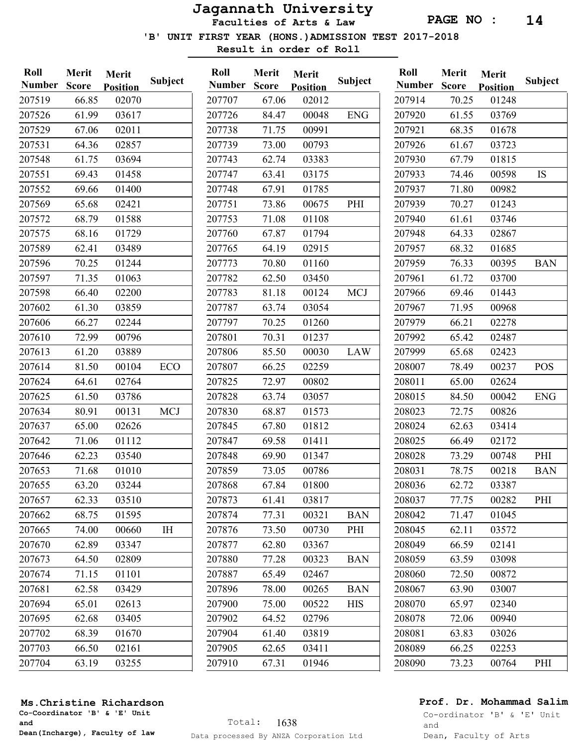Faculties of Arts & Law

'B' UNIT FIRST YEAR (HONS.)ADMISSION TEST 2017-2018

Subject

 ${\rm ENG}$ 

PHI

MCJ

LAW

BAN PHI

BAN

BAN HIS

Result in order of Roll

| Roll          | Merit        | Merit           |                | Roll          | Merit        | Merit           |
|---------------|--------------|-----------------|----------------|---------------|--------------|-----------------|
| <b>Number</b> | <b>Score</b> | <b>Position</b> | <b>Subject</b> | <b>Number</b> | <b>Score</b> | <b>Position</b> |
| 207519        | 66.85        | 02070           |                | 207707        | 67.06        | 02012           |
| 207526        | 61.99        | 03617           |                | 207726        | 84.47        | 00048           |
| 207529        | 67.06        | 02011           |                | 207738        | 71.75        | 00991           |
| 207531        | 64.36        | 02857           |                | 207739        | 73.00        | 00793           |
| 207548        | 61.75        | 03694           |                | 207743        | 62.74        | 03383           |
| 207551        | 69.43        | 01458           |                | 207747        | 63.41        | 03175           |
| 207552        | 69.66        | 01400           |                | 207748        | 67.91        | 01785           |
| 207569        | 65.68        | 02421           |                | 207751        | 73.86        | 00675           |
| 207572        | 68.79        | 01588           |                | 207753        | 71.08        | 01108           |
| 207575        | 68.16        | 01729           |                | 207760        | 67.87        | 01794           |
| 207589        | 62.41        | 03489           |                | 207765        | 64.19        | 02915           |
| 207596        | 70.25        | 01244           |                | 207773        | 70.80        | 01160           |
| 207597        | 71.35        | 01063           |                | 207782        | 62.50        | 03450           |
| 207598        | 66.40        | 02200           |                | 207783        | 81.18        | 00124           |
| 207602        | 61.30        | 03859           |                | 207787        | 63.74        | 03054           |
| 207606        | 66.27        | 02244           |                | 207797        | 70.25        | 01260           |
| 207610        | 72.99        | 00796           |                | 207801        | 70.31        | 01237           |
| 207613        | 61.20        | 03889           |                | 207806        | 85.50        | 00030           |
| 207614        | 81.50        | 00104           | ECO            | 207807        | 66.25        | 02259           |
| 207624        | 64.61        | 02764           |                | 207825        | 72.97        | 00802           |
| 207625        | 61.50        | 03786           |                | 207828        | 63.74        | 03057           |
| 207634        | 80.91        | 00131           | <b>MCJ</b>     | 207830        | 68.87        | 01573           |
| 207637        | 65.00        | 02626           |                | 207845        | 67.80        | 01812           |
| 207642        | 71.06        | 01112           |                | 207847        | 69.58        | 01411           |
| 207646        | 62.23        | 03540           |                | 207848        | 69.90        | 01347           |
| 207653        | 71.68        | 01010           |                | 207859        | 73.05        | 00786           |
| 207655        | 63.20        | 03244           |                | 207868        | 67.84        | 01800           |
| 207657        | 62.33        | 03510           |                | 207873        | 61.41        | 03817           |
| 207662        | 68.75        | 01595           |                | 207874        | 77.31        | 00321           |
| 207665        | 74.00        | 00660           | I <sub>H</sub> | 207876        | 73.50        | 00730           |
| 207670        | 62.89        | 03347           |                | 207877        | 62.80        | 03367           |
| 207673        | 64.50        | 02809           |                | 207880        | 77.28        | 00323           |
| 207674        | 71.15        | 01101           |                | 207887        | 65.49        | 02467           |
| 207681        | 62.58        | 03429           |                | 207896        | 78.00        | 00265           |
| 207694        | 65.01        | 02613           |                | 207900        | 75.00        | 00522           |
| 207695        | 62.68        | 03405           |                | 207902        | 64.52        | 02796           |
| 207702        | 68.39        | 01670           |                | 207904        | 61.40        | 03819           |
| 207703        | 66.50        | 02161           |                | 207905        | 62.65        | 03411           |
| 207704        | 63.19        | 03255           |                | 207910        | 67.31        | 01946           |
|               |              |                 |                |               |              |                 |

| Roll          | Merit        | Merit           |            |
|---------------|--------------|-----------------|------------|
| <b>Number</b> | <b>Score</b> | <b>Position</b> | Subject    |
| 207914        | 70.25        | 01248           |            |
| 207920        | 61.55        | 03769           |            |
| 207921        | 68.35        | 01678           |            |
| 207926        | 61.67        | 03723           |            |
| 207930        | 67.79        | 01815           |            |
| 207933        | 74.46        | 00598           | <b>IS</b>  |
| 207937        | 71.80        | 00982           |            |
| 207939        | 70.27        | 01243           |            |
| 207940        | 61.61        | 03746           |            |
| 207948        | 64.33        | 02867           |            |
| 207957        | 68.32        | 01685           |            |
| 207959        | 76.33        | 00395           | <b>BAN</b> |
| 207961        | 61.72        | 03700           |            |
| 207966        | 69.46        | 01443           |            |
| 207967        | 71.95        | 00968           |            |
| 207979        | 66.21        | 02278           |            |
| 207992        | 65.42        | 02487           |            |
| 207999        | 65.68        | 02423           |            |
| 208007        | 78.49        | 00237           | <b>POS</b> |
| 208011        | 65.00        | 02624           |            |
| 208015        | 84.50        | 00042           | <b>ENG</b> |
| 208023        | 72.75        | 00826           |            |
| 208024        | 62.63        | 03414           |            |
| 208025        | 66.49        | 02172           |            |
| 208028        | 73.29        | 00748           | PHI        |
| 208031        | 78.75        | 00218           | <b>BAN</b> |
| 208036        | 62.72        | 03387           |            |
| 208037        | 77.75        | 00282           | PHI        |
| 208042        | 71.47        | 01045           |            |
| 208045        | 62.11        | 03572           |            |
| 208049        | 66.59        | 02141           |            |
| 208059        | 63.59        | 03098           |            |
| 208060        | 72.50        | 00872           |            |
| 208067        | 63.90        | 03007           |            |
| 208070        | 65.97        | 02340           |            |
| 208078        | 72.06        | 00940           |            |
| 208081        | 63.83        | 03026           |            |
| 208089        | 66.25        | 02253           |            |
| 208090        | 73.23        | 00764           | PHI        |
|               |              |                 |            |

### Prof. Dr. Mohammad Salim

Co-Coordinator 'B' & 'E' Unit and Dean(Incharge), Faculty of law Ms.Christine Richardson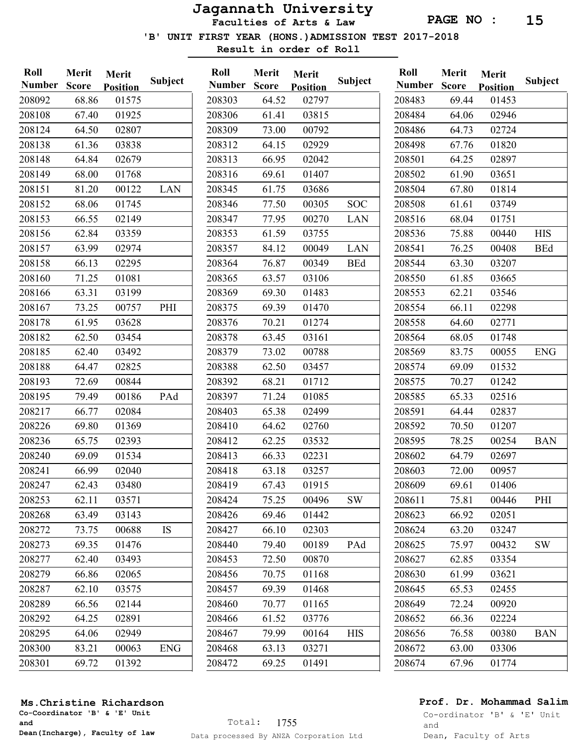Faculties of Arts & Law

'B' UNIT FIRST YEAR (HONS.)ADMISSION TEST 2017-2018

Result in order of Roll

| Roll          | Merit        | Merit           |            | Roll  |
|---------------|--------------|-----------------|------------|-------|
| <b>Number</b> | <b>Score</b> | <b>Position</b> | Subject    | Numl  |
| 208092        | 68.86        | 01575           |            | 20830 |
| 208108        | 67.40        | 01925           |            | 20830 |
| 208124        | 64.50        | 02807           |            | 20830 |
| 208138        | 61.36        | 03838           |            | 20831 |
| 208148        | 64.84        | 02679           |            | 20831 |
| 208149        | 68.00        | 01768           |            | 20831 |
| 208151        | 81.20        | 00122           | <b>LAN</b> | 20834 |
| 208152        | 68.06        | 01745           |            | 20834 |
| 208153        | 66.55        | 02149           |            | 20834 |
| 208156        | 62.84        | 03359           |            | 20835 |
| 208157        | 63.99        | 02974           |            | 20835 |
| 208158        | 66.13        | 02295           |            | 20836 |
| 208160        | 71.25        | 01081           |            | 20836 |
| 208166        | 63.31        | 03199           |            | 20836 |
| 208167        | 73.25        | 00757           | PHI        | 20837 |
| 208178        | 61.95        | 03628           |            | 20837 |
| 208182        | 62.50        | 03454           |            | 20837 |
| 208185        | 62.40        | 03492           |            | 20837 |
| 208188        | 64.47        | 02825           |            | 20838 |
| 208193        | 72.69        | 00844           |            | 20839 |
| 208195        | 79.49        | 00186           | PAd        | 20839 |
| 208217        | 66.77        | 02084           |            | 20840 |
| 208226        | 69.80        | 01369           |            | 20841 |
| 208236        | 65.75        | 02393           |            | 20841 |
| 208240        | 69.09        | 01534           |            | 20841 |
| 208241        | 66.99        | 02040           |            | 20841 |
| 208247        | 62.43        | 03480           |            | 20841 |
| 208253        | 62.11        | 03571           |            | 20842 |
| 208268        | 63.49        | 03143           |            | 20842 |
| 208272        | 73.75        | 00688           | IS         | 20842 |
| 208273        | 69.35        | 01476           |            | 20844 |
| 208277        | 62.40        | 03493           |            | 20845 |
| 208279        | 66.86        | 02065           |            | 20845 |
| 208287        | 62.10        | 03575           |            | 20845 |
| 208289        | 66.56        | 02144           |            | 20846 |
| 208292        | 64.25        | 02891           |            | 20846 |
| 208295        | 64.06        | 02949           |            | 20846 |
| 208300        | 83.21        | 00063           | <b>ENG</b> | 20846 |
| 208301        | 69.72        | 01392           |            | 20847 |

| Roll          | Merit | Merit           |            |  |
|---------------|-------|-----------------|------------|--|
| <b>Number</b> | Score | <b>Position</b> | Subject    |  |
| 208303        | 64.52 | 02797           |            |  |
| 208306        | 61.41 | 03815           |            |  |
| 208309        | 73.00 | 00792           |            |  |
| 208312        | 64.15 | 02929           |            |  |
| 208313        | 66.95 | 02042           |            |  |
| 208316        | 69.61 | 01407           |            |  |
| 208345        | 61.75 | 03686           |            |  |
| 208346        | 77.50 | 00305           | SOC        |  |
| 208347        | 77.95 | 00270           | LAN        |  |
| 208353        | 61.59 | 03755           |            |  |
| 208357        | 84.12 | 00049           | <b>LAN</b> |  |
| 208364        | 76.87 | 00349           | <b>BEd</b> |  |
| 208365        | 63.57 | 03106           |            |  |
| 208369        | 69.30 | 01483           |            |  |
| 208375        | 69.39 | 01470           |            |  |
| 208376        | 70.21 | 01274           |            |  |
| 208378        | 63.45 | 03161           |            |  |
| 208379        | 73.02 | 00788           |            |  |
| 208388        | 62.50 | 03457           |            |  |
| 208392        | 68.21 | 01712           |            |  |
| 208397        | 71.24 | 01085           |            |  |
| 208403        | 65.38 | 02499           |            |  |
| 208410        | 64.62 | 02760           |            |  |
| 208412        | 62.25 | 03532           |            |  |
| 208413        | 66.33 | 02231           |            |  |
| 208418        | 63.18 | 03257           |            |  |
| 208419        | 67.43 | 01915           |            |  |
| 208424        | 75.25 | 00496           | <b>SW</b>  |  |
| 208426        | 69.46 | 01442           |            |  |
| 208427        | 66.10 | 02303           |            |  |
| 208440        | 79.40 | 00189           | PAd        |  |
| 208453        | 72.50 | 00870           |            |  |
| 208456        | 70.75 | 01168           |            |  |
| 208457        | 69.39 | 01468           |            |  |
| 208460        | 70.77 | 01165           |            |  |
| 208466        | 61.52 | 03776           |            |  |
| 208467        | 79.99 | 00164           | <b>HIS</b> |  |
| 208468        | 63.13 | 03271           |            |  |
| 208472        | 69.25 | 01491           |            |  |
|               |       |                 |            |  |

| Roll          | Merit<br>Merit |                 |            |  |
|---------------|----------------|-----------------|------------|--|
| <b>Number</b> | <b>Score</b>   | <b>Position</b> | Subject    |  |
| 208483        | 69.44          | 01453           |            |  |
| 208484        | 64.06          | 02946           |            |  |
| 208486        | 64.73          | 02724           |            |  |
| 208498        | 67.76          | 01820           |            |  |
| 208501        | 64.25          | 02897           |            |  |
| 208502        | 61.90          | 03651           |            |  |
| 208504        | 67.80          | 01814           |            |  |
| 208508        | 61.61          | 03749           |            |  |
| 208516        | 68.04          | 01751           |            |  |
| 208536        | 75.88          | 00440           | <b>HIS</b> |  |
| 208541        | 76.25          | 00408           | <b>BEd</b> |  |
| 208544        | 63.30          | 03207           |            |  |
| 208550        | 61.85          | 03665           |            |  |
| 208553        | 62.21          | 03546           |            |  |
| 208554        | 66.11          | 02298           |            |  |
| 208558        | 64.60          | 02771           |            |  |
| 208564        | 68.05          | 01748           |            |  |
| 208569        | 83.75          | 00055           | <b>ENG</b> |  |
| 208574        | 69.09          | 01532           |            |  |
| 208575        | 70.27          | 01242           |            |  |
| 208585        | 65.33          | 02516           |            |  |
| 208591        | 64.44          | 02837           |            |  |
| 208592        | 70.50          | 01207           |            |  |
| 208595        | 78.25          | 00254           | <b>BAN</b> |  |
| 208602        | 64.79          | 02697           |            |  |
| 208603        | 72.00          | 00957           |            |  |
| 208609        | 69.61          | 01406           |            |  |
| 208611        | 75.81          | 00446           | PHI        |  |
| 208623        | 66.92          | 02051           |            |  |
| 208624        | 63.20          | 03247           |            |  |
| 208625        | 75.97          | 00432           | <b>SW</b>  |  |
| 208627        | 62.85          | 03354           |            |  |
| 208630        | 61.99          | 03621           |            |  |
| 208645        | 65.53          | 02455           |            |  |
| 208649        | 72.24          | 00920           |            |  |
| 208652        | 66.36          | 02224           |            |  |
| 208656        | 76.58          | 00380           | <b>BAN</b> |  |
| 208672        | 63.00          | 03306           |            |  |
| 208674        | 67.96          | 01774           |            |  |
|               |                |                 |            |  |

### Prof. Dr. Mohammad Salim

Co-Coordinator 'B' & 'E' Unit and Dean(Incharge), Faculty of law Ms.Christine Richardson

# Co-ordinator 'B' & 'E' Unit

and Dean, Faculty of Arts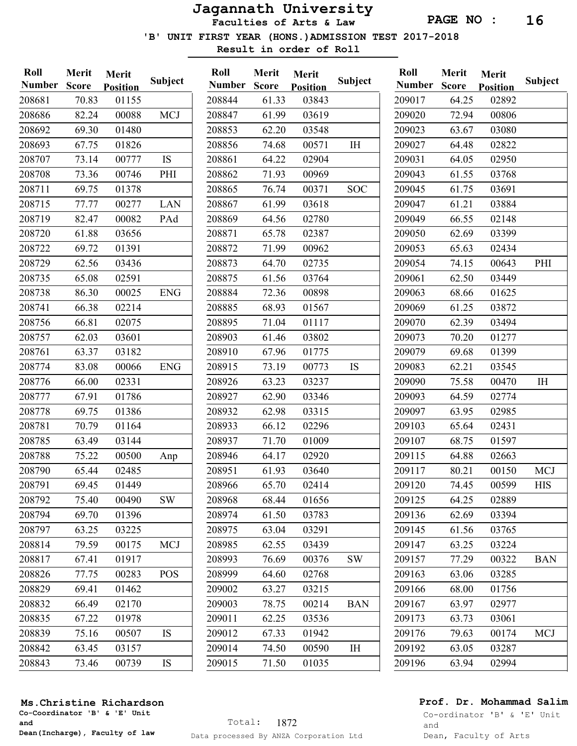Faculties of Arts & Law

'B' UNIT FIRST YEAR (HONS.)ADMISSION TEST 2017-2018

Result in order of Roll

Merit Merit

Roll

| Roll   | Merit        | Merit           |                |
|--------|--------------|-----------------|----------------|
| Number | <b>Score</b> | <b>Position</b> | <b>Subject</b> |
| 208681 | 70.83        | 01155           |                |
| 208686 | 82.24        | 00088           | <b>MCJ</b>     |
| 208692 | 69.30        | 01480           |                |
| 208693 | 67.75        | 01826           |                |
| 208707 | 73.14        | 00777           | IS             |
| 208708 | 73.36        | 00746           | PHI            |
| 208711 | 69.75        | 01378           |                |
| 208715 | 77.77        | 00277           | <b>LAN</b>     |
| 208719 | 82.47        | 00082           | PAd            |
| 208720 | 61.88        | 03656           |                |
| 208722 | 69.72        | 01391           |                |
| 208729 | 62.56        | 03436           |                |
| 208735 | 65.08        | 02591           |                |
| 208738 | 86.30        | 00025           | <b>ENG</b>     |
| 208741 | 66.38        | 02214           |                |
| 208756 | 66.81        | 02075           |                |
| 208757 | 62.03        | 03601           |                |
| 208761 | 63.37        | 03182           |                |
| 208774 | 83.08        | 00066           | <b>ENG</b>     |
| 208776 | 66.00        | 02331           |                |
| 208777 | 67.91        | 01786           |                |
| 208778 | 69.75        | 01386           |                |
| 208781 | 70.79        | 01164           |                |
| 208785 | 63.49        | 03144           |                |
| 208788 | 75.22        | 00500           | Anp            |
| 208790 | 65.44        | 02485           |                |
| 208791 | 69.45        | 01449           |                |
| 208792 | 75.40        | 00490           | SW             |
| 208794 | 69.70        | 01396           |                |
| 208797 | 63.25        | 03225           |                |
| 208814 | 79.59        | 00175           | MCJ            |
| 208817 | 67.41        | 01917           |                |
| 208826 | 77.75        | 00283           | POS            |
| 208829 | 69.41        | 01462           |                |
| 208832 | 66.49        | 02170           |                |
| 208835 | 67.22        | 01978           |                |
| 208839 | 75.16        | 00507           | IS             |
| 208842 | 63.45        | 03157           |                |
| 208843 | 73.46        | 00739           | IS             |

|       |                                                                             | Subject                                                               |
|-------|-----------------------------------------------------------------------------|-----------------------------------------------------------------------|
|       |                                                                             |                                                                       |
|       |                                                                             |                                                                       |
|       |                                                                             |                                                                       |
|       |                                                                             | IH                                                                    |
|       |                                                                             |                                                                       |
|       |                                                                             |                                                                       |
|       | 00371                                                                       | SOC                                                                   |
| 61.99 | 03618                                                                       |                                                                       |
| 64.56 | 02780                                                                       |                                                                       |
| 65.78 | 02387                                                                       |                                                                       |
| 71.99 | 00962                                                                       |                                                                       |
| 64.70 | 02735                                                                       |                                                                       |
| 61.56 | 03764                                                                       |                                                                       |
| 72.36 | 00898                                                                       |                                                                       |
| 68.93 | 01567                                                                       |                                                                       |
| 71.04 | 01117                                                                       |                                                                       |
| 61.46 | 03802                                                                       |                                                                       |
| 67.96 | 01775                                                                       |                                                                       |
| 73.19 | 00773                                                                       | IS                                                                    |
| 63.23 | 03237                                                                       |                                                                       |
| 62.90 | 03346                                                                       |                                                                       |
| 62.98 | 03315                                                                       |                                                                       |
| 66.12 | 02296                                                                       |                                                                       |
| 71.70 | 01009                                                                       |                                                                       |
| 64.17 | 02920                                                                       |                                                                       |
| 61.93 | 03640                                                                       |                                                                       |
| 65.70 | 02414                                                                       |                                                                       |
| 68.44 | 01656                                                                       |                                                                       |
| 61.50 | 03783                                                                       |                                                                       |
| 63.04 | 03291                                                                       |                                                                       |
| 62.55 | 03439                                                                       |                                                                       |
| 76.69 | 00376                                                                       | SW                                                                    |
| 64.60 | 02768                                                                       |                                                                       |
| 63.27 | 03215                                                                       |                                                                       |
| 78.75 | 00214                                                                       | <b>BAN</b>                                                            |
| 62.25 | 03536                                                                       |                                                                       |
| 67.33 | 01942                                                                       |                                                                       |
| 74.50 | 00590                                                                       | I <sub>H</sub>                                                        |
| 71.50 | 01035                                                                       |                                                                       |
|       | Number Score<br>61.33<br>61.99<br>62.20<br>74.68<br>64.22<br>71.93<br>76.74 | <b>Position</b><br>03843<br>03619<br>03548<br>00571<br>02904<br>00969 |

| Roll          | Merit | Merit           |                |  |
|---------------|-------|-----------------|----------------|--|
| <b>Number</b> | Score | <b>Position</b> | <b>Subject</b> |  |
| 209017        | 64.25 | 02892           |                |  |
| 209020        | 72.94 | 00806           |                |  |
| 209023        | 63.67 | 03080           |                |  |
| 209027        | 64.48 | 02822           |                |  |
| 209031        | 64.05 | 02950           |                |  |
| 209043        | 61.55 | 03768           |                |  |
| 209045        | 61.75 | 03691           |                |  |
| 209047        | 61.21 | 03884           |                |  |
| 209049        | 66.55 | 02148           |                |  |
| 209050        | 62.69 | 03399           |                |  |
| 209053        | 65.63 | 02434           |                |  |
| 209054        | 74.15 | 00643           | PHI            |  |
| 209061        | 62.50 | 03449           |                |  |
| 209063        | 68.66 | 01625           |                |  |
| 209069        | 61.25 | 03872           |                |  |
| 209070        | 62.39 | 03494           |                |  |
| 209073        | 70.20 | 01277           |                |  |
| 209079        | 69.68 | 01399           |                |  |
| 209083        | 62.21 | 03545           |                |  |
| 209090        | 75.58 | 00470           | IH             |  |
| 209093        | 64.59 | 02774           |                |  |
| 209097        | 63.95 | 02985           |                |  |
| 209103        | 65.64 | 02431           |                |  |
| 209107        | 68.75 | 01597           |                |  |
| 209115        | 64.88 | 02663           |                |  |
| 209117        | 80.21 | 00150           | <b>MCJ</b>     |  |
| 209120        | 74.45 | 00599           | <b>HIS</b>     |  |
| 209125        | 64.25 | 02889           |                |  |
| 209136        | 62.69 | 03394           |                |  |
| 209145        | 61.56 | 03765           |                |  |
| 209147        | 63.25 | 03224           |                |  |
| 209157        | 77.29 | 00322           | <b>BAN</b>     |  |
| 209163        | 63.06 | 03285           |                |  |
| 209166        | 68.00 | 01756           |                |  |
| 209167        | 63.97 | 02977           |                |  |
| 209173        | 63.73 | 03061           |                |  |
| 209176        | 79.63 | 00174           | <b>MCJ</b>     |  |
| 209192        | 63.05 | 03287           |                |  |
| 209196        | 63.94 | 02994           |                |  |
|               |       |                 |                |  |

## Prof. Dr. Mohammad Salim

Co-Coordinator 'B' & 'E' Unit and Dean(Incharge), Faculty of law

Ms.Christine Richardson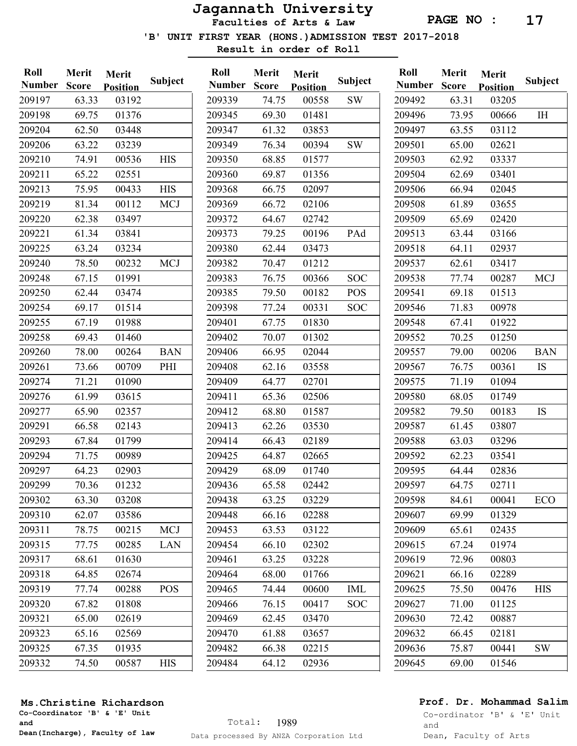Faculties of Arts & Law

'B' UNIT FIRST YEAR (HONS.)ADMISSION TEST 2017-2018

Result in order of Roll

Roll

| Roll          | Merit        | Merit           |            |
|---------------|--------------|-----------------|------------|
| <b>Number</b> | <b>Score</b> | <b>Position</b> | Subject    |
| 209197        | 63.33        | 03192           |            |
| 209198        | 69.75        | 01376           |            |
| 209204        | 62.50        | 03448           |            |
| 209206        | 63.22        | 03239           |            |
| 209210        | 74.91        | 00536           | <b>HIS</b> |
| 209211        | 65.22        | 02551           |            |
| 209213        | 75.95        | 00433           | <b>HIS</b> |
| 209219        | 81.34        | 00112           | <b>MCJ</b> |
| 209220        | 62.38        | 03497           |            |
| 209221        | 61.34        | 03841           |            |
| 209225        | 63.24        | 03234           |            |
| 209240        | 78.50        | 00232           | <b>MCJ</b> |
| 209248        | 67.15        | 01991           |            |
| 209250        | 62.44        | 03474           |            |
| 209254        | 69.17        | 01514           |            |
| 209255        | 67.19        | 01988           |            |
| 209258        | 69.43        | 01460           |            |
| 209260        | 78.00        | 00264           | <b>BAN</b> |
| 209261        | 73.66        | 00709           | PHI        |
| 209274        | 71.21        | 01090           |            |
| 209276        | 61.99        | 03615           |            |
| 209277        | 65.90        | 02357           |            |
| 209291        | 66.58        | 02143           |            |
| 209293        | 67.84        | 01799           |            |
| 209294        | 71.75        | 00989           |            |
| 209297        | 64.23        | 02903           |            |
| 209299        | 70.36        | 01232           |            |
| 209302        | 63.30        | 03208           |            |
| 209310        | 62.07        | 03586           |            |
| 209311        | 78.75        | 00215           | <b>MCJ</b> |
| 209315        | 77.75        | 00285           | LAN        |
| 209317        | 68.61        | 01630           |            |
| 209318        | 64.85        | 02674           |            |
| 209319        | 77.74        | 00288           | POS        |
| 209320        | 67.82        | 01808           |            |
| 209321        | 65.00        | 02619           |            |
| 209323        | 65.16        | 02569           |            |
| 209325        | 67.35        | 01935           |            |
| 209332        | 74.50        | 00587           | <b>HIS</b> |

| Roll          | Merit | Merit           |            |  |
|---------------|-------|-----------------|------------|--|
| <b>Number</b> | Score | <b>Position</b> | Subject    |  |
| 209339        | 74.75 | 00558           | <b>SW</b>  |  |
| 209345        | 69.30 | 01481           |            |  |
| 209347        | 61.32 | 03853           |            |  |
| 209349        | 76.34 | 00394           | <b>SW</b>  |  |
| 209350        | 68.85 | 01577           |            |  |
| 209360        | 69.87 | 01356           |            |  |
| 209368        | 66.75 | 02097           |            |  |
| 209369        | 66.72 | 02106           |            |  |
| 209372        | 64.67 | 02742           |            |  |
| 209373        | 79.25 | 00196           | PAd        |  |
| 209380        | 62.44 | 03473           |            |  |
| 209382        | 70.47 | 01212           |            |  |
| 209383        | 76.75 | 00366           | <b>SOC</b> |  |
| 209385        | 79.50 | 00182           | POS        |  |
| 209398        | 77.24 | 00331           | <b>SOC</b> |  |
| 209401        | 67.75 | 01830           |            |  |
| 209402        | 70.07 | 01302           |            |  |
| 209406        | 66.95 | 02044           |            |  |
| 209408        | 62.16 | 03558           |            |  |
| 209409        | 64.77 | 02701           |            |  |
| 209411        | 65.36 | 02506           |            |  |
| 209412        | 68.80 | 01587           |            |  |
| 209413        | 62.26 | 03530           |            |  |
| 209414        | 66.43 | 02189           |            |  |
| 209425        | 64.87 | 02665           |            |  |
| 209429        | 68.09 | 01740           |            |  |
| 209436        | 65.58 | 02442           |            |  |
| 209438        | 63.25 | 03229           |            |  |
| 209448        | 66.16 | 02288           |            |  |
| 209453        | 63.53 | 03122           |            |  |
| 209454        | 66.10 | 02302           |            |  |
| 209461        | 63.25 | 03228           |            |  |
| 209464        | 68.00 | 01766           |            |  |
| 209465        | 74.44 | 00600           | <b>IML</b> |  |
| 209466        | 76.15 | 00417           | SOC        |  |
| 209469        | 62.45 | 03470           |            |  |
| 209470        | 61.88 | 03657           |            |  |
| 209482        | 66.38 | 02215           |            |  |
| 209484        | 64.12 | 02936           |            |  |
|               |       |                 |            |  |

| Roll          | Merit        | Merit           |            |
|---------------|--------------|-----------------|------------|
| <b>Number</b> | <b>Score</b> | <b>Position</b> | Subject    |
| 209492        | 63.31        | 03205           |            |
| 209496        | 73.95        | 00666           | <b>IH</b>  |
| 209497        | 63.55        | 03112           |            |
| 209501        | 65.00        | 02621           |            |
| 209503        | 62.92        | 03337           |            |
| 209504        | 62.69        | 03401           |            |
| 209506        | 66.94        | 02045           |            |
| 209508        | 61.89        | 03655           |            |
| 209509        | 65.69        | 02420           |            |
| 209513        | 63.44        | 03166           |            |
| 209518        | 64.11        | 02937           |            |
| 209537        | 62.61        | 03417           |            |
| 209538        | 77.74        | 00287           | <b>MCJ</b> |
| 209541        | 69.18        | 01513           |            |
| 209546        | 71.83        | 00978           |            |
| 209548        | 67.41        | 01922           |            |
| 209552        | 70.25        | 01250           |            |
| 209557        | 79.00        | 00206           | <b>BAN</b> |
| 209567        | 76.75        | 00361           | IS         |
| 209575        | 71.19        | 01094           |            |
| 209580        | 68.05        | 01749           |            |
| 209582        | 79.50        | 00183           | IS         |
| 209587        | 61.45        | 03807           |            |
| 209588        | 63.03        | 03296           |            |
| 209592        | 62.23        | 03541           |            |
| 209595        | 64.44        | 02836           |            |
| 209597        | 64.75        | 02711           |            |
| 209598        | 84.61        | 00041           | ECO        |
| 209607        | 69.99        | 01329           |            |
| 209609        | 65.61        | 02435           |            |
| 209615        | 67.24        | 01974           |            |
| 209619        | 72.96        | 00803           |            |
| 209621        | 66.16        | 02289           |            |
| 209625        | 75.50        | 00476           | <b>HIS</b> |
| 209627        | 71.00        | 01125           |            |
| 209630        | 72.42        | 00887           |            |
| 209632        | 66.45        | 02181           |            |
| 209636        | 75.87        | 00441           | <b>SW</b>  |
| 209645        | 69.00        | 01546           |            |
|               |              |                 |            |

## Prof. Dr. Mohammad Salim

Co-Coordinator 'B' & 'E' Unit and Dean(Incharge), Faculty of law

Ms.Christine Richardson

Co-ordinator 'B' & 'E' Unit

and Dean, Faculty of Arts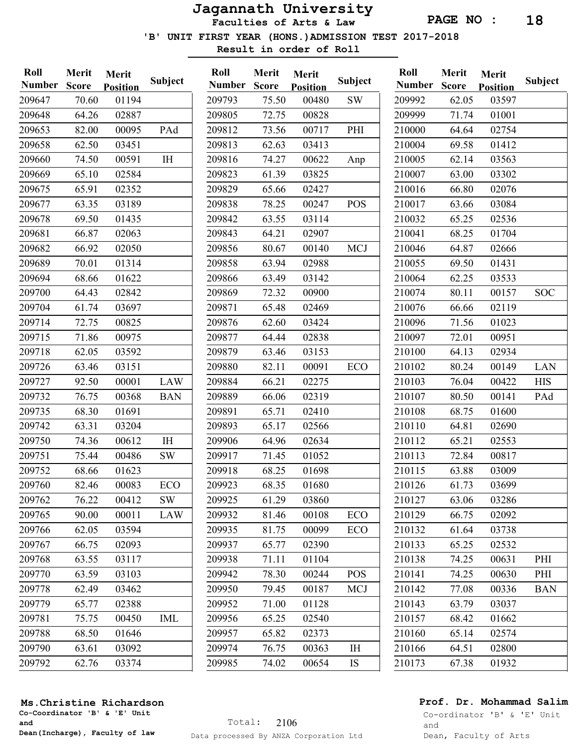Faculties of Arts & Law

'B' UNIT FIRST YEAR (HONS.)ADMISSION TEST 2017-2018

Result in order of Roll

| Roll<br><b>Number</b> | Merit<br><b>Score</b> | Merit<br><b>Position</b> | Subject       | Roll<br><b>Number</b> | Merit<br><b>Score</b> | Merit<br><b>Position</b> | <b>Subject</b> |
|-----------------------|-----------------------|--------------------------|---------------|-----------------------|-----------------------|--------------------------|----------------|
| 209647                | 70.60                 | 01194                    |               | 209793                | 75.50                 | 00480                    | <b>SW</b>      |
| 209648                | 64.26                 | 02887                    |               | 209805                | 72.75                 | 00828                    |                |
| 209653                | 82.00                 | 00095                    | PAd           | 209812                | 73.56                 | 00717                    | PHI            |
| 209658                | 62.50                 | 03451                    |               | 209813                | 62.63                 | 03413                    |                |
| 209660                | 74.50                 | 00591                    | $\rm I \rm H$ | 209816                | 74.27                 | 00622                    | Anp            |
| 209669                | 65.10                 | 02584                    |               | 209823                | 61.39                 | 03825                    |                |
| 209675                | 65.91                 | 02352                    |               | 209829                | 65.66                 | 02427                    |                |
| 209677                | 63.35                 | 03189                    |               | 209838                | 78.25                 | 00247                    | <b>POS</b>     |
| 209678                | 69.50                 | 01435                    |               | 209842                | 63.55                 | 03114                    |                |
| 209681                | 66.87                 | 02063                    |               | 209843                | 64.21                 | 02907                    |                |
| 209682                | 66.92                 | 02050                    |               | 209856                | 80.67                 | 00140                    | <b>MCJ</b>     |
| 209689                | 70.01                 | 01314                    |               | 209858                | 63.94                 | 02988                    |                |
| 209694                | 68.66                 | 01622                    |               | 209866                | 63.49                 | 03142                    |                |
| 209700                | 64.43                 | 02842                    |               | 209869                | 72.32                 | 00900                    |                |
| 209704                | 61.74                 | 03697                    |               | 209871                | 65.48                 | 02469                    |                |
| 209714                | 72.75                 | 00825                    |               | 209876                | 62.60                 | 03424                    |                |
| 209715                | 71.86                 | 00975                    |               | 209877                | 64.44                 | 02838                    |                |
| 209718                | 62.05                 | 03592                    |               | 209879                | 63.46                 | 03153                    |                |
| 209726                | 63.46                 | 03151                    |               | 209880                | 82.11                 | 00091                    | ECO            |
| 209727                | 92.50                 | 00001                    | LAW           | 209884                | 66.21                 | 02275                    |                |
| 209732                | 76.75                 | 00368                    | <b>BAN</b>    | 209889                | 66.06                 | 02319                    |                |
| 209735                | 68.30                 | 01691                    |               | 209891                | 65.71                 | 02410                    |                |
| 209742                | 63.31                 | 03204                    |               | 209893                | 65.17                 | 02566                    |                |
| 209750                | 74.36                 | 00612                    | IH            | 209906                | 64.96                 | 02634                    |                |
| 209751                | 75.44                 | 00486                    | <b>SW</b>     | 209917                | 71.45                 | 01052                    |                |
| 209752                | 68.66                 | 01623                    |               | 209918                | 68.25                 | 01698                    |                |
| 209760                | 82.46                 | 00083                    | ECO           | 209923                | 68.35                 | 01680                    |                |
| 209762                | 76.22                 | 00412                    | SW            | 209925                | 61.29                 | 03860                    |                |
| 209765                | 90.00                 | 00011                    | LAW           | 209932                | 81.46                 | 00108                    | <b>ECO</b>     |
| 209766                | 62.05                 | 03594                    |               | 209935                | 81.75                 | 00099                    | <b>ECO</b>     |
| 209767                | 66.75                 | 02093                    |               | 209937                | 65.77                 | 02390                    |                |
| 209768                | 63.55                 | 03117                    |               | 209938                | 71.11                 | 01104                    |                |
| 209770                | 63.59                 | 03103                    |               | 209942                | 78.30                 | 00244                    | <b>POS</b>     |
| 209778                | 62.49                 | 03462                    |               | 209950                | 79.45                 | 00187                    | <b>MCJ</b>     |
| 209779                | 65.77                 | 02388                    |               | 209952                | 71.00                 | 01128                    |                |
| 209781                | 75.75                 | 00450                    | <b>IML</b>    | 209956                | 65.25                 | 02540                    |                |
| 209788                | 68.50                 | 01646                    |               | 209957                | 65.82                 | 02373                    |                |
| 209790                | 63.61                 | 03092                    |               | 209974                | 76.75                 | 00363                    | IH             |
| 209792                | 62.76                 | 03374                    |               | 209985                | 74.02                 | 00654                    | IS             |
|                       |                       |                          |               |                       |                       |                          |                |

| Roll<br><b>Number</b> | Merit | Merit           | Subject    |
|-----------------------|-------|-----------------|------------|
|                       | Score | <b>Position</b> |            |
| 209992                | 62.05 | 03597           |            |
| 209999                | 71.74 | 01001           |            |
| 210000                | 64.64 | 02754           |            |
| 210004                | 69.58 | 01412           |            |
| 210005                | 62.14 | 03563           |            |
| 210007                | 63.00 | 03302           |            |
| 210016                | 66.80 | 02076           |            |
| 210017                | 63.66 | 03084           |            |
| 210032                | 65.25 | 02536           |            |
| 210041                | 68.25 | 01704           |            |
| 210046                | 64.87 | 02666           |            |
| 210055                | 69.50 | 01431           |            |
| 210064                | 62.25 | 03533           |            |
| 210074                | 80.11 | 00157           | <b>SOC</b> |
| 210076                | 66.66 | 02119           |            |
| 210096                | 71.56 | 01023           |            |
| 210097                | 72.01 | 00951           |            |
| 210100                | 64.13 | 02934           |            |
| 210102                | 80.24 | 00149           | <b>LAN</b> |
| 210103                | 76.04 | 00422           | <b>HIS</b> |
| 210107                | 80.50 | 00141           | PAd        |
| 210108                | 68.75 | 01600           |            |
| 210110                | 64.81 | 02690           |            |
| 210112                | 65.21 | 02553           |            |
| 210113                | 72.84 | 00817           |            |
| 210115                | 63.88 | 03009           |            |
| 210126                | 61.73 | 03699           |            |
| 210127                | 63.06 | 03286           |            |
| 210129                | 66.75 | 02092           |            |
| 210132                | 61.64 | 03738           |            |
| 210133                | 65.25 | 02532           |            |
| 210138                | 74.25 | 00631           | PHI        |
| 210141                | 74.25 | 00630           | PHI        |
| 210142                | 77.08 | 00336           | <b>BAN</b> |
| 210143                | 63.79 | 03037           |            |
| 210157                | 68.42 | 01662           |            |
| 210160                | 65.14 | 02574           |            |
| 210166                | 64.51 | 02800           |            |
| 210173                | 67.38 | 01932           |            |
|                       |       |                 |            |

#### Ms.Christine Richardson

Co-Coordinator 'B' & 'E' Unit and Dean(Incharge), Faculty of law

## Prof. Dr. Mohammad Salim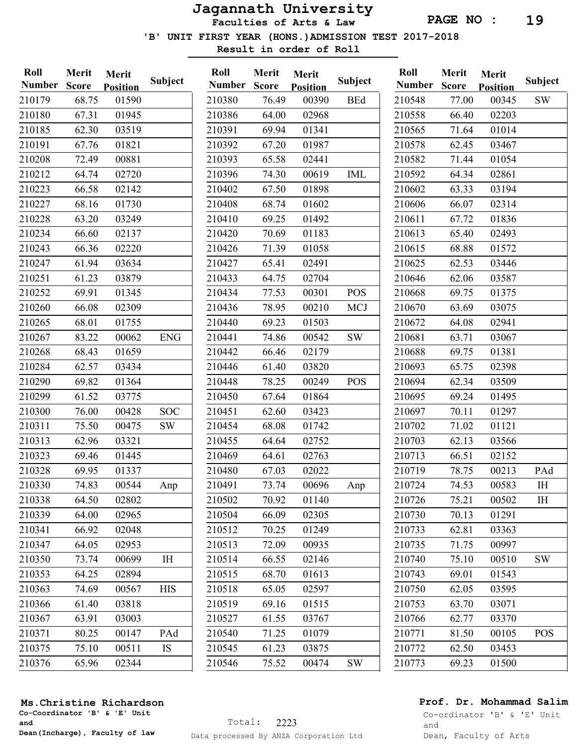Faculties of Arts & Law

'B' UNIT FIRST YEAR (HONS.)ADMISSION TEST 2017-2018

Result in order of Roll

| Roll<br><b>Number</b> | Merit<br><b>Score</b> | Merit<br><b>Position</b> | <b>Subject</b> | Roll<br><b>Number</b> | Merit<br><b>Score</b> | Merit<br><b>Position</b> | <b>Subject</b> | Roll<br><b>Number</b> |
|-----------------------|-----------------------|--------------------------|----------------|-----------------------|-----------------------|--------------------------|----------------|-----------------------|
| 210179                | 68.75                 | 01590                    |                | 210380                | 76.49                 | 00390                    | <b>BEd</b>     | 210548                |
| 210180                | 67.31                 | 01945                    |                | 210386                | 64.00                 | 02968                    |                | 210558                |
| 210185                | 62.30                 | 03519                    |                | 210391                | 69.94                 | 01341                    |                | 210565                |
| 210191                | 67.76                 | 01821                    |                | 210392                | 67.20                 | 01987                    |                | 210578                |
| 210208                | 72.49                 | 00881                    |                | 210393                | 65.58                 | 02441                    |                | 210582                |
| 210212                | 64.74                 | 02720                    |                | 210396                | 74.30                 | 00619                    | <b>IML</b>     | 210592                |
| 210223                | 66.58                 | 02142                    |                | 210402                | 67.50                 | 01898                    |                | 210602                |
| 210227                | 68.16                 | 01730                    |                | 210408                | 68.74                 | 01602                    |                | 210606                |
| 210228                | 63.20                 | 03249                    |                | 210410                | 69.25                 | 01492                    |                | 210611                |
| 210234                | 66.60                 | 02137                    |                | 210420                | 70.69                 | 01183                    |                | 210613                |
| 210243                | 66.36                 | 02220                    |                | 210426                | 71.39                 | 01058                    |                | 210615                |
| 210247                | 61.94                 | 03634                    |                | 210427                | 65.41                 | 02491                    |                | 210625                |
| 210251                | 61.23                 | 03879                    |                | 210433                | 64.75                 | 02704                    |                | 210646                |
| 210252                | 69.91                 | 01345                    |                | 210434                | 77.53                 | 00301                    | <b>POS</b>     | 210668                |
| 210260                | 66.08                 | 02309                    |                | 210436                | 78.95                 | 00210                    | <b>MCJ</b>     | 210670                |
| 210265                | 68.01                 | 01755                    |                | 210440                | 69.23                 | 01503                    |                | 210672                |
| 210267                | 83.22                 | 00062                    | <b>ENG</b>     | 210441                | 74.86                 | 00542                    | <b>SW</b>      | 210681                |
| 210268                | 68.43                 | 01659                    |                | 210442                | 66.46                 | 02179                    |                | 210688                |
| 210284                | 62.57                 | 03434                    |                | 210446                | 61.40                 | 03820                    |                | 210693                |
| 210290                | 69.82                 | 01364                    |                | 210448                | 78.25                 | 00249                    | <b>POS</b>     | 210694                |
| 210299                | 61.52                 | 03775                    |                | 210450                | 67.64                 | 01864                    |                | 210695                |
| 210300                | 76.00                 | 00428                    | <b>SOC</b>     | 210451                | 62.60                 | 03423                    |                | 210697                |
| 210311                | 75.50                 | 00475                    | SW             | 210454                | 68.08                 | 01742                    |                | 210702                |
| 210313                | 62.96                 | 03321                    |                | 210455                | 64.64                 | 02752                    |                | 210703                |
| 210323                | 69.46                 | 01445                    |                | 210469                | 64.61                 | 02763                    |                | 210713                |
| 210328                | 69.95                 | 01337                    |                | 210480                | 67.03                 | 02022                    |                | 210719                |
| 210330                | 74.83                 | 00544                    | Anp            | 210491                | 73.74                 | 00696                    | Anp            | 210724                |
| 210338                | 64.50                 | 02802                    |                | 210502                | 70.92                 | 01140                    |                | 210726                |
| 210339                | 64.00                 | 02965                    |                | 210504                | 66.09                 | 02305                    |                | 210730                |
| 210341                | 66.92                 | 02048                    |                | 210512                | 70.25                 | 01249                    |                | 210733                |
| 210347                | 64.05                 | 02953                    |                | 210513                | 72.09                 | 00935                    |                | 210735                |
| 210350                | 73.74                 | 00699                    | IH             | 210514                | 66.55                 | 02146                    |                | 210740                |
| 210353                | 64.25                 | 02894                    |                | 210515                | 68.70                 | 01613                    |                | 210743                |
| 210363                | 74.69                 | 00567                    | <b>HIS</b>     | 210518                | 65.05                 | 02597                    |                | 210750                |
| 210366                | 61.40                 | 03818                    |                | 210519                | 69.16                 | 01515                    |                | 210753                |
| 210367                | 63.91                 | 03003                    |                | 210527                | 61.55                 | 03767                    |                | 210766                |
| 210371                | 80.25                 | 00147                    | PAd            | 210540                | 71.25                 | 01079                    |                | 210771                |
| 210375                | 75.10                 | 00511                    | IS             | 210545                | 61.23                 | 03875                    |                | 210772                |
| 210376                | 65.96                 | 02344                    |                | 210546                | 75.52                 | 00474                    | <b>SW</b>      | 210773                |
|                       |                       |                          |                |                       |                       |                          |                |                       |

Number Score Position Subject Merit Merit 77.00 00345 SW 66.40 02203 71.64 01014 62.45 03467 71.44 01054 64.34 02861 63.33 03194 66.07 02314 67.72 01836 65.40 02493 68.88 01572 62.53 03446 62.06 03587 69.75 01375 63.69 03075 64.08 02941 63.71 03067 69.75 01381 65.75 02398 62.34 03509 69.24 01495 70.11 01297 210702 71.02 01121 62.13 03566 66.51 02152 210719 78.75 00213 PAd 74.53 00583 IH 75.21 00502 IH 210730 70.13 01291 62.81 03363 210735 71.75 00997 75.10 00510 SW 69.01 01543 62.05 03595 63.70 03071 62.77 03370 81.50 00105 POS 62.50 03453 69.23 01500

#### Ms.Christine Richardson

Co-Coordinator 'B' & 'E' Unit and Dean(Incharge), Faculty of law

#### Prof. Dr. Mohammad Salim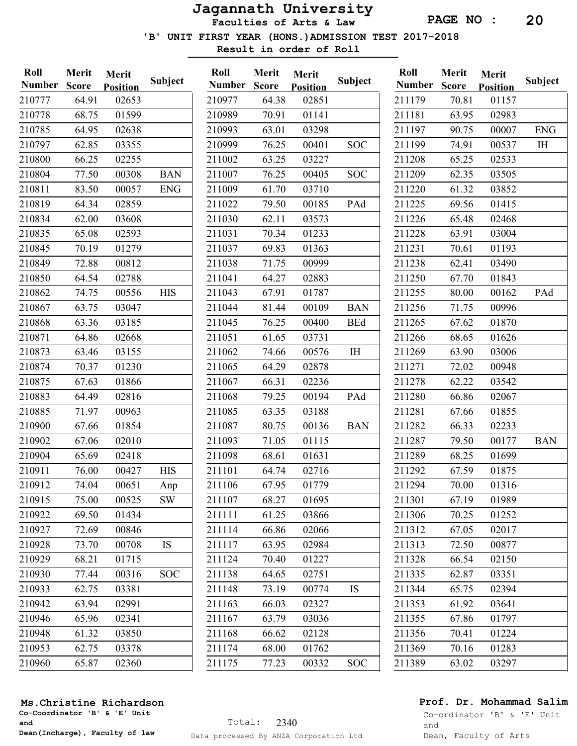Faculties of Arts & Law

'B' UNIT FIRST YEAR (HONS.)ADMISSION TEST 2017-2018

Result in order of Roll

| Roll          | Merit        | Merit           |            | Roll        |
|---------------|--------------|-----------------|------------|-------------|
| <b>Number</b> | <b>Score</b> | <b>Position</b> | Subject    | <b>Numb</b> |
| 210777        | 64.91        | 02653           |            | 21097       |
| 210778        | 68.75        | 01599           |            | 21098       |
| 210785        | 64.95        | 02638           |            | 21099       |
| 210797        | 62.85        | 03355           |            | 21099       |
| 210800        | 66.25        | 02255           |            | 21100       |
| 210804        | 77.50        | 00308           | <b>BAN</b> | 21100       |
| 210811        | 83.50        | 00057           | <b>ENG</b> | 21100       |
| 210819        | 64.34        | 02859           |            | 21102       |
| 210834        | 62.00        | 03608           |            | 21103       |
| 210835        | 65.08        | 02593           |            | 21103       |
| 210845        | 70.19        | 01279           |            | 21103       |
| 210849        | 72.88        | 00812           |            | 21103       |
| 210850        | 64.54        | 02788           |            | 21104       |
| 210862        | 74.75        | 00556           | <b>HIS</b> | 21104       |
| 210867        | 63.75        | 03047           |            | 21104       |
| 210868        | 63.36        | 03185           |            | 21104       |
| 210871        | 64.86        | 02668           |            | 21105       |
| 210873        | 63.46        | 03155           |            | 21106       |
| 210874        | 70.37        | 01230           |            | 21106       |
| 210875        | 67.63        | 01866           |            | 21106       |
| 210883        | 64.49        | 02816           |            | 21106       |
| 210885        | 71.97        | 00963           |            | 21108       |
| 210900        | 67.66        | 01854           |            | 21108       |
| 210902        | 67.06        | 02010           |            | 21109       |
| 210904        | 65.69        | 02418           |            | 21109       |
| 210911        | 76.00        | 00427           | <b>HIS</b> | 21110       |
| 210912        | 74.04        | 00651           | Anp        | 21110       |
| 210915        | 75.00        | 00525           | <b>SW</b>  | 21110       |
| 210922        | 69.50        | 01434           |            | 21111       |
| 210927        | 72.69        | 00846           |            | 21111       |
| 210928        | 73.70        | 00708           | IS         | 21111       |
| 210929        | 68.21        | 01715           |            | 21112       |
| 210930        | 77.44        | 00316           | SOC        | 21113       |
| 210933        | 62.75        | 03381           |            | 21114       |
| 210942        | 63.94        | 02991           |            | 21116       |
| 210946        | 65.96        | 02341           |            | 21116       |
| 210948        | 61.32        | 03850           |            | 21116       |
| 210953        | 62.75        | 03378           |            | 21117       |
| 210960        | 65.87        | 02360           |            | 21117       |

| Roll          | <b>Merit</b> | Merit           |            |
|---------------|--------------|-----------------|------------|
| <b>Number</b> | <b>Score</b> | <b>Position</b> | Subject    |
| 210977        | 64.38        | 02851           |            |
| 210989        | 70.91        | 01141           |            |
| 210993        | 63.01        | 03298           |            |
| 210999        | 76.25        | 00401           | SOC        |
| 211002        | 63.25        | 03227           |            |
| 211007        | 76.25        | 00405           | SOC        |
| 211009        | 61.70        | 03710           |            |
| 211022        | 79.50        | 00185           | PAd        |
| 211030        | 62.11        | 03573           |            |
| 211031        | 70.34        | 01233           |            |
| 211037        | 69.83        | 01363           |            |
| 211038        | 71.75        | 00999           |            |
| 211041        | 64.27        | 02883           |            |
| 211043        | 67.91        | 01787           |            |
| 211044        | 81.44        | 00109           | <b>BAN</b> |
| 211045        | 76.25        | 00400           | <b>BEd</b> |
| 211051        | 61.65        | 03731           |            |
| 211062        | 74.66        | 00576           | IH         |
| 211065        | 64.29        | 02878           |            |
| 211067        | 66.31        | 02236           |            |
| 211068        | 79.25        | 00194           | PAd        |
| 211085        | 63.35        | 03188           |            |
| 211087        | 80.75        | 00136           | <b>BAN</b> |
| 211093        | 71.05        | 01115           |            |
| 211098        | 68.61        | 01631           |            |
| 211101        | 64.74        | 02716           |            |
| 211106        | 67.95        | 01779           |            |
| 211107        | 68.27        | 01695           |            |
| 211111        | 61.25        | 03866           |            |
| 211114        | 66.86        | 02066           |            |
| 211117        | 63.95        | 02984           |            |
| 211124        | 70.40        | 01227           |            |
| 211138        | 64.65        | 02751           |            |
| 211148        | 73.19        | 00774           | IS         |
| 211163        | 66.03        | 02327           |            |
| 211167        | 63.79        | 03036           |            |
| 211168        | 66.62        | 02128           |            |
| 211174        | 68.00        | 01762           |            |
| 211175        | 77.23        | 00332           | SOC        |
|               |              |                 |            |

| Roll          | Merit        | Merit           |                |
|---------------|--------------|-----------------|----------------|
| <b>Number</b> | <b>Score</b> | <b>Position</b> | <b>Subject</b> |
| 211179        | 70.81        | 01157           |                |
| 211181        | 63.95        | 02983           |                |
| 211197        | 90.75        | 00007           | <b>ENG</b>     |
| 211199        | 74.91        | 00537           | IH             |
| 211208        | 65.25        | 02533           |                |
| 211209        | 62.35        | 03505           |                |
| 211220        | 61.32        | 03852           |                |
| 211225        | 69.56        | 01415           |                |
| 211226        | 65.48        | 02468           |                |
| 211228        | 63.91        | 03004           |                |
| 211231        | 70.61        | 01193           |                |
| 211238        | 62.41        | 03490           |                |
| 211250        | 67.70        | 01843           |                |
| 211255        | 80.00        | 00162           | PAd            |
| 211256        | 71.75        | 00996           |                |
| 211265        | 67.62        | 01870           |                |
| 211266        | 68.65        | 01626           |                |
| 211269        | 63.90        | 03006           |                |
| 211271        | 72.02        | 00948           |                |
| 211278        | 62.22        | 03542           |                |
| 211280        | 66.86        | 02067           |                |
| 211281        | 67.66        | 01855           |                |
| 211282        | 66.33        | 02233           |                |
| 211287        | 79.50        | 00177           | <b>BAN</b>     |
| 211289        | 68.25        | 01699           |                |
| 211292        | 67.59        | 01875           |                |
| 211294        | 70.00        | 01316           |                |
| 211301        | 67.19        | 01989           |                |
| 211306        | 70.25        | 01252           |                |
| 211312        | 67.05        | 02017           |                |
| 211313        | 72.50        | 00877           |                |
| 211328        | 66.54        | 02150           |                |
| 211335        | 62.87        | 03351           |                |
| 211344        | 65.75        | 02394           |                |
| 211353        | 61.92        | 03641           |                |
| 211355        | 67.86        | 01797           |                |
| 211356        | 70.41        | 01224           |                |
| 211369        | 70.16        | 01283           |                |
| 211389        | 63.02        | 03297           |                |
|               |              |                 |                |

#### Ms.Christine Richardson

Co-Coordinator 'B' & 'E' Unit and Dean(Incharge), Faculty of law

## Prof. Dr. Mohammad Salim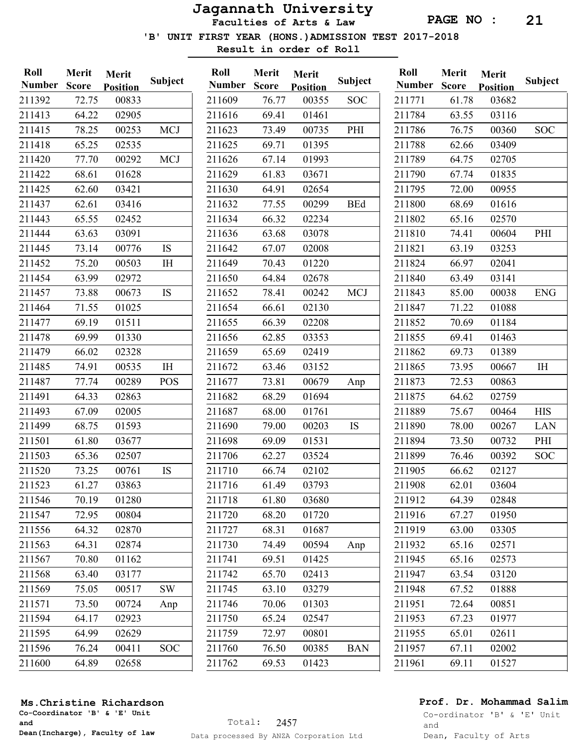Faculties of Arts & Law

'B' UNIT FIRST YEAR (HONS.)ADMISSION TEST 2017-2018

Result in order of Roll

| Roll          | Merit        | Merit           |                | Roll  |
|---------------|--------------|-----------------|----------------|-------|
| <b>Number</b> | <b>Score</b> | <b>Position</b> | <b>Subject</b> | Numl  |
| 211392        | 72.75        | 00833           |                | 21160 |
| 211413        | 64.22        | 02905           |                | 21161 |
| 211415        | 78.25        | 00253           | <b>MCJ</b>     | 21162 |
| 211418        | 65.25        | 02535           |                | 21162 |
| 211420        | 77.70        | 00292           | <b>MCJ</b>     | 21162 |
| 211422        | 68.61        | 01628           |                | 21162 |
| 211425        | 62.60        | 03421           |                | 21163 |
| 211437        | 62.61        | 03416           |                | 21163 |
| 211443        | 65.55        | 02452           |                | 21163 |
| 211444        | 63.63        | 03091           |                | 21163 |
| 211445        | 73.14        | 00776           | IS             | 21164 |
| 211452        | 75.20        | 00503           | IH             | 21164 |
| 211454        | 63.99        | 02972           |                | 21165 |
| 211457        | 73.88        | 00673           | IS             | 21165 |
| 211464        | 71.55        | 01025           |                | 21165 |
| 211477        | 69.19        | 01511           |                | 21165 |
| 211478        | 69.99        | 01330           |                | 21165 |
| 211479        | 66.02        | 02328           |                | 21165 |
| 211485        | 74.91        | 00535           | I <sub>H</sub> | 21167 |
| 211487        | 77.74        | 00289           | POS            | 21167 |
| 211491        | 64.33        | 02863           |                | 21168 |
| 211493        | 67.09        | 02005           |                | 21168 |
| 211499        | 68.75        | 01593           |                | 21169 |
| 211501        | 61.80        | 03677           |                | 21169 |
| 211503        | 65.36        | 02507           |                | 21170 |
| 211520        | 73.25        | 00761           | IS             | 21171 |
| 211523        | 61.27        | 03863           |                | 21171 |
| 211546        | 70.19        | 01280           |                | 21171 |
| 211547        | 72.95        | 00804           |                | 21172 |
| 211556        | 64.32        | 02870           |                | 21172 |
| 211563        | 64.31        | 02874           |                | 21173 |
| 211567        | 70.80        | 01162           |                | 21174 |
| 211568        | 63.40        | 03177           |                | 21174 |
| 211569        | 75.05        | 00517           | SW             | 21174 |
| 211571        | 73.50        | 00724           | Anp            | 21174 |
| 211594        | 64.17        | 02923           |                | 21175 |
| 211595        | 64.99        | 02629           |                | 21175 |
| 211596        | 76.24        | 00411           | <b>SOC</b>     | 21176 |
| 211600        | 64.89        | 02658           |                | 21176 |

| Roll          | Merit        | Merit           |            |
|---------------|--------------|-----------------|------------|
| <b>Number</b> | <b>Score</b> | <b>Position</b> | Subject    |
| 211609        | 76.77        | 00355           | SOC        |
| 211616        | 69.41        | 01461           |            |
| 211623        | 73.49        | 00735           | PHI        |
| 211625        | 69.71        | 01395           |            |
| 211626        | 67.14        | 01993           |            |
| 211629        | 61.83        | 03671           |            |
| 211630        | 64.91        | 02654           |            |
| 211632        | 77.55        | 00299           | <b>BEd</b> |
| 211634        | 66.32        | 02234           |            |
| 211636        | 63.68        | 03078           |            |
| 211642        | 67.07        | 02008           |            |
| 211649        | 70.43        | 01220           |            |
| 211650        | 64.84        | 02678           |            |
| 211652        | 78.41        | 00242           | <b>MCJ</b> |
| 211654        | 66.61        | 02130           |            |
| 211655        | 66.39        | 02208           |            |
| 211656        | 62.85        | 03353           |            |
| 211659        | 65.69        | 02419           |            |
| 211672        | 63.46        | 03152           |            |
| 211677        | 73.81        | 00679           | Anp        |
| 211682        | 68.29        | 01694           |            |
| 211687        | 68.00        | 01761           |            |
| 211690        | 79.00        | 00203           | IS         |
| 211698        | 69.09        | 01531           |            |
| 211706        | 62.27        | 03524           |            |
| 211710        | 66.74        | 02102           |            |
| 211716        | 61.49        | 03793           |            |
| 211718        | 61.80        | 03680           |            |
| 211720        | 68.20        | 01720           |            |
| 211727        | 68.31        | 01687           |            |
| 211730        | 74.49        | 00594           | Anp        |
| 211741        | 69.51        | 01425           |            |
| 211742        | 65.70        | 02413           |            |
| 211745        | 63.10        | 03279           |            |
| 211746        | 70.06        | 01303           |            |
| 211750        | 65.24        | 02547           |            |
| 211759        | 72.97        | 00801           |            |
| 211760        | 76.50        | 00385           | <b>BAN</b> |
| 211762        | 69.53        | 01423           |            |
|               |              |                 |            |

| Roll          | Merit        | Merit           |                |
|---------------|--------------|-----------------|----------------|
| <b>Number</b> | <b>Score</b> | <b>Position</b> | <b>Subject</b> |
| 211771        | 61.78        | 03682           |                |
| 211784        | 63.55        | 03116           |                |
| 211786        | 76.75        | 00360           | <b>SOC</b>     |
| 211788        | 62.66        | 03409           |                |
| 211789        | 64.75        | 02705           |                |
| 211790        | 67.74        | 01835           |                |
| 211795        | 72.00        | 00955           |                |
| 211800        | 68.69        | 01616           |                |
| 211802        | 65.16        | 02570           |                |
| 211810        | 74.41        | 00604           | PHI            |
| 211821        | 63.19        | 03253           |                |
| 211824        | 66.97        | 02041           |                |
| 211840        | 63.49        | 03141           |                |
| 211843        | 85.00        | 00038           | <b>ENG</b>     |
| 211847        | 71.22        | 01088           |                |
| 211852        | 70.69        | 01184           |                |
| 211855        | 69.41        | 01463           |                |
| 211862        | 69.73        | 01389           |                |
| 211865        | 73.95        | 00667           | IH             |
| 211873        | 72.53        | 00863           |                |
| 211875        | 64.62        | 02759           |                |
| 211889        | 75.67        | 00464           | <b>HIS</b>     |
| 211890        | 78.00        | 00267           | LAN            |
| 211894        | 73.50        | 00732           | PHI            |
| 211899        | 76.46        | 00392           | SOC            |
| 211905        | 66.62        | 02127           |                |
| 211908        | 62.01        | 03604           |                |
| 211912        | 64.39        | 02848           |                |
| 211916        | 67.27        | 01950           |                |
| 211919        | 63.00        | 03305           |                |
| 211932        | 65.16        | 02571           |                |
| 211945        | 65.16        | 02573           |                |
| 211947        | 63.54        | 03120           |                |
| 211948        | 67.52        | 01888           |                |
| 211951        | 72.64        | 00851           |                |
| 211953        | 67.23        | 01977           |                |
| 211955        | 65.01        | 02611           |                |
| 211957        | 67.11        | 02002           |                |
| 211961        | 69.11        | 01527           |                |
|               |              |                 |                |

#### Ms.Christine Richardson

Co-Coordinator 'B' & 'E' Unit and Dean(Incharge), Faculty of law

## Prof. Dr. Mohammad Salim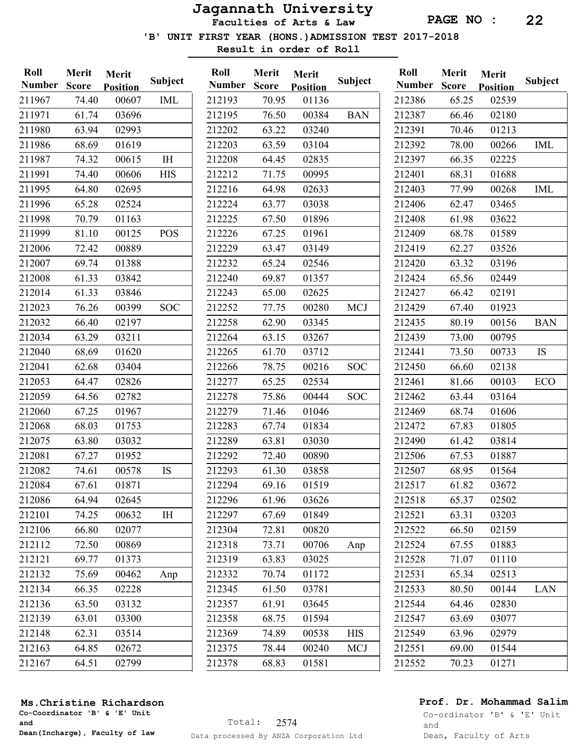Faculties of Arts & Law

'B' UNIT FIRST YEAR (HONS.)ADMISSION TEST 2017-2018

Result in order of Roll

| Roll<br><b>Number</b> | Merit<br><b>Score</b> | Merit<br><b>Position</b> | <b>Subject</b> | Roll<br><b>Number</b> | Merit<br><b>Score</b> | Merit<br><b>Position</b> | Subject    | Roll<br><b>Number</b> | Merit<br><b>Score</b> | Merit<br><b>Position</b> | Subject    |
|-----------------------|-----------------------|--------------------------|----------------|-----------------------|-----------------------|--------------------------|------------|-----------------------|-----------------------|--------------------------|------------|
| 211967                | 74.40                 | 00607                    | <b>IML</b>     | 212193                | 70.95                 | 01136                    |            | 212386                | 65.25                 | 02539                    |            |
| 211971                | 61.74                 | 03696                    |                | 212195                | 76.50                 | 00384                    | <b>BAN</b> | 212387                | 66.46                 | 02180                    |            |
| 211980                | 63.94                 | 02993                    |                | 212202                | 63.22                 | 03240                    |            | 212391                | 70.46                 | 01213                    |            |
| 211986                | 68.69                 | 01619                    |                | 212203                | 63.59                 | 03104                    |            | 212392                | 78.00                 | 00266                    | <b>IML</b> |
| 211987                | 74.32                 | 00615                    | IH             | 212208                | 64.45                 | 02835                    |            | 212397                | 66.35                 | 02225                    |            |
| 211991                | 74.40                 | 00606                    | <b>HIS</b>     | 212212                | 71.75                 | 00995                    |            | 212401                | 68.31                 | 01688                    |            |
| 211995                | 64.80                 | 02695                    |                | 212216                | 64.98                 | 02633                    |            | 212403                | 77.99                 | 00268                    | IML        |
| 211996                | 65.28                 | 02524                    |                | 212224                | 63.77                 | 03038                    |            | 212406                | 62.47                 | 03465                    |            |
| 211998                | 70.79                 | 01163                    |                | 212225                | 67.50                 | 01896                    |            | 212408                | 61.98                 | 03622                    |            |
| 211999                | 81.10                 | 00125                    | <b>POS</b>     | 212226                | 67.25                 | 01961                    |            | 212409                | 68.78                 | 01589                    |            |
| 212006                | 72.42                 | 00889                    |                | 212229                | 63.47                 | 03149                    |            | 212419                | 62.27                 | 03526                    |            |
| 212007                | 69.74                 | 01388                    |                | 212232                | 65.24                 | 02546                    |            | 212420                | 63.32                 | 03196                    |            |
| 212008                | 61.33                 | 03842                    |                | 212240                | 69.87                 | 01357                    |            | 212424                | 65.56                 | 02449                    |            |
| 212014                | 61.33                 | 03846                    |                | 212243                | 65.00                 | 02625                    |            | 212427                | 66.42                 | 02191                    |            |
| 212023                | 76.26                 | 00399                    | <b>SOC</b>     | 212252                | 77.75                 | 00280                    | <b>MCJ</b> | 212429                | 67.40                 | 01923                    |            |
| 212032                | 66.40                 | 02197                    |                | 212258                | 62.90                 | 03345                    |            | 212435                | 80.19                 | 00156                    | <b>BAN</b> |
| 212034                | 63.29                 | 03211                    |                | 212264                | 63.15                 | 03267                    |            | 212439                | 73.00                 | 00795                    |            |
| 212040                | 68.69                 | 01620                    |                | 212265                | 61.70                 | 03712                    |            | 212441                | 73.50                 | 00733                    | IS         |
| 212041                | 62.68                 | 03404                    |                | 212266                | 78.75                 | 00216                    | <b>SOC</b> | 212450                | 66.60                 | 02138                    |            |
| 212053                | 64.47                 | 02826                    |                | 212277                | 65.25                 | 02534                    |            | 212461                | 81.66                 | 00103                    | ECO        |
| 212059                | 64.56                 | 02782                    |                | 212278                | 75.86                 | 00444                    | <b>SOC</b> | 212462                | 63.44                 | 03164                    |            |
| 212060                | 67.25                 | 01967                    |                | 212279                | 71.46                 | 01046                    |            | 212469                | 68.74                 | 01606                    |            |
| 212068                | 68.03                 | 01753                    |                | 212283                | 67.74                 | 01834                    |            | 212472                | 67.83                 | 01805                    |            |
| 212075                | 63.80                 | 03032                    |                | 212289                | 63.81                 | 03030                    |            | 212490                | 61.42                 | 03814                    |            |
| 212081                | 67.27                 | 01952                    |                | 212292                | 72.40                 | 00890                    |            | 212506                | 67.53                 | 01887                    |            |
| 212082                | 74.61                 | 00578                    | IS             | 212293                | 61.30                 | 03858                    |            | 212507                | 68.95                 | 01564                    |            |
| 212084                | 67.61                 | 01871                    |                | 212294                | 69.16                 | 01519                    |            | 212517                | 61.82                 | 03672                    |            |
| 212086                | 64.94                 | 02645                    |                | 212296                | 61.96                 | 03626                    |            | 212518                | 65.37                 | 02502                    |            |
| 212101                | 74.25                 | 00632                    | I <sub>H</sub> | 212297                | 67.69                 | 01849                    |            | 212521                | 63.31                 | 03203                    |            |
| 212106                | 66.80                 | 02077                    |                | 212304                | 72.81                 | 00820                    |            | 212522                | 66.50                 | 02159                    |            |
| 212112                | 72.50                 | 00869                    |                | 212318                | 73.71                 | 00706                    | Anp        | 212524                | 67.55                 | 01883                    |            |
| 212121                | 69.77                 | 01373                    |                | 212319                | 63.83                 | 03025                    |            | 212528                | 71.07                 | 01110                    |            |
| 212132                | 75.69                 | 00462                    | Anp            | 212332                | 70.74                 | 01172                    |            | 212531                | 65.34                 | 02513                    |            |
| 212134                | 66.35                 | 02228                    |                | 212345                | 61.50                 | 03781                    |            | 212533                | 80.50                 | 00144                    | LAN        |
| 212136                | 63.50                 | 03132                    |                | 212357                | 61.91                 | 03645                    |            | 212544                | 64.46                 | 02830                    |            |
| 212139                | 63.01                 | 03300                    |                | 212358                | 68.75                 | 01594                    |            | 212547                | 63.69                 | 03077                    |            |
| 212148                | 62.31                 | 03514                    |                | 212369                | 74.89                 | 00538                    | <b>HIS</b> | 212549                | 63.96                 | 02979                    |            |
| 212163                | 64.85                 | 02672                    |                | 212375                | 78.44                 | 00240                    | <b>MCJ</b> | 212551                | 69.00                 | 01544                    |            |
| 212167                | 64.51                 | 02799                    |                | 212378                | 68.83                 | 01581                    |            | 212552                | 70.23                 | 01271                    |            |
|                       |                       |                          |                |                       |                       |                          |            |                       |                       |                          |            |

#### Ms.Christine Richardson

Co-Coordinator 'B' & 'E' Unit and Dean(Incharge), Faculty of law

## Prof. Dr. Mohammad Salim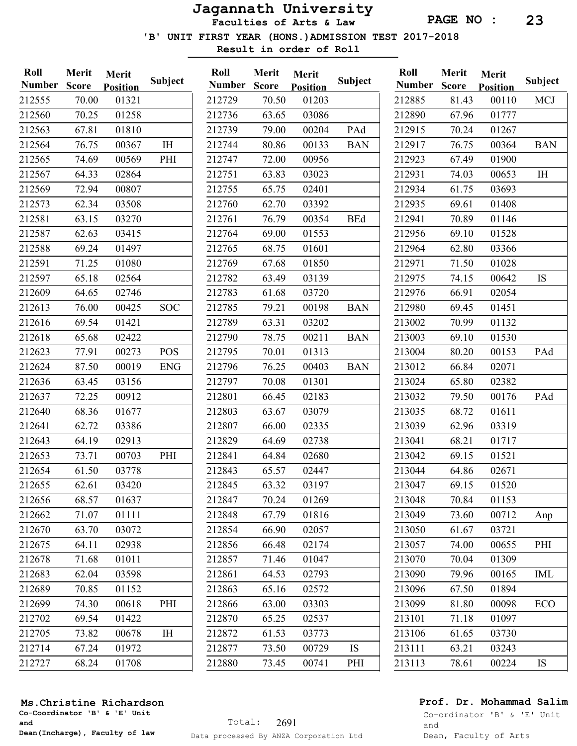Faculties of Arts & Law

Subject

'B' UNIT FIRST YEAR (HONS.)ADMISSION TEST 2017-2018

Result in order of Roll

| Roll<br><b>Number</b> | Merit<br><b>Score</b> | Merit<br><b>Position</b> | <b>Subject</b> | Roll<br><b>Number</b> | Merit<br><b>Score</b> | Merit<br><b>Position</b> | <b>Subject</b> | Roll<br><b>Number</b> | Merit<br><b>Score</b> | Merit<br><b>Position</b> | Subject        |
|-----------------------|-----------------------|--------------------------|----------------|-----------------------|-----------------------|--------------------------|----------------|-----------------------|-----------------------|--------------------------|----------------|
| 212555                | 70.00                 | 01321                    |                | 212729                | 70.50                 | 01203                    |                | 212885                | 81.43                 | 00110                    | <b>MCJ</b>     |
| 212560                | 70.25                 | 01258                    |                | 212736                | 63.65                 | 03086                    |                | 212890                | 67.96                 | 01777                    |                |
| 212563                | 67.81                 | 01810                    |                | 212739                | 79.00                 | 00204                    | PAd            | 212915                | 70.24                 | 01267                    |                |
| 212564                | 76.75                 | 00367                    | $\rm I\rm H$   | 212744                | 80.86                 | 00133                    | <b>BAN</b>     | 212917                | 76.75                 | 00364                    | <b>BAN</b>     |
| 212565                | 74.69                 | 00569                    | PHI            | 212747                | 72.00                 | 00956                    |                | 212923                | 67.49                 | 01900                    |                |
| 212567                | 64.33                 | 02864                    |                | 212751                | 63.83                 | 03023                    |                | 212931                | 74.03                 | 00653                    | I <sub>H</sub> |
| 212569                | 72.94                 | 00807                    |                | 212755                | 65.75                 | 02401                    |                | 212934                | 61.75                 | 03693                    |                |
| 212573                | 62.34                 | 03508                    |                | 212760                | 62.70                 | 03392                    |                | 212935                | 69.61                 | 01408                    |                |
| 212581                | 63.15                 | 03270                    |                | 212761                | 76.79                 | 00354                    | <b>BEd</b>     | 212941                | 70.89                 | 01146                    |                |
| 212587                | 62.63                 | 03415                    |                | 212764                | 69.00                 | 01553                    |                | 212956                | 69.10                 | 01528                    |                |
| 212588                | 69.24                 | 01497                    |                | 212765                | 68.75                 | 01601                    |                | 212964                | 62.80                 | 03366                    |                |
| 212591                | 71.25                 | 01080                    |                | 212769                | 67.68                 | 01850                    |                | 212971                | 71.50                 | 01028                    |                |
| 212597                | 65.18                 | 02564                    |                | 212782                | 63.49                 | 03139                    |                | 212975                | 74.15                 | 00642                    | <b>IS</b>      |
| 212609                | 64.65                 | 02746                    |                | 212783                | 61.68                 | 03720                    |                | 212976                | 66.91                 | 02054                    |                |
| 212613                | 76.00                 | 00425                    | <b>SOC</b>     | 212785                | 79.21                 | 00198                    | <b>BAN</b>     | 212980                | 69.45                 | 01451                    |                |
| 212616                | 69.54                 | 01421                    |                | 212789                | 63.31                 | 03202                    |                | 213002                | 70.99                 | 01132                    |                |
| 212618                | 65.68                 | 02422                    |                | 212790                | 78.75                 | 00211                    | <b>BAN</b>     | 213003                | 69.10                 | 01530                    |                |
| 212623                | 77.91                 | 00273                    | <b>POS</b>     | 212795                | 70.01                 | 01313                    |                | 213004                | 80.20                 | 00153                    | PAd            |
| 212624                | 87.50                 | 00019                    | <b>ENG</b>     | 212796                | 76.25                 | 00403                    | <b>BAN</b>     | 213012                | 66.84                 | 02071                    |                |
| 212636                | 63.45                 | 03156                    |                | 212797                | 70.08                 | 01301                    |                | 213024                | 65.80                 | 02382                    |                |
| 212637                | 72.25                 | 00912                    |                | 212801                | 66.45                 | 02183                    |                | 213032                | 79.50                 | 00176                    | PAd            |
| 212640                | 68.36                 | 01677                    |                | 212803                | 63.67                 | 03079                    |                | 213035                | 68.72                 | 01611                    |                |
| 212641                | 62.72                 | 03386                    |                | 212807                | 66.00                 | 02335                    |                | 213039                | 62.96                 | 03319                    |                |
| 212643                | 64.19                 | 02913                    |                | 212829                | 64.69                 | 02738                    |                | 213041                | 68.21                 | 01717                    |                |
| 212653                | 73.71                 | 00703                    | PHI            | 212841                | 64.84                 | 02680                    |                | 213042                | 69.15                 | 01521                    |                |
| 212654                | 61.50                 | 03778                    |                | 212843                | 65.57                 | 02447                    |                | 213044                | 64.86                 | 02671                    |                |
| 212655                | 62.61                 | 03420                    |                | 212845                | 63.32                 | 03197                    |                | 213047                | 69.15                 | 01520                    |                |
| 212656                | 68.57                 | 01637                    |                | 212847                | 70.24                 | 01269                    |                | 213048                | 70.84                 | 01153                    |                |
| 212662                | 71.07                 | 01111                    |                | 212848                | 67.79                 | 01816                    |                | 213049                | 73.60                 | 00712                    | Anp            |
| 212670                | 63.70                 | 03072                    |                | 212854                | 66.90                 | 02057                    |                | 213050                | 61.67                 | 03721                    |                |
| 212675                | 64.11                 | 02938                    |                | 212856                | 66.48                 | 02174                    |                | 213057                | 74.00                 | 00655                    | PHI            |
| 212678                | 71.68                 | 01011                    |                | 212857                | 71.46                 | 01047                    |                | 213070                | 70.04                 | 01309                    |                |
| 212683                | 62.04                 | 03598                    |                | 212861                | 64.53                 | 02793                    |                | 213090                | 79.96                 | 00165                    | IML            |
| 212689                | 70.85                 | 01152                    |                | 212863                | 65.16                 | 02572                    |                | 213096                | 67.50                 | 01894                    |                |
| 212699                | 74.30                 | 00618                    | PHI            | 212866                | 63.00                 | 03303                    |                | 213099                | 81.80                 | 00098                    | <b>ECO</b>     |
| 212702                | 69.54                 | 01422                    |                | 212870                | 65.25                 | 02537                    |                | 213101                | 71.18                 | 01097                    |                |
| 212705                | 73.82                 | 00678                    | IH             | 212872                | 61.53                 | 03773                    |                | 213106                | 61.65                 | 03730                    |                |
| 212714                | 67.24                 | 01972                    |                | 212877                | 73.50                 | 00729                    | IS             | 213111                | 63.21                 | 03243                    |                |
| 212727                | 68.24                 | 01708                    |                | 212880                | 73.45                 | 00741                    | PHI            | 213113                | 78.61                 | 00224                    | <b>IS</b>      |

## Ms.Christine Richardson

Co-Coordinator 'B' & 'E' Unit and Dean(Incharge), Faculty of law

## Prof. Dr. Mohammad Salim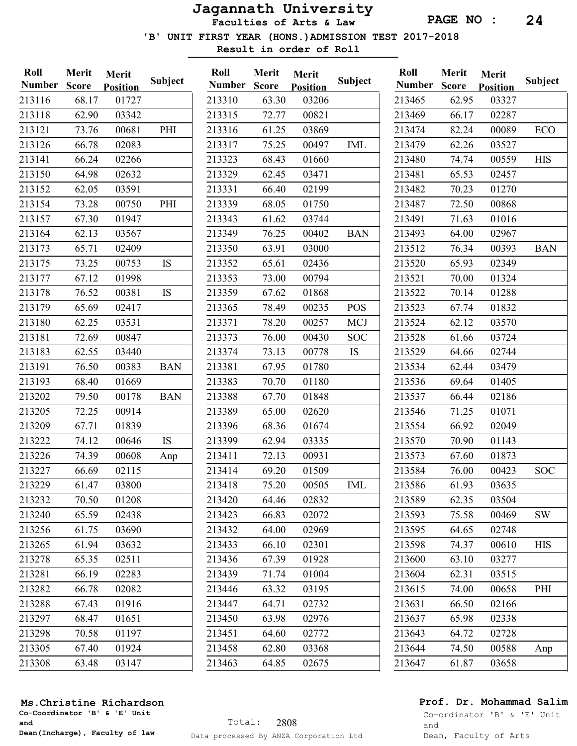PAGE NO : 24

'B' UNIT FIRST YEAR (HONS.)ADMISSION TEST 2017-2018

Result in order of Roll

| Roll<br><b>Number</b> | Merit<br><b>Score</b> | Merit<br><b>Position</b> | Subject    | Roll<br><b>Number</b> | Merit<br><b>Score</b> | Merit<br><b>Position</b> | Subject    | Roll<br><b>Number</b> | Merit<br><b>Score</b> | Merit<br><b>Position</b> | <b>Subject</b> |
|-----------------------|-----------------------|--------------------------|------------|-----------------------|-----------------------|--------------------------|------------|-----------------------|-----------------------|--------------------------|----------------|
| 213116                | 68.17                 | 01727                    |            | 213310                | 63.30                 | 03206                    |            | 213465                | 62.95                 | 03327                    |                |
| 213118                | 62.90                 | 03342                    |            | 213315                | 72.77                 | 00821                    |            | 213469                | 66.17                 | 02287                    |                |
| 213121                | 73.76                 | 00681                    | PHI        | 213316                | 61.25                 | 03869                    |            | 213474                | 82.24                 | 00089                    | ECO            |
| 213126                | 66.78                 | 02083                    |            | 213317                | 75.25                 | 00497                    | <b>IML</b> | 213479                | 62.26                 | 03527                    |                |
| 213141                | 66.24                 | 02266                    |            | 213323                | 68.43                 | 01660                    |            | 213480                | 74.74                 | 00559                    | <b>HIS</b>     |
| 213150                | 64.98                 | 02632                    |            | 213329                | 62.45                 | 03471                    |            | 213481                | 65.53                 | 02457                    |                |
| 213152                | 62.05                 | 03591                    |            | 213331                | 66.40                 | 02199                    |            | 213482                | 70.23                 | 01270                    |                |
| 213154                | 73.28                 | 00750                    | PHI        | 213339                | 68.05                 | 01750                    |            | 213487                | 72.50                 | 00868                    |                |
| 213157                | 67.30                 | 01947                    |            | 213343                | 61.62                 | 03744                    |            | 213491                | 71.63                 | 01016                    |                |
| 213164                | 62.13                 | 03567                    |            | 213349                | 76.25                 | 00402                    | <b>BAN</b> | 213493                | 64.00                 | 02967                    |                |
| 213173                | 65.71                 | 02409                    |            | 213350                | 63.91                 | 03000                    |            | 213512                | 76.34                 | 00393                    | <b>BAN</b>     |
| 213175                | 73.25                 | 00753                    | <b>IS</b>  | 213352                | 65.61                 | 02436                    |            | 213520                | 65.93                 | 02349                    |                |
| 213177                | 67.12                 | 01998                    |            | 213353                | 73.00                 | 00794                    |            | 213521                | 70.00                 | 01324                    |                |
| 213178                | 76.52                 | 00381                    | IS         | 213359                | 67.62                 | 01868                    |            | 213522                | 70.14                 | 01288                    |                |
| 213179                | 65.69                 | 02417                    |            | 213365                | 78.49                 | 00235                    | <b>POS</b> | 213523                | 67.74                 | 01832                    |                |
| 213180                | 62.25                 | 03531                    |            | 213371                | 78.20                 | 00257                    | <b>MCJ</b> | 213524                | 62.12                 | 03570                    |                |
| 213181                | 72.69                 | 00847                    |            | 213373                | 76.00                 | 00430                    | <b>SOC</b> | 213528                | 61.66                 | 03724                    |                |
| 213183                | 62.55                 | 03440                    |            | 213374                | 73.13                 | 00778                    | IS         | 213529                | 64.66                 | 02744                    |                |
| 213191                | 76.50                 | 00383                    | <b>BAN</b> | 213381                | 67.95                 | 01780                    |            | 213534                | 62.44                 | 03479                    |                |
| 213193                | 68.40                 | 01669                    |            | 213383                | 70.70                 | 01180                    |            | 213536                | 69.64                 | 01405                    |                |
| 213202                | 79.50                 | 00178                    | <b>BAN</b> | 213388                | 67.70                 | 01848                    |            | 213537                | 66.44                 | 02186                    |                |
| 213205                | 72.25                 | 00914                    |            | 213389                | 65.00                 | 02620                    |            | 213546                | 71.25                 | 01071                    |                |
| 213209                | 67.71                 | 01839                    |            | 213396                | 68.36                 | 01674                    |            | 213554                | 66.92                 | 02049                    |                |
| 213222                | 74.12                 | 00646                    | <b>IS</b>  | 213399                | 62.94                 | 03335                    |            | 213570                | 70.90                 | 01143                    |                |
| 213226                | 74.39                 | 00608                    | Anp        | 213411                | 72.13                 | 00931                    |            | 213573                | 67.60                 | 01873                    |                |
| 213227                | 66.69                 | 02115                    |            | 213414                | 69.20                 | 01509                    |            | 213584                | 76.00                 | 00423                    | <b>SOC</b>     |
| 213229                | 61.47                 | 03800                    |            | 213418                | 75.20                 | 00505                    | <b>IML</b> | 213586                | 61.93                 | 03635                    |                |
| 213232                | 70.50                 | 01208                    |            | 213420                | 64.46                 | 02832                    |            | 213589                | 62.35                 | 03504                    |                |
| 213240                | 65.59                 | 02438                    |            | 213423                | 66.83                 | 02072                    |            | 213593                | 75.58                 | 00469                    | SW             |
| 213256                | 61.75                 | 03690                    |            | 213432                | 64.00                 | 02969                    |            | 213595                | 64.65                 | 02748                    |                |
| 213265                | 61.94                 | 03632                    |            | 213433                | 66.10                 | 02301                    |            | 213598                | 74.37                 | 00610                    | <b>HIS</b>     |
| 213278                | 65.35                 | 02511                    |            | 213436                | 67.39                 | 01928                    |            | 213600                | 63.10                 | 03277                    |                |
| 213281                | 66.19                 | 02283                    |            | 213439                | 71.74                 | 01004                    |            | 213604                | 62.31                 | 03515                    |                |
| 213282                | 66.78                 | 02082                    |            | 213446                | 63.32                 | 03195                    |            | 213615                | 74.00                 | 00658                    | PHI            |
| 213288                | 67.43                 | 01916                    |            | 213447                | 64.71                 | 02732                    |            | 213631                | 66.50                 | 02166                    |                |
| 213297                | 68.47                 | 01651                    |            | 213450                | 63.98                 | 02976                    |            | 213637                | 65.98                 | 02338                    |                |
| 213298                | 70.58                 | 01197                    |            | 213451                | 64.60                 | 02772                    |            | 213643                | 64.72                 | 02728                    |                |
| 213305                | 67.40                 | 01924                    |            | 213458                | 62.80                 | 03368                    |            | 213644                | 74.50                 | 00588                    | Anp            |
| 213308                | 63.48                 | 03147                    |            | 213463                | 64.85                 | 02675                    |            | 213647                | 61.87                 | 03658                    |                |

## Ms.Christine Richardson

Co-Coordinator 'B' & 'E' Unit and Dean(Incharge), Faculty of law

## Prof. Dr. Mohammad Salim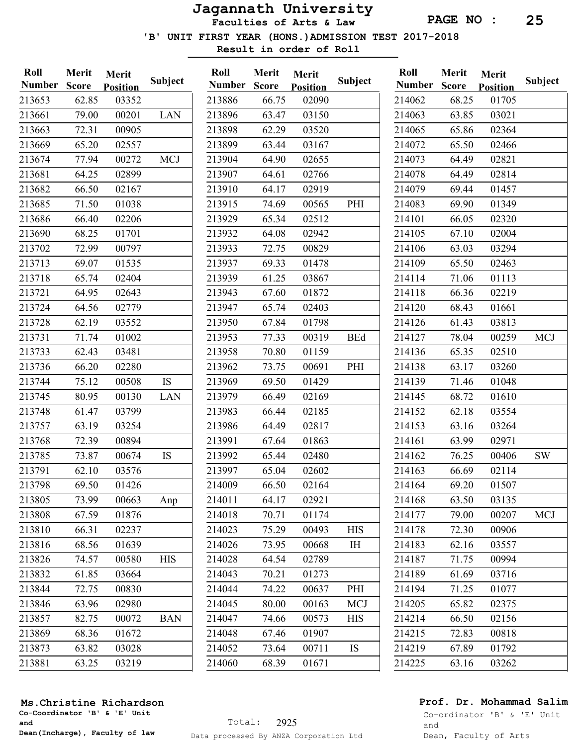Faculties of Arts & Law

'B' UNIT FIRST YEAR (HONS.)ADMISSION TEST 2017-2018

Result in order of Roll

| Roll<br><b>Number</b> | Merit<br><b>Score</b> | Merit<br><b>Position</b> | <b>Subject</b> | Roll<br><b>Number</b> | Merit<br><b>Score</b> | Merit<br><b>Position</b> | Subject    | Roll<br><b>Number</b> | Merit<br><b>Score</b> | Merit<br><b>Position</b> | Subject    |
|-----------------------|-----------------------|--------------------------|----------------|-----------------------|-----------------------|--------------------------|------------|-----------------------|-----------------------|--------------------------|------------|
| 213653                | 62.85                 | 03352                    |                | 213886                | 66.75                 | 02090                    |            | 214062                | 68.25                 | 01705                    |            |
| 213661                | 79.00                 | 00201                    | <b>LAN</b>     | 213896                | 63.47                 | 03150                    |            | 214063                | 63.85                 | 03021                    |            |
| 213663                | 72.31                 | 00905                    |                | 213898                | 62.29                 | 03520                    |            | 214065                | 65.86                 | 02364                    |            |
| 213669                | 65.20                 | 02557                    |                | 213899                | 63.44                 | 03167                    |            | 214072                | 65.50                 | 02466                    |            |
| 213674                | 77.94                 | 00272                    | <b>MCJ</b>     | 213904                | 64.90                 | 02655                    |            | 214073                | 64.49                 | 02821                    |            |
| 213681                | 64.25                 | 02899                    |                | 213907                | 64.61                 | 02766                    |            | 214078                | 64.49                 | 02814                    |            |
| 213682                | 66.50                 | 02167                    |                | 213910                | 64.17                 | 02919                    |            | 214079                | 69.44                 | 01457                    |            |
| 213685                | 71.50                 | 01038                    |                | 213915                | 74.69                 | 00565                    | PHI        | 214083                | 69.90                 | 01349                    |            |
| 213686                | 66.40                 | 02206                    |                | 213929                | 65.34                 | 02512                    |            | 214101                | 66.05                 | 02320                    |            |
| 213690                | 68.25                 | 01701                    |                | 213932                | 64.08                 | 02942                    |            | 214105                | 67.10                 | 02004                    |            |
| 213702                | 72.99                 | 00797                    |                | 213933                | 72.75                 | 00829                    |            | 214106                | 63.03                 | 03294                    |            |
| 213713                | 69.07                 | 01535                    |                | 213937                | 69.33                 | 01478                    |            | 214109                | 65.50                 | 02463                    |            |
| 213718                | 65.74                 | 02404                    |                | 213939                | 61.25                 | 03867                    |            | 214114                | 71.06                 | 01113                    |            |
| 213721                | 64.95                 | 02643                    |                | 213943                | 67.60                 | 01872                    |            | 214118                | 66.36                 | 02219                    |            |
| 213724                | 64.56                 | 02779                    |                | 213947                | 65.74                 | 02403                    |            | 214120                | 68.43                 | 01661                    |            |
| 213728                | 62.19                 | 03552                    |                | 213950                | 67.84                 | 01798                    |            | 214126                | 61.43                 | 03813                    |            |
| 213731                | 71.74                 | 01002                    |                | 213953                | 77.33                 | 00319                    | <b>BEd</b> | 214127                | 78.04                 | 00259                    | <b>MCJ</b> |
| 213733                | 62.43                 | 03481                    |                | 213958                | 70.80                 | 01159                    |            | 214136                | 65.35                 | 02510                    |            |
| 213736                | 66.20                 | 02280                    |                | 213962                | 73.75                 | 00691                    | PHI        | 214138                | 63.17                 | 03260                    |            |
| 213744                | 75.12                 | 00508                    | <b>IS</b>      | 213969                | 69.50                 | 01429                    |            | 214139                | 71.46                 | 01048                    |            |
| 213745                | 80.95                 | 00130                    | <b>LAN</b>     | 213979                | 66.49                 | 02169                    |            | 214145                | 68.72                 | 01610                    |            |
| 213748                | 61.47                 | 03799                    |                | 213983                | 66.44                 | 02185                    |            | 214152                | 62.18                 | 03554                    |            |
| 213757                | 63.19                 | 03254                    |                | 213986                | 64.49                 | 02817                    |            | 214153                | 63.16                 | 03264                    |            |
| 213768                | 72.39                 | 00894                    |                | 213991                | 67.64                 | 01863                    |            | 214161                | 63.99                 | 02971                    |            |
| 213785                | 73.87                 | 00674                    | <b>IS</b>      | 213992                | 65.44                 | 02480                    |            | 214162                | 76.25                 | 00406                    | <b>SW</b>  |
| 213791                | 62.10                 | 03576                    |                | 213997                | 65.04                 | 02602                    |            | 214163                | 66.69                 | 02114                    |            |
| 213798                | 69.50                 | 01426                    |                | 214009                | 66.50                 | 02164                    |            | 214164                | 69.20                 | 01507                    |            |
| 213805                | 73.99                 | 00663                    | Anp            | 214011                | 64.17                 | 02921                    |            | 214168                | 63.50                 | 03135                    |            |
| 213808                | 67.59                 | 01876                    |                | 214018                | 70.71                 | 01174                    |            | 214177                | 79.00                 | 00207                    | <b>MCJ</b> |
| 213810                | 66.31                 | 02237                    |                | 214023                | 75.29                 | 00493                    | <b>HIS</b> | 214178                | 72.30                 | 00906                    |            |
| 213816                | 68.56                 | 01639                    |                | 214026                | 73.95                 | 00668                    | IH         | 214183                | 62.16                 | 03557                    |            |
| 213826                | 74.57                 | 00580                    | <b>HIS</b>     | 214028                | 64.54                 | 02789                    |            | 214187                | 71.75                 | 00994                    |            |
| 213832                | 61.85                 | 03664                    |                | 214043                | 70.21                 | 01273                    |            | 214189                | 61.69                 | 03716                    |            |
| 213844                | 72.75                 | 00830                    |                | 214044                | 74.22                 | 00637                    | PHI        | 214194                | 71.25                 | 01077                    |            |
| 213846                | 63.96                 | 02980                    |                | 214045                | 80.00                 | 00163                    | <b>MCJ</b> | 214205                | 65.82                 | 02375                    |            |
| 213857                | 82.75                 | 00072                    | <b>BAN</b>     | 214047                | 74.66                 | 00573                    | <b>HIS</b> | 214214                | 66.50                 | 02156                    |            |
| 213869                | 68.36                 | 01672                    |                | 214048                | 67.46                 | 01907                    |            | 214215                | 72.83                 | 00818                    |            |
| 213873                | 63.82                 | 03028                    |                | 214052                | 73.64                 | 00711                    | IS         | 214219                | 67.89                 | 01792                    |            |
| 213881                | 63.25                 | 03219                    |                | 214060                | 68.39                 | 01671                    |            | 214225                | 63.16                 | 03262                    |            |

#### Ms.Christine Richardson

Co-Coordinator 'B' & 'E' Unit and Dean(Incharge), Faculty of law

## Prof. Dr. Mohammad Salim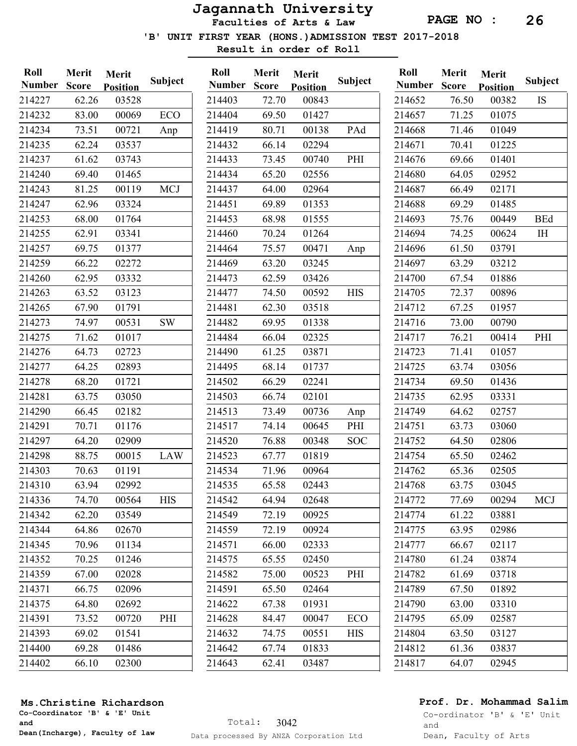Faculties of Arts & Law

PAGE NO : 26

'B' UNIT FIRST YEAR (HONS.)ADMISSION TEST 2017-2018

Merit

Result in order of Roll

| Roll          | Merit        | Merit           |            | Roll          | Merit             |
|---------------|--------------|-----------------|------------|---------------|-------------------|
| <b>Number</b> | <b>Score</b> | <b>Position</b> | Subject    | <b>Number</b> | <b>Score</b>      |
| 214227        | 62.26        | 03528           |            | 214403        | 72.70             |
| 214232        | 83.00        | 00069           | ECO        | 214404        | 69.50             |
| 214234        | 73.51        | 00721           | Anp        | 214419        | 80.71             |
| 214235        | 62.24        | 03537           |            | 214432        | 66.14             |
| 214237        | 61.62        | 03743           |            | 214433        | 73.45             |
| 214240        | 69.40        | 01465           |            | 214434        | 65.20             |
| 214243        | 81.25        | 00119           | <b>MCJ</b> | 214437        | 64.00             |
| 214247        | 62.96        | 03324           |            | 214451        | 69.89             |
| 214253        | 68.00        | 01764           |            | 214453        | 68.98             |
| 214255        | 62.91        | 03341           |            | 214460        | 70.24             |
| 214257        | 69.75        | 01377           |            | 214464        | 75.57             |
| 214259        | 66.22        | 02272           |            | 214469        | 63.20             |
| 214260        | 62.95        | 03332           |            | 214473        | 62.59             |
| 214263        | 63.52        | 03123           |            | 214477        | 74.50             |
| 214265        | 67.90        | 01791           |            | 214481        | 62.3(             |
| 214273        | 74.97        | 00531           | SW         | 214482        | 69.95             |
| 214275        | 71.62        | 01017           |            | 214484        | 66.04             |
| 214276        | 64.73        | 02723           |            | 214490        | 61.25             |
| 214277        | 64.25        | 02893           |            | 214495        | 68.14             |
| 214278        | 68.20        | 01721           |            | 214502        | 66.29             |
| 214281        | 63.75        | 03050           |            | 214503        | 66.74             |
| 214290        | 66.45        | 02182           |            | 214513        | 73.49             |
| 214291        | 70.71        | 01176           |            | 214517        | 74.14             |
| 214297        | 64.20        | 02909           |            | 214520        | 76.88             |
| 214298        | 88.75        | 00015           | <b>LAW</b> | 214523        | 67.77             |
| 214303        | 70.63        | 01191           |            | 214534        | 71.96             |
| 214310        | 63.94        | 02992           |            | 214535        | 65.58             |
| 214336        | 74.70        | 00564           | <b>HIS</b> | 214542        | 64.94             |
| 214342        | 62.20        | 03549           |            | 214549        | 72.19             |
| 214344        | 64.86        | 02670           |            | 214559        | 72.19             |
| 214345        | 70.96        | 01134           |            | 214571        | 66.00             |
| 214352        | 70.25        | 01246           |            | 214575        | 65.5 <sup>4</sup> |
| 214359        | 67.00        | 02028           |            | 214582        | 75.00             |
| 214371        | 66.75        | 02096           |            | 214591        | 65.50             |
| 214375        | 64.80        | 02692           |            | 214622        | 67.38             |
| 214391        | 73.52        | 00720           | PHI        | 214628        | 84.4              |
| 214393        | 69.02        | 01541           |            | 214632        | 74.75             |
| 214400        | 69.28        | 01486           |            | 214642        | 67.74             |
| 214402        | 66.10        | 02300           |            | 214643        | 62.41             |
|               |              |                 |            |               |                   |

|               | <b>IVILLIL</b> | <b>IMELIT</b>   |                |                                                                                                                                                                                                                                 |
|---------------|----------------|-----------------|----------------|---------------------------------------------------------------------------------------------------------------------------------------------------------------------------------------------------------------------------------|
| <b>Number</b> | <b>Score</b>   | <b>Position</b> | <b>Subject</b> |                                                                                                                                                                                                                                 |
| 214403        | 72.70          | 00843           |                |                                                                                                                                                                                                                                 |
| 214404        | 69.50          | 01427           |                |                                                                                                                                                                                                                                 |
| 214419        | 80.71          | 00138           | PAd            |                                                                                                                                                                                                                                 |
| 214432        | 66.14          | 02294           |                |                                                                                                                                                                                                                                 |
| 214433        | 73.45          | 00740           | PHI            |                                                                                                                                                                                                                                 |
| 214434        | 65.20          | 02556           |                |                                                                                                                                                                                                                                 |
| 214437        | 64.00          | 02964           |                |                                                                                                                                                                                                                                 |
| 214451        | 69.89          | 01353           |                |                                                                                                                                                                                                                                 |
| 214453        | 68.98          | 01555           |                |                                                                                                                                                                                                                                 |
| 214460        | 70.24          | 01264           |                |                                                                                                                                                                                                                                 |
| 214464        | 75.57          | 00471           | Anp            |                                                                                                                                                                                                                                 |
| 214469        | 63.20          | 03245           |                | $\frac{2}{2}$ $\frac{2}{2}$ $\frac{2}{2}$ $\frac{2}{2}$ $\frac{2}{2}$ $\frac{2}{2}$ $\frac{2}{2}$ $\frac{2}{2}$ $\frac{2}{2}$ $\frac{2}{2}$ $\frac{2}{2}$ $\frac{2}{2}$ $\frac{2}{2}$ $\frac{2}{2}$ $\frac{2}{2}$ $\frac{2}{2}$ |
| 214473        | 62.59          | 03426           |                |                                                                                                                                                                                                                                 |
| 214477        | 74.50          | 00592           | <b>HIS</b>     |                                                                                                                                                                                                                                 |
| 214481        | 62.30          | 03518           |                |                                                                                                                                                                                                                                 |
| 214482        | 69.95          | 01338           |                |                                                                                                                                                                                                                                 |
| 214484        | 66.04          | 02325           |                |                                                                                                                                                                                                                                 |
| 214490        | 61.25          | 03871           |                |                                                                                                                                                                                                                                 |
| 214495        | 68.14          | 01737           |                |                                                                                                                                                                                                                                 |
| 214502        | 66.29          | 02241           |                |                                                                                                                                                                                                                                 |
| 214503        | 66.74          | 02101           |                |                                                                                                                                                                                                                                 |
| 214513        | 73.49          | 00736           | Anp            |                                                                                                                                                                                                                                 |
| 214517        | 74.14          | 00645           | PHI            |                                                                                                                                                                                                                                 |
| 214520        | 76.88          | 00348           | SOC            |                                                                                                                                                                                                                                 |
| 214523        | 67.77          | 01819           |                |                                                                                                                                                                                                                                 |
| 214534        | 71.96          | 00964           |                |                                                                                                                                                                                                                                 |
| 214535        | 65.58          | 02443           |                |                                                                                                                                                                                                                                 |
| 214542        | 64.94          | 02648           |                |                                                                                                                                                                                                                                 |
| 214549        | 72.19          | 00925           |                |                                                                                                                                                                                                                                 |
| 214559        | 72.19          | 00924           |                |                                                                                                                                                                                                                                 |
| 214571        | 66.00          | 02333           |                |                                                                                                                                                                                                                                 |
| 214575        | 65.55          | 02450           |                |                                                                                                                                                                                                                                 |
| 214582        | 75.00          | 00523           | PHI            |                                                                                                                                                                                                                                 |
| 214591        | 65.50          | 02464           |                |                                                                                                                                                                                                                                 |
| 214622        | 67.38          | 01931           |                |                                                                                                                                                                                                                                 |
| 214628        | 84.47          | 00047           | ECO            |                                                                                                                                                                                                                                 |
| 214632        | 74.75          | 00551           | HIS            |                                                                                                                                                                                                                                 |
| 214642        | 67.74          | 01833           |                | $2\overline{)2\overline{)2\overline{)2\overline{)2\overline{)2\overline{)2\overline{}}}2\overline{)2\overline{}}}$                                                                                                              |
| 214643        | 62.41          | 03487           |                |                                                                                                                                                                                                                                 |

| Roll   | Merit | Merit           |            |
|--------|-------|-----------------|------------|
| Number | Score | <b>Position</b> | Subject    |
| 214652 | 76.50 | 00382           | IS         |
| 214657 | 71.25 | 01075           |            |
| 214668 | 71.46 | 01049           |            |
| 214671 | 70.41 | 01225           |            |
| 214676 | 69.66 | 01401           |            |
| 214680 | 64.05 | 02952           |            |
| 214687 | 66.49 | 02171           |            |
| 214688 | 69.29 | 01485           |            |
| 214693 | 75.76 | 00449           | <b>BEd</b> |
| 214694 | 74.25 | 00624           | IH         |
| 214696 | 61.50 | 03791           |            |
| 214697 | 63.29 | 03212           |            |
| 214700 | 67.54 | 01886           |            |
| 214705 | 72.37 | 00896           |            |
| 214712 | 67.25 | 01957           |            |
| 214716 | 73.00 | 00790           |            |
| 214717 | 76.21 | 00414           | PHI        |
| 214723 | 71.41 | 01057           |            |
| 214725 | 63.74 | 03056           |            |
| 214734 | 69.50 | 01436           |            |
| 214735 | 62.95 | 03331           |            |
| 214749 | 64.62 | 02757           |            |
| 214751 | 63.73 | 03060           |            |
| 214752 | 64.50 | 02806           |            |
| 214754 | 65.50 | 02462           |            |
| 214762 | 65.36 | 02505           |            |
| 214768 | 63.75 | 03045           |            |
| 214772 | 77.69 | 00294           | <b>MCJ</b> |
| 214774 | 61.22 | 03881           |            |
| 214775 | 63.95 | 02986           |            |
| 214777 | 66.67 | 02117           |            |
| 214780 | 61.24 | 03874           |            |
| 214782 | 61.69 | 03718           |            |
| 214789 | 67.50 | 01892           |            |
| 214790 | 63.00 | 03310           |            |
| 214795 | 65.09 | 02587           |            |
| 214804 | 63.50 | 03127           |            |
| 214812 | 61.36 | 03837           |            |
| 214817 | 64.07 | 02945           |            |

#### Ms.Christine Richardson

Co-Coordinator 'B' & 'E' Unit and Dean(Incharge), Faculty of law

### Prof. Dr. Mohammad Salim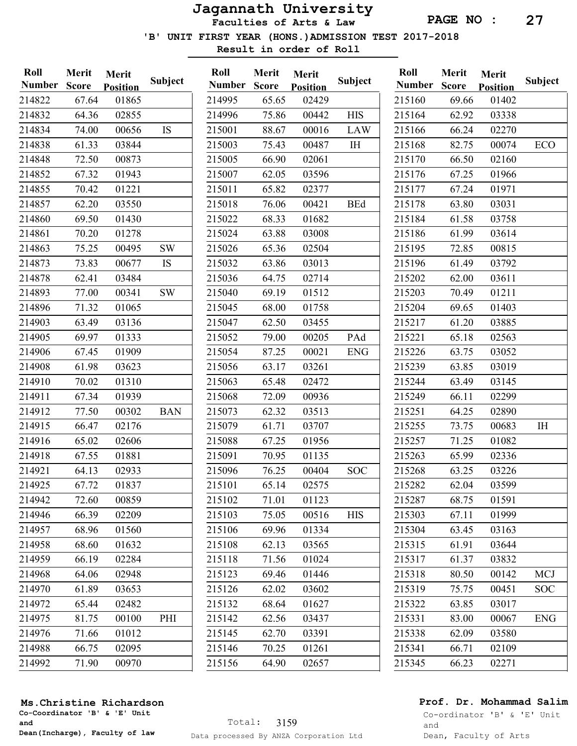Faculties of Arts & Law

'B' UNIT FIRST YEAR (HONS.)ADMISSION TEST 2017-2018

Result in order of Roll

| Roll<br><b>Number</b> | Merit<br><b>Score</b> | <b>Merit</b><br><b>Position</b> | <b>Subject</b> | Roll<br><b>Number</b> | Merit<br><b>Score</b> | Merit<br><b>Position</b> | <b>Subject</b> | Roll<br><b>Number</b> | Merit<br><b>Score</b> | Merit<br><b>Position</b> | <b>Subject</b> |
|-----------------------|-----------------------|---------------------------------|----------------|-----------------------|-----------------------|--------------------------|----------------|-----------------------|-----------------------|--------------------------|----------------|
| 214822                | 67.64                 | 01865                           |                | 214995                | 65.65                 | 02429                    |                | 215160                | 69.66                 | 01402                    |                |
| 214832                | 64.36                 | 02855                           |                | 214996                | 75.86                 | 00442                    | <b>HIS</b>     | 215164                | 62.92                 | 03338                    |                |
| 214834                | 74.00                 | 00656                           | IS             | 215001                | 88.67                 | 00016                    | <b>LAW</b>     | 215166                | 66.24                 | 02270                    |                |
| 214838                | 61.33                 | 03844                           |                | 215003                | 75.43                 | 00487                    | I <sub>H</sub> | 215168                | 82.75                 | 00074                    | ECO            |
| 214848                | 72.50                 | 00873                           |                | 215005                | 66.90                 | 02061                    |                | 215170                | 66.50                 | 02160                    |                |
| 214852                | 67.32                 | 01943                           |                | 215007                | 62.05                 | 03596                    |                | 215176                | 67.25                 | 01966                    |                |
| 214855                | 70.42                 | 01221                           |                | 215011                | 65.82                 | 02377                    |                | 215177                | 67.24                 | 01971                    |                |
| 214857                | 62.20                 | 03550                           |                | 215018                | 76.06                 | 00421                    | <b>BEd</b>     | 215178                | 63.80                 | 03031                    |                |
| 214860                | 69.50                 | 01430                           |                | 215022                | 68.33                 | 01682                    |                | 215184                | 61.58                 | 03758                    |                |
| 214861                | 70.20                 | 01278                           |                | 215024                | 63.88                 | 03008                    |                | 215186                | 61.99                 | 03614                    |                |
| 214863                | 75.25                 | 00495                           | <b>SW</b>      | 215026                | 65.36                 | 02504                    |                | 215195                | 72.85                 | 00815                    |                |
| 214873                | 73.83                 | 00677                           | IS             | 215032                | 63.86                 | 03013                    |                | 215196                | 61.49                 | 03792                    |                |
| 214878                | 62.41                 | 03484                           |                | 215036                | 64.75                 | 02714                    |                | 215202                | 62.00                 | 03611                    |                |
| 214893                | 77.00                 | 00341                           | $\mathrm{SW}$  | 215040                | 69.19                 | 01512                    |                | 215203                | 70.49                 | 01211                    |                |
| 214896                | 71.32                 | 01065                           |                | 215045                | 68.00                 | 01758                    |                | 215204                | 69.65                 | 01403                    |                |
| 214903                | 63.49                 | 03136                           |                | 215047                | 62.50                 | 03455                    |                | 215217                | 61.20                 | 03885                    |                |
| 214905                | 69.97                 | 01333                           |                | 215052                | 79.00                 | 00205                    | PAd            | 215221                | 65.18                 | 02563                    |                |
| 214906                | 67.45                 | 01909                           |                | 215054                | 87.25                 | 00021                    | <b>ENG</b>     | 215226                | 63.75                 | 03052                    |                |
| 214908                | 61.98                 | 03623                           |                | 215056                | 63.17                 | 03261                    |                | 215239                | 63.85                 | 03019                    |                |
| 214910                | 70.02                 | 01310                           |                | 215063                | 65.48                 | 02472                    |                | 215244                | 63.49                 | 03145                    |                |
| 214911                | 67.34                 | 01939                           |                | 215068                | 72.09                 | 00936                    |                | 215249                | 66.11                 | 02299                    |                |
| 214912                | 77.50                 | 00302                           | <b>BAN</b>     | 215073                | 62.32                 | 03513                    |                | 215251                | 64.25                 | 02890                    |                |
| 214915                | 66.47                 | 02176                           |                | 215079                | 61.71                 | 03707                    |                | 215255                | 73.75                 | 00683                    | IH             |
| 214916                | 65.02                 | 02606                           |                | 215088                | 67.25                 | 01956                    |                | 215257                | 71.25                 | 01082                    |                |
| 214918                | 67.55                 | 01881                           |                | 215091                | 70.95                 | 01135                    |                | 215263                | 65.99                 | 02336                    |                |
| 214921                | 64.13                 | 02933                           |                | 215096                | 76.25                 | 00404                    | <b>SOC</b>     | 215268                | 63.25                 | 03226                    |                |
| 214925                | 67.72                 | 01837                           |                | 215101                | 65.14                 | 02575                    |                | 215282                | 62.04                 | 03599                    |                |
| 214942                | 72.60                 | 00859                           |                | 215102                | 71.01                 | 01123                    |                | 215287                | 68.75                 | 01591                    |                |
| 214946                | 66.39                 | 02209                           |                | 215103                | 75.05                 | 00516                    | <b>HIS</b>     | 215303                | 67.11                 | 01999                    |                |
| 214957                | 68.96                 | 01560                           |                | 215106                | 69.96                 | 01334                    |                | 215304                | 63.45                 | 03163                    |                |
| 214958                | 68.60                 | 01632                           |                | 215108                | 62.13                 | 03565                    |                | 215315                | 61.91                 | 03644                    |                |
| 214959                | 66.19                 | 02284                           |                | 215118                | 71.56                 | 01024                    |                | 215317                | 61.37                 | 03832                    |                |
| 214968                | 64.06                 | 02948                           |                | 215123                | 69.46                 | 01446                    |                | 215318                | 80.50                 | 00142                    | <b>MCJ</b>     |
| 214970                | 61.89                 | 03653                           |                | 215126                | 62.02                 | 03602                    |                | 215319                | 75.75                 | 00451                    | <b>SOC</b>     |
| 214972                | 65.44                 | 02482                           |                | 215132                | 68.64                 | 01627                    |                | 215322                | 63.85                 | 03017                    |                |
| 214975                | 81.75                 | 00100                           | PHI            | 215142                | 62.56                 | 03437                    |                | 215331                | 83.00                 | 00067                    | <b>ENG</b>     |
| 214976                | 71.66                 | 01012                           |                | 215145                | 62.70                 | 03391                    |                | 215338                | 62.09                 | 03580                    |                |
| 214988                | 66.75                 | 02095                           |                | 215146                | 70.25                 | 01261                    |                | 215341                | 66.71                 | 02109                    |                |
| 214992                | 71.90                 | 00970                           |                | 215156                | 64.90                 | 02657                    |                | 215345                | 66.23                 | 02271                    |                |

#### Ms.Christine Richardson

Co-Coordinator 'B' & 'E' Unit and Dean(Incharge), Faculty of law

## Prof. Dr. Mohammad Salim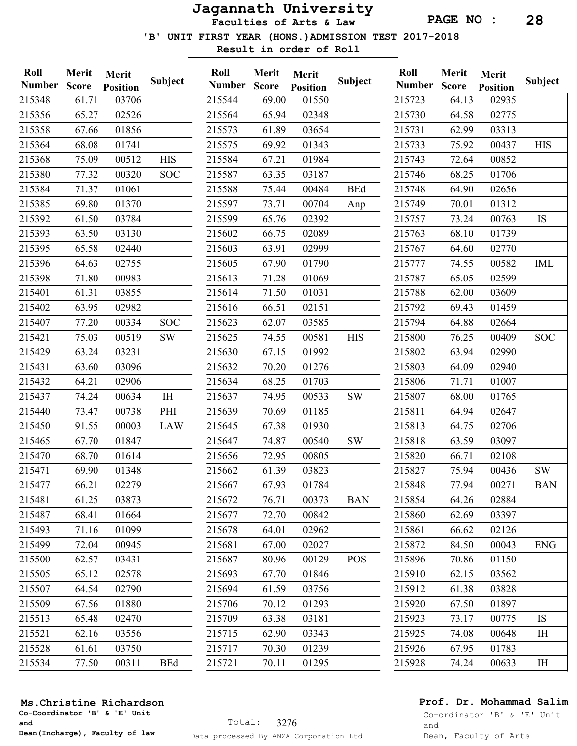Faculties of Arts & Law

'B' UNIT FIRST YEAR (HONS.)ADMISSION TEST 2017-2018

Result in order of Roll

| Roll<br><b>Number</b> | Merit<br><b>Score</b> | Merit<br><b>Position</b> | Subject        | Roll<br><b>Number</b> | Merit<br><b>Score</b> | Merit<br><b>Position</b> | Subject    | Roll<br><b>Number</b> | Merit<br><b>Score</b> | Merit<br><b>Position</b> | Subject    |
|-----------------------|-----------------------|--------------------------|----------------|-----------------------|-----------------------|--------------------------|------------|-----------------------|-----------------------|--------------------------|------------|
| 215348                | 61.71                 | 03706                    |                | 215544                | 69.00                 | 01550                    |            | 215723                | 64.13                 | 02935                    |            |
| 215356                | 65.27                 | 02526                    |                | 215564                | 65.94                 | 02348                    |            | 215730                | 64.58                 | 02775                    |            |
| 215358                | 67.66                 | 01856                    |                | 215573                | 61.89                 | 03654                    |            | 215731                | 62.99                 | 03313                    |            |
| 215364                | 68.08                 | 01741                    |                | 215575                | 69.92                 | 01343                    |            | 215733                | 75.92                 | 00437                    | <b>HIS</b> |
| 215368                | 75.09                 | 00512                    | <b>HIS</b>     | 215584                | 67.21                 | 01984                    |            | 215743                | 72.64                 | 00852                    |            |
| 215380                | 77.32                 | 00320                    | <b>SOC</b>     | 215587                | 63.35                 | 03187                    |            | 215746                | 68.25                 | 01706                    |            |
| 215384                | 71.37                 | 01061                    |                | 215588                | 75.44                 | 00484                    | <b>BEd</b> | 215748                | 64.90                 | 02656                    |            |
| 215385                | 69.80                 | 01370                    |                | 215597                | 73.71                 | 00704                    | Anp        | 215749                | 70.01                 | 01312                    |            |
| 215392                | 61.50                 | 03784                    |                | 215599                | 65.76                 | 02392                    |            | 215757                | 73.24                 | 00763                    | IS         |
| 215393                | 63.50                 | 03130                    |                | 215602                | 66.75                 | 02089                    |            | 215763                | 68.10                 | 01739                    |            |
| 215395                | 65.58                 | 02440                    |                | 215603                | 63.91                 | 02999                    |            | 215767                | 64.60                 | 02770                    |            |
| 215396                | 64.63                 | 02755                    |                | 215605                | 67.90                 | 01790                    |            | 215777                | 74.55                 | 00582                    | IML        |
| 215398                | 71.80                 | 00983                    |                | 215613                | 71.28                 | 01069                    |            | 215787                | 65.05                 | 02599                    |            |
| 215401                | 61.31                 | 03855                    |                | 215614                | 71.50                 | 01031                    |            | 215788                | 62.00                 | 03609                    |            |
| 215402                | 63.95                 | 02982                    |                | 215616                | 66.51                 | 02151                    |            | 215792                | 69.43                 | 01459                    |            |
| 215407                | 77.20                 | 00334                    | <b>SOC</b>     | 215623                | 62.07                 | 03585                    |            | 215794                | 64.88                 | 02664                    |            |
| 215421                | 75.03                 | 00519                    | <b>SW</b>      | 215625                | 74.55                 | 00581                    | <b>HIS</b> | 215800                | 76.25                 | 00409                    | <b>SOC</b> |
| 215429                | 63.24                 | 03231                    |                | 215630                | 67.15                 | 01992                    |            | 215802                | 63.94                 | 02990                    |            |
| 215431                | 63.60                 | 03096                    |                | 215632                | 70.20                 | 01276                    |            | 215803                | 64.09                 | 02940                    |            |
| 215432                | 64.21                 | 02906                    |                | 215634                | 68.25                 | 01703                    |            | 215806                | 71.71                 | 01007                    |            |
| 215437                | 74.24                 | 00634                    | I <sub>H</sub> | 215637                | 74.95                 | 00533                    | <b>SW</b>  | 215807                | 68.00                 | 01765                    |            |
| 215440                | 73.47                 | 00738                    | PHI            | 215639                | 70.69                 | 01185                    |            | 215811                | 64.94                 | 02647                    |            |
| 215450                | 91.55                 | 00003                    | LAW            | 215645                | 67.38                 | 01930                    |            | 215813                | 64.75                 | 02706                    |            |
| 215465                | 67.70                 | 01847                    |                | 215647                | 74.87                 | 00540                    | <b>SW</b>  | 215818                | 63.59                 | 03097                    |            |
| 215470                | 68.70                 | 01614                    |                | 215656                | 72.95                 | 00805                    |            | 215820                | 66.71                 | 02108                    |            |
| 215471                | 69.90                 | 01348                    |                | 215662                | 61.39                 | 03823                    |            | 215827                | 75.94                 | 00436                    | <b>SW</b>  |
| 215477                | 66.21                 | 02279                    |                | 215667                | 67.93                 | 01784                    |            | 215848                | 77.94                 | 00271                    | <b>BAN</b> |
| 215481                | 61.25                 | 03873                    |                | 215672                | 76.71                 | 00373                    | <b>BAN</b> | 215854                | 64.26                 | 02884                    |            |
| 215487                | 68.41                 | 01664                    |                | 215677                | 72.70                 | 00842                    |            | 215860                | 62.69                 | 03397                    |            |
| 215493                | 71.16                 | 01099                    |                | 215678                | 64.01                 | 02962                    |            | 215861                | 66.62                 | 02126                    |            |
| 215499                | 72.04                 | 00945                    |                | 215681                | 67.00                 | 02027                    |            | 215872                | 84.50                 | 00043                    | ENG        |
| 215500                | 62.57                 | 03431                    |                | 215687                | 80.96                 | 00129                    | <b>POS</b> | 215896                | 70.86                 | 01150                    |            |
| 215505                | 65.12                 | 02578                    |                | 215693                | 67.70                 | 01846                    |            | 215910                | 62.15                 | 03562                    |            |
| 215507                | 64.54                 | 02790                    |                | 215694                | 61.59                 | 03756                    |            | 215912                | 61.38                 | 03828                    |            |
| 215509                | 67.56                 | 01880                    |                | 215706                | 70.12                 | 01293                    |            | 215920                | 67.50                 | 01897                    |            |
| 215513                | 65.48                 | 02470                    |                | 215709                | 63.38                 | 03181                    |            | 215923                | 73.17                 | 00775                    | <b>IS</b>  |
| 215521                | 62.16                 | 03556                    |                | 215715                | 62.90                 | 03343                    |            | 215925                | 74.08                 | 00648                    | IH         |
| 215528                | 61.61                 | 03750                    |                | 215717                | 70.30                 | 01239                    |            | 215926                | 67.95                 | 01783                    |            |
| 215534                | 77.50                 | 00311                    | <b>BEd</b>     | 215721                | 70.11                 | 01295                    |            | 215928                | 74.24                 | 00633                    | IH         |

#### Ms.Christine Richardson

Co-Coordinator 'B' & 'E' Unit and Dean(Incharge), Faculty of law

## Prof. Dr. Mohammad Salim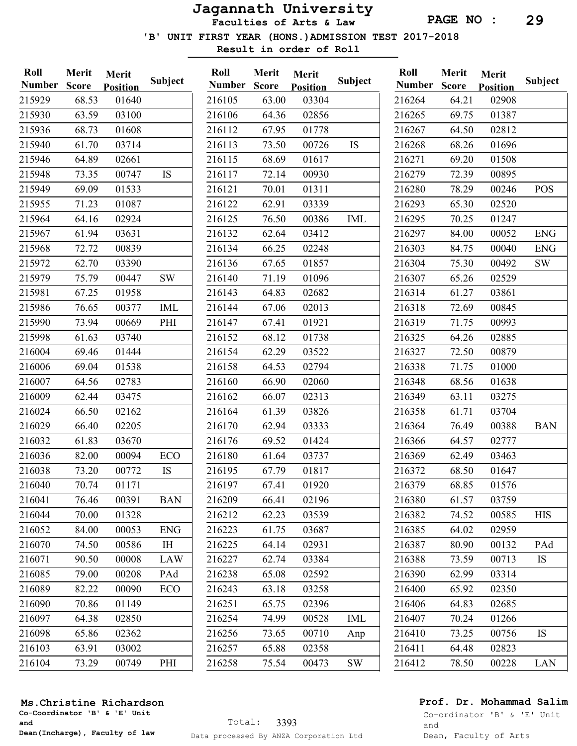Faculties of Arts & Law

'B' UNIT FIRST YEAR (HONS.)ADMISSION TEST 2017-2018

Result in order of Roll

| Roll<br><b>Number</b> | Merit<br><b>Score</b> | Merit<br><b>Position</b> | <b>Subject</b> | Roll<br><b>Number</b> | Merit<br><b>Score</b> | Merit<br><b>Position</b> | <b>Subject</b> | Roll<br><b>Number</b> | Merit<br><b>Score</b> | Merit<br><b>Position</b> | <b>Subject</b> |
|-----------------------|-----------------------|--------------------------|----------------|-----------------------|-----------------------|--------------------------|----------------|-----------------------|-----------------------|--------------------------|----------------|
| 215929                | 68.53                 | 01640                    |                | 216105                | 63.00                 | 03304                    |                | 216264                | 64.21                 | 02908                    |                |
| 215930                | 63.59                 | 03100                    |                | 216106                | 64.36                 | 02856                    |                | 216265                | 69.75                 | 01387                    |                |
| 215936                | 68.73                 | 01608                    |                | 216112                | 67.95                 | 01778                    |                | 216267                | 64.50                 | 02812                    |                |
| 215940                | 61.70                 | 03714                    |                | 216113                | 73.50                 | 00726                    | IS             | 216268                | 68.26                 | 01696                    |                |
| 215946                | 64.89                 | 02661                    |                | 216115                | 68.69                 | 01617                    |                | 216271                | 69.20                 | 01508                    |                |
| 215948                | 73.35                 | 00747                    | <b>IS</b>      | 216117                | 72.14                 | 00930                    |                | 216279                | 72.39                 | 00895                    |                |
| 215949                | 69.09                 | 01533                    |                | 216121                | 70.01                 | 01311                    |                | 216280                | 78.29                 | 00246                    | <b>POS</b>     |
| 215955                | 71.23                 | 01087                    |                | 216122                | 62.91                 | 03339                    |                | 216293                | 65.30                 | 02520                    |                |
| 215964                | 64.16                 | 02924                    |                | 216125                | 76.50                 | 00386                    | <b>IML</b>     | 216295                | 70.25                 | 01247                    |                |
| 215967                | 61.94                 | 03631                    |                | 216132                | 62.64                 | 03412                    |                | 216297                | 84.00                 | 00052                    | <b>ENG</b>     |
| 215968                | 72.72                 | 00839                    |                | 216134                | 66.25                 | 02248                    |                | 216303                | 84.75                 | 00040                    | <b>ENG</b>     |
| 215972                | 62.70                 | 03390                    |                | 216136                | 67.65                 | 01857                    |                | 216304                | 75.30                 | 00492                    | SW             |
| 215979                | 75.79                 | 00447                    | <b>SW</b>      | 216140                | 71.19                 | 01096                    |                | 216307                | 65.26                 | 02529                    |                |
| 215981                | 67.25                 | 01958                    |                | 216143                | 64.83                 | 02682                    |                | 216314                | 61.27                 | 03861                    |                |
| 215986                | 76.65                 | 00377                    | <b>IML</b>     | 216144                | 67.06                 | 02013                    |                | 216318                | 72.69                 | 00845                    |                |
| 215990                | 73.94                 | 00669                    | PHI            | 216147                | 67.41                 | 01921                    |                | 216319                | 71.75                 | 00993                    |                |
| 215998                | 61.63                 | 03740                    |                | 216152                | 68.12                 | 01738                    |                | 216325                | 64.26                 | 02885                    |                |
| 216004                | 69.46                 | 01444                    |                | 216154                | 62.29                 | 03522                    |                | 216327                | 72.50                 | 00879                    |                |
| 216006                | 69.04                 | 01538                    |                | 216158                | 64.53                 | 02794                    |                | 216338                | 71.75                 | 01000                    |                |
| 216007                | 64.56                 | 02783                    |                | 216160                | 66.90                 | 02060                    |                | 216348                | 68.56                 | 01638                    |                |
| 216009                | 62.44                 | 03475                    |                | 216162                | 66.07                 | 02313                    |                | 216349                | 63.11                 | 03275                    |                |
| 216024                | 66.50                 | 02162                    |                | 216164                | 61.39                 | 03826                    |                | 216358                | 61.71                 | 03704                    |                |
| 216029                | 66.40                 | 02205                    |                | 216170                | 62.94                 | 03333                    |                | 216364                | 76.49                 | 00388                    | <b>BAN</b>     |
| 216032                | 61.83                 | 03670                    |                | 216176                | 69.52                 | 01424                    |                | 216366                | 64.57                 | 02777                    |                |
| 216036                | 82.00                 | 00094                    | ECO            | 216180                | 61.64                 | 03737                    |                | 216369                | 62.49                 | 03463                    |                |
| 216038                | 73.20                 | 00772                    | IS             | 216195                | 67.79                 | 01817                    |                | 216372                | 68.50                 | 01647                    |                |
| 216040                | 70.74                 | 01171                    |                | 216197                | 67.41                 | 01920                    |                | 216379                | 68.85                 | 01576                    |                |
| 216041                | 76.46                 | 00391                    | <b>BAN</b>     | 216209                | 66.41                 | 02196                    |                | 216380                | 61.57                 | 03759                    |                |
| 216044                | 70.00                 | 01328                    |                | 216212                | 62.23                 | 03539                    |                | 216382                | 74.52                 | 00585                    | <b>HIS</b>     |
| 216052                | 84.00                 | 00053                    | <b>ENG</b>     | 216223                | 61.75                 | 03687                    |                | 216385                | 64.02                 | 02959                    |                |
| 216070                | 74.50                 | 00586                    | IH             | 216225                | 64.14                 | 02931                    |                | 216387                | 80.90                 | 00132                    | PAd            |
| 216071                | 90.50                 | 00008                    | <b>LAW</b>     | 216227                | 62.74                 | 03384                    |                | 216388                | 73.59                 | 00713                    | IS             |
| 216085                | 79.00                 | 00208                    | PAd            | 216238                | 65.08                 | 02592                    |                | 216390                | 62.99                 | 03314                    |                |
| 216089                | 82.22                 | 00090                    | ECO            | 216243                | 63.18                 | 03258                    |                | 216400                | 65.92                 | 02350                    |                |
| 216090                | 70.86                 | 01149                    |                | 216251                | 65.75                 | 02396                    |                | 216406                | 64.83                 | 02685                    |                |
| 216097                | 64.38                 | 02850                    |                | 216254                | 74.99                 | 00528                    | <b>IML</b>     | 216407                | 70.24                 | 01266                    |                |
| 216098                | 65.86                 | 02362                    |                | 216256                | 73.65                 | 00710                    | Anp            | 216410                | 73.25                 | 00756                    | <b>IS</b>      |
| 216103                | 63.91                 | 03002                    |                | 216257                | 65.88                 | 02358                    |                | 216411                | 64.48                 | 02823                    |                |
| 216104                | 73.29                 | 00749                    | PHI            | 216258                | 75.54                 | 00473                    | $\mathrm{SW}$  | 216412                | 78.50                 | 00228                    | LAN            |

#### Ms.Christine Richardson

Co-Coordinator 'B' & 'E' Unit and Dean(Incharge), Faculty of law

## Prof. Dr. Mohammad Salim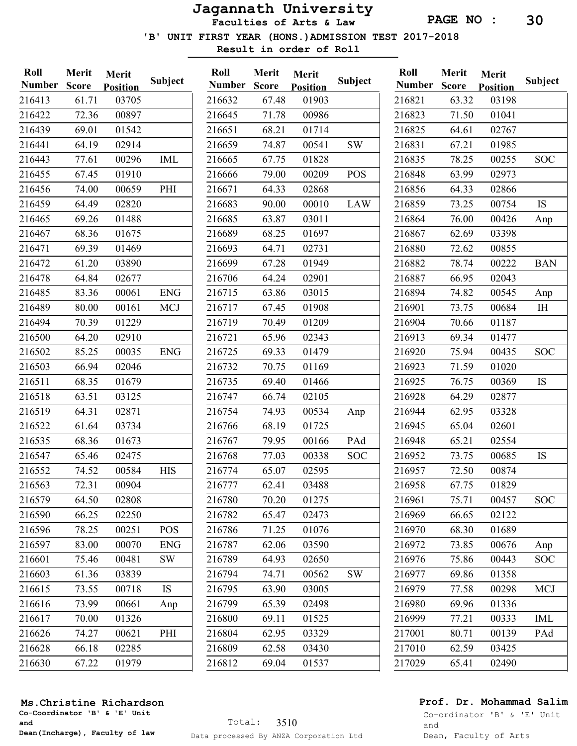Faculties of Arts & Law

'B' UNIT FIRST YEAR (HONS.)ADMISSION TEST 2017-2018

Result in order of Roll

| Roll<br><b>Number</b> | Merit<br><b>Score</b> | Merit<br><b>Position</b> | Subject    | Roll<br><b>Number</b> | Merit<br><b>Score</b> | Merit<br><b>Position</b> | Subject    | Roll<br><b>Number</b> | Merit<br><b>Score</b> | Merit<br><b>Position</b> | Subject    |
|-----------------------|-----------------------|--------------------------|------------|-----------------------|-----------------------|--------------------------|------------|-----------------------|-----------------------|--------------------------|------------|
| 216413                | 61.71                 | 03705                    |            | 216632                | 67.48                 | 01903                    |            | 216821                | 63.32                 | 03198                    |            |
| 216422                | 72.36                 | 00897                    |            | 216645                | 71.78                 | 00986                    |            | 216823                | 71.50                 | 01041                    |            |
| 216439                | 69.01                 | 01542                    |            | 216651                | 68.21                 | 01714                    |            | 216825                | 64.61                 | 02767                    |            |
| 216441                | 64.19                 | 02914                    |            | 216659                | 74.87                 | 00541                    | <b>SW</b>  | 216831                | 67.21                 | 01985                    |            |
| 216443                | 77.61                 | 00296                    | <b>IML</b> | 216665                | 67.75                 | 01828                    |            | 216835                | 78.25                 | 00255                    | <b>SOC</b> |
| 216455                | 67.45                 | 01910                    |            | 216666                | 79.00                 | 00209                    | POS        | 216848                | 63.99                 | 02973                    |            |
| 216456                | 74.00                 | 00659                    | PHI        | 216671                | 64.33                 | 02868                    |            | 216856                | 64.33                 | 02866                    |            |
| 216459                | 64.49                 | 02820                    |            | 216683                | 90.00                 | 00010                    | <b>LAW</b> | 216859                | 73.25                 | 00754                    | <b>IS</b>  |
| 216465                | 69.26                 | 01488                    |            | 216685                | 63.87                 | 03011                    |            | 216864                | 76.00                 | 00426                    | Anp        |
| 216467                | 68.36                 | 01675                    |            | 216689                | 68.25                 | 01697                    |            | 216867                | 62.69                 | 03398                    |            |
| 216471                | 69.39                 | 01469                    |            | 216693                | 64.71                 | 02731                    |            | 216880                | 72.62                 | 00855                    |            |
| 216472                | 61.20                 | 03890                    |            | 216699                | 67.28                 | 01949                    |            | 216882                | 78.74                 | 00222                    | <b>BAN</b> |
| 216478                | 64.84                 | 02677                    |            | 216706                | 64.24                 | 02901                    |            | 216887                | 66.95                 | 02043                    |            |
| 216485                | 83.36                 | 00061                    | <b>ENG</b> | 216715                | 63.86                 | 03015                    |            | 216894                | 74.82                 | 00545                    | Anp        |
| 216489                | 80.00                 | 00161                    | <b>MCJ</b> | 216717                | 67.45                 | 01908                    |            | 216901                | 73.75                 | 00684                    | IH         |
| 216494                | 70.39                 | 01229                    |            | 216719                | 70.49                 | 01209                    |            | 216904                | 70.66                 | 01187                    |            |
| 216500                | 64.20                 | 02910                    |            | 216721                | 65.96                 | 02343                    |            | 216913                | 69.34                 | 01477                    |            |
| 216502                | 85.25                 | 00035                    | <b>ENG</b> | 216725                | 69.33                 | 01479                    |            | 216920                | 75.94                 | 00435                    | <b>SOC</b> |
| 216503                | 66.94                 | 02046                    |            | 216732                | 70.75                 | 01169                    |            | 216923                | 71.59                 | 01020                    |            |
| 216511                | 68.35                 | 01679                    |            | 216735                | 69.40                 | 01466                    |            | 216925                | 76.75                 | 00369                    | <b>IS</b>  |
| 216518                | 63.51                 | 03125                    |            | 216747                | 66.74                 | 02105                    |            | 216928                | 64.29                 | 02877                    |            |
| 216519                | 64.31                 | 02871                    |            | 216754                | 74.93                 | 00534                    | Anp        | 216944                | 62.95                 | 03328                    |            |
| 216522                | 61.64                 | 03734                    |            | 216766                | 68.19                 | 01725                    |            | 216945                | 65.04                 | 02601                    |            |
| 216535                | 68.36                 | 01673                    |            | 216767                | 79.95                 | 00166                    | PAd        | 216948                | 65.21                 | 02554                    |            |
| 216547                | 65.46                 | 02475                    |            | 216768                | 77.03                 | 00338                    | <b>SOC</b> | 216952                | 73.75                 | 00685                    | <b>IS</b>  |
| 216552                | 74.52                 | 00584                    | <b>HIS</b> | 216774                | 65.07                 | 02595                    |            | 216957                | 72.50                 | 00874                    |            |
| 216563                | 72.31                 | 00904                    |            | 216777                | 62.41                 | 03488                    |            | 216958                | 67.75                 | 01829                    |            |
| 216579                | 64.50                 | 02808                    |            | 216780                | 70.20                 | 01275                    |            | 216961                | 75.71                 | 00457                    | SOC.       |
| 216590                | 66.25                 | 02250                    |            | 216782                | 65.47                 | 02473                    |            | 216969                | 66.65                 | 02122                    |            |
| 216596                | 78.25                 | 00251                    | <b>POS</b> | 216786                | 71.25                 | 01076                    |            | 216970                | 68.30                 | 01689                    |            |
| 216597                | 83.00                 | 00070                    | <b>ENG</b> | 216787                | 62.06                 | 03590                    |            | 216972                | 73.85                 | 00676                    | Anp        |
| 216601                | 75.46                 | 00481                    | SW         | 216789                | 64.93                 | 02650                    |            | 216976                | 75.86                 | 00443                    | <b>SOC</b> |
| 216603                | 61.36                 | 03839                    |            | 216794                | 74.71                 | 00562                    | <b>SW</b>  | 216977                | 69.86                 | 01358                    |            |
| 216615                | 73.55                 | 00718                    | <b>IS</b>  | 216795                | 63.90                 | 03005                    |            | 216979                | 77.58                 | 00298                    | MCJ        |
| 216616                | 73.99                 | 00661                    | Anp        | 216799                | 65.39                 | 02498                    |            | 216980                | 69.96                 | 01336                    |            |
| 216617                | 70.00                 | 01326                    |            | 216800                | 69.11                 | 01525                    |            | 216999                | 77.21                 | 00333                    | IML        |
| 216626                | 74.27                 | 00621                    | PHI        | 216804                | 62.95                 | 03329                    |            | 217001                | 80.71                 | 00139                    | PAd        |
| 216628                | 66.18                 | 02285                    |            | 216809                | 62.58                 | 03430                    |            | 217010                | 62.59                 | 03425                    |            |
| 216630                | 67.22                 | 01979                    |            | 216812                | 69.04                 | 01537                    |            | 217029                | 65.41                 | 02490                    |            |
|                       |                       |                          |            |                       |                       |                          |            |                       |                       |                          |            |

## Prof. Dr. Mohammad Salim

Co-ordinator 'B' & 'E' Unit and Dean, Faculty of Arts

## Ms.Christine Richardson

Co-Coordinator 'B' & 'E' Unit and Dean(Incharge), Faculty of law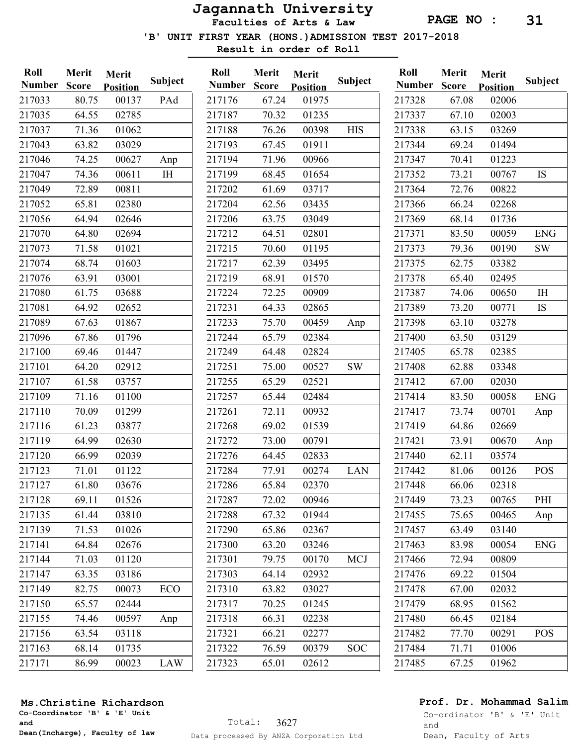Faculties of Arts & Law

PAGE NO : 31

'B' UNIT FIRST YEAR (HONS.)ADMISSION TEST 2017-2018

Result in order of Roll

| Roll<br><b>Number</b> | Merit<br><b>Score</b> | Merit<br><b>Position</b> | <b>Subject</b> | Roll<br><b>Number</b> | Merit<br><b>Score</b> | Merit<br><b>Position</b> | <b>Subject</b> | Roll<br><b>Number</b> | Merit<br><b>Score</b> | Merit<br><b>Position</b> | Subject        |
|-----------------------|-----------------------|--------------------------|----------------|-----------------------|-----------------------|--------------------------|----------------|-----------------------|-----------------------|--------------------------|----------------|
| 217033                | 80.75                 | 00137                    | PAd            | 217176                | 67.24                 | 01975                    |                | 217328                | 67.08                 | 02006                    |                |
| 217035                | 64.55                 | 02785                    |                | 217187                | 70.32                 | 01235                    |                | 217337                | 67.10                 | 02003                    |                |
| 217037                | 71.36                 | 01062                    |                | 217188                | 76.26                 | 00398                    | <b>HIS</b>     | 217338                | 63.15                 | 03269                    |                |
| 217043                | 63.82                 | 03029                    |                | 217193                | 67.45                 | 01911                    |                | 217344                | 69.24                 | 01494                    |                |
| 217046                | 74.25                 | 00627                    | Anp            | 217194                | 71.96                 | 00966                    |                | 217347                | 70.41                 | 01223                    |                |
| 217047                | 74.36                 | 00611                    | $\rm I \rm H$  | 217199                | 68.45                 | 01654                    |                | 217352                | 73.21                 | 00767                    | <b>IS</b>      |
| 217049                | 72.89                 | 00811                    |                | 217202                | 61.69                 | 03717                    |                | 217364                | 72.76                 | 00822                    |                |
| 217052                | 65.81                 | 02380                    |                | 217204                | 62.56                 | 03435                    |                | 217366                | 66.24                 | 02268                    |                |
| 217056                | 64.94                 | 02646                    |                | 217206                | 63.75                 | 03049                    |                | 217369                | 68.14                 | 01736                    |                |
| 217070                | 64.80                 | 02694                    |                | 217212                | 64.51                 | 02801                    |                | 217371                | 83.50                 | 00059                    | <b>ENG</b>     |
| 217073                | 71.58                 | 01021                    |                | 217215                | 70.60                 | 01195                    |                | 217373                | 79.36                 | 00190                    | SW             |
| 217074                | 68.74                 | 01603                    |                | 217217                | 62.39                 | 03495                    |                | 217375                | 62.75                 | 03382                    |                |
| 217076                | 63.91                 | 03001                    |                | 217219                | 68.91                 | 01570                    |                | 217378                | 65.40                 | 02495                    |                |
| 217080                | 61.75                 | 03688                    |                | 217224                | 72.25                 | 00909                    |                | 217387                | 74.06                 | 00650                    | I <sub>H</sub> |
| 217081                | 64.92                 | 02652                    |                | 217231                | 64.33                 | 02865                    |                | 217389                | 73.20                 | 00771                    | <b>IS</b>      |
| 217089                | 67.63                 | 01867                    |                | 217233                | 75.70                 | 00459                    | Anp            | 217398                | 63.10                 | 03278                    |                |
| 217096                | 67.86                 | 01796                    |                | 217244                | 65.79                 | 02384                    |                | 217400                | 63.50                 | 03129                    |                |
| 217100                | 69.46                 | 01447                    |                | 217249                | 64.48                 | 02824                    |                | 217405                | 65.78                 | 02385                    |                |
| 217101                | 64.20                 | 02912                    |                | 217251                | 75.00                 | 00527                    | $\mathrm{SW}$  | 217408                | 62.88                 | 03348                    |                |
| 217107                | 61.58                 | 03757                    |                | 217255                | 65.29                 | 02521                    |                | 217412                | 67.00                 | 02030                    |                |
| 217109                | 71.16                 | 01100                    |                | 217257                | 65.44                 | 02484                    |                | 217414                | 83.50                 | 00058                    | <b>ENG</b>     |
| 217110                | 70.09                 | 01299                    |                | 217261                | 72.11                 | 00932                    |                | 217417                | 73.74                 | 00701                    | Anp            |
| 217116                | 61.23                 | 03877                    |                | 217268                | 69.02                 | 01539                    |                | 217419                | 64.86                 | 02669                    |                |
| 217119                | 64.99                 | 02630                    |                | 217272                | 73.00                 | 00791                    |                | 217421                | 73.91                 | 00670                    | Anp            |
| 217120                | 66.99                 | 02039                    |                | 217276                | 64.45                 | 02833                    |                | 217440                | 62.11                 | 03574                    |                |
| 217123                | 71.01                 | 01122                    |                | 217284                | 77.91                 | 00274                    | <b>LAN</b>     | 217442                | 81.06                 | 00126                    | <b>POS</b>     |
| 217127                | 61.80                 | 03676                    |                | 217286                | 65.84                 | 02370                    |                | 217448                | 66.06                 | 02318                    |                |
| 217128                | 69.11                 | 01526                    |                | 217287                | 72.02                 | 00946                    |                | 217449                | 73.23                 | 00765                    | PHI            |
| 217135                | 61.44                 | 03810                    |                | 217288                | 67.32                 | 01944                    |                | 217455                | 75.65                 | 00465                    | Anp            |
| 217139                | 71.53                 | 01026                    |                | 217290                | 65.86                 | 02367                    |                | 217457                | 63.49                 | 03140                    |                |
| 217141                | 64.84                 | 02676                    |                | 217300                | 63.20                 | 03246                    |                | 217463                | 83.98                 | 00054                    | <b>ENG</b>     |
| 217144                | 71.03                 | 01120                    |                | 217301                | 79.75                 | 00170                    | <b>MCJ</b>     | 217466                | 72.94                 | 00809                    |                |
| 217147                | 63.35                 | 03186                    |                | 217303                | 64.14                 | 02932                    |                | 217476                | 69.22                 | 01504                    |                |
| 217149                | 82.75                 | 00073                    | ECO            | 217310                | 63.82                 | 03027                    |                | 217478                | 67.00                 | 02032                    |                |
| 217150                | 65.57                 | 02444                    |                | 217317                | 70.25                 | 01245                    |                | 217479                | 68.95                 | 01562                    |                |
| 217155                | 74.46                 | 00597                    | Anp            | 217318                | 66.31                 | 02238                    |                | 217480                | 66.45                 | 02184                    |                |
| 217156                | 63.54                 | 03118                    |                | 217321                | 66.21                 | 02277                    |                | 217482                | 77.70                 | 00291                    | <b>POS</b>     |
| 217163                | 68.14                 | 01735                    |                | 217322                | 76.59                 | 00379                    | <b>SOC</b>     | 217484                | 71.71                 | 01006                    |                |
| 217171                | 86.99                 | 00023                    | LAW            | 217323                | 65.01                 | 02612                    |                | 217485                | 67.25                 | 01962                    |                |

## Prof. Dr. Mohammad Salim

Co-ordinator 'B' & 'E' Unit and Dean, Faculty of Arts

## Ms.Christine Richardson

Co-Coordinator 'B' & 'E' Unit and Dean(Incharge), Faculty of law

Subject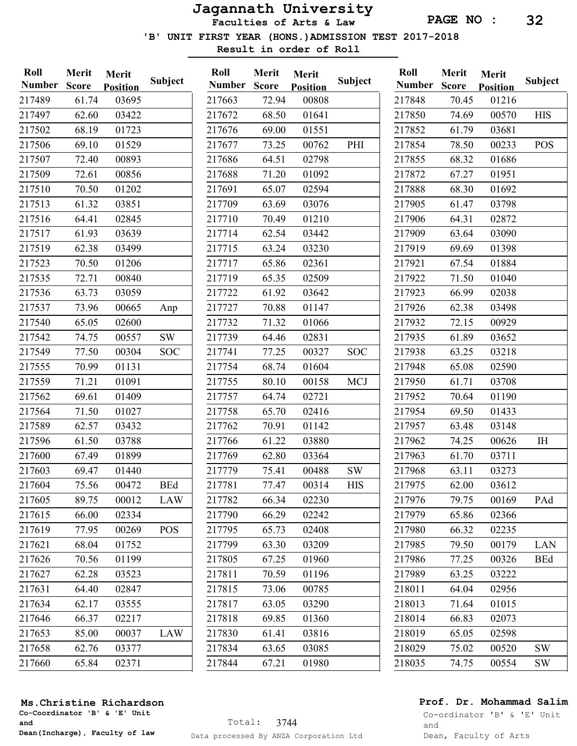Faculties of Arts & Law

'B' UNIT FIRST YEAR (HONS.)ADMISSION TEST 2017-2018

Result in order of Roll

| Roll          | Merit        | Merit           | Subject    | Roll          | Merit        | Merit           | Subject    | Roll          | Merit        | Merit           | <b>Subject</b> |
|---------------|--------------|-----------------|------------|---------------|--------------|-----------------|------------|---------------|--------------|-----------------|----------------|
| <b>Number</b> | <b>Score</b> | <b>Position</b> |            | <b>Number</b> | <b>Score</b> | <b>Position</b> |            | <b>Number</b> | <b>Score</b> | <b>Position</b> |                |
| 217489        | 61.74        | 03695           |            | 217663        | 72.94        | 00808           |            | 217848        | 70.45        | 01216           |                |
| 217497        | 62.60        | 03422           |            | 217672        | 68.50        | 01641           |            | 217850        | 74.69        | 00570           | <b>HIS</b>     |
| 217502        | 68.19        | 01723           |            | 217676        | 69.00        | 01551           |            | 217852        | 61.79        | 03681           |                |
| 217506        | 69.10        | 01529           |            | 217677        | 73.25        | 00762           | PHI        | 217854        | 78.50        | 00233           | <b>POS</b>     |
| 217507        | 72.40        | 00893           |            | 217686        | 64.51        | 02798           |            | 217855        | 68.32        | 01686           |                |
| 217509        | 72.61        | 00856           |            | 217688        | 71.20        | 01092           |            | 217872        | 67.27        | 01951           |                |
| 217510        | 70.50        | 01202           |            | 217691        | 65.07        | 02594           |            | 217888        | 68.30        | 01692           |                |
| 217513        | 61.32        | 03851           |            | 217709        | 63.69        | 03076           |            | 217905        | 61.47        | 03798           |                |
| 217516        | 64.41        | 02845           |            | 217710        | 70.49        | 01210           |            | 217906        | 64.31        | 02872           |                |
| 217517        | 61.93        | 03639           |            | 217714        | 62.54        | 03442           |            | 217909        | 63.64        | 03090           |                |
| 217519        | 62.38        | 03499           |            | 217715        | 63.24        | 03230           |            | 217919        | 69.69        | 01398           |                |
| 217523        | 70.50        | 01206           |            | 217717        | 65.86        | 02361           |            | 217921        | 67.54        | 01884           |                |
| 217535        | 72.71        | 00840           |            | 217719        | 65.35        | 02509           |            | 217922        | 71.50        | 01040           |                |
| 217536        | 63.73        | 03059           |            | 217722        | 61.92        | 03642           |            | 217923        | 66.99        | 02038           |                |
| 217537        | 73.96        | 00665           | Anp        | 217727        | 70.88        | 01147           |            | 217926        | 62.38        | 03498           |                |
| 217540        | 65.05        | 02600           |            | 217732        | 71.32        | 01066           |            | 217932        | 72.15        | 00929           |                |
| 217542        | 74.75        | 00557           | <b>SW</b>  | 217739        | 64.46        | 02831           |            | 217935        | 61.89        | 03652           |                |
| 217549        | 77.50        | 00304           | <b>SOC</b> | 217741        | 77.25        | 00327           | <b>SOC</b> | 217938        | 63.25        | 03218           |                |
| 217555        | 70.99        | 01131           |            | 217754        | 68.74        | 01604           |            | 217948        | 65.08        | 02590           |                |
| 217559        | 71.21        | 01091           |            | 217755        | 80.10        | 00158           | <b>MCJ</b> | 217950        | 61.71        | 03708           |                |
| 217562        | 69.61        | 01409           |            | 217757        | 64.74        | 02721           |            | 217952        | 70.64        | 01190           |                |
| 217564        | 71.50        | 01027           |            | 217758        | 65.70        | 02416           |            | 217954        | 69.50        | 01433           |                |
| 217589        | 62.57        | 03432           |            | 217762        | 70.91        | 01142           |            | 217957        | 63.48        | 03148           |                |
| 217596        | 61.50        | 03788           |            | 217766        | 61.22        | 03880           |            | 217962        | 74.25        | 00626           | IH             |
| 217600        | 67.49        | 01899           |            | 217769        | 62.80        | 03364           |            | 217963        | 61.70        | 03711           |                |
| 217603        | 69.47        | 01440           |            | 217779        | 75.41        | 00488           | <b>SW</b>  | 217968        | 63.11        | 03273           |                |
| 217604        | 75.56        | 00472           | <b>BEd</b> | 217781        | 77.47        | 00314           | <b>HIS</b> | 217975        | 62.00        | 03612           |                |
| 217605        | 89.75        | 00012           | <b>LAW</b> | 217782        | 66.34        | 02230           |            | 217976        | 79.75        | 00169           | PAd            |
| 217615        | 66.00        | 02334           |            | 217790        | 66.29        | 02242           |            | 217979        | 65.86        | 02366           |                |
| 217619        | 77.95        | 00269           | <b>POS</b> | 217795        | 65.73        | 02408           |            | 217980        | 66.32        | 02235           |                |
| 217621        | 68.04        | 01752           |            | 217799        | 63.30        | 03209           |            | 217985        | 79.50        | 00179           | LAN            |
| 217626        | 70.56        | 01199           |            | 217805        | 67.25        | 01960           |            | 217986        | 77.25        | 00326           | <b>BEd</b>     |
| 217627        | 62.28        | 03523           |            | 217811        | 70.59        | 01196           |            | 217989        | 63.25        | 03222           |                |
| 217631        | 64.40        | 02847           |            | 217815        | 73.06        | 00785           |            | 218011        | 64.04        | 02956           |                |
| 217634        | 62.17        | 03555           |            | 217817        | 63.05        | 03290           |            | 218013        | 71.64        | 01015           |                |
| 217646        | 66.37        | 02217           |            | 217818        | 69.85        | 01360           |            | 218014        | 66.83        | 02073           |                |
| 217653        | 85.00        | 00037           | LAW        | 217830        | 61.41        | 03816           |            | 218019        | 65.05        | 02598           |                |
| 217658        | 62.76        | 03377           |            | 217834        | 63.65        | 03085           |            | 218029        | 75.02        | 00520           | <b>SW</b>      |
| 217660        | 65.84        | 02371           |            | 217844        | 67.21        | 01980           |            | 218035        | 74.75        | 00554           | SW             |

### Ms.Christine Richardson

Co-Coordinator 'B' & 'E' Unit and Dean(Incharge), Faculty of law

## Prof. Dr. Mohammad Salim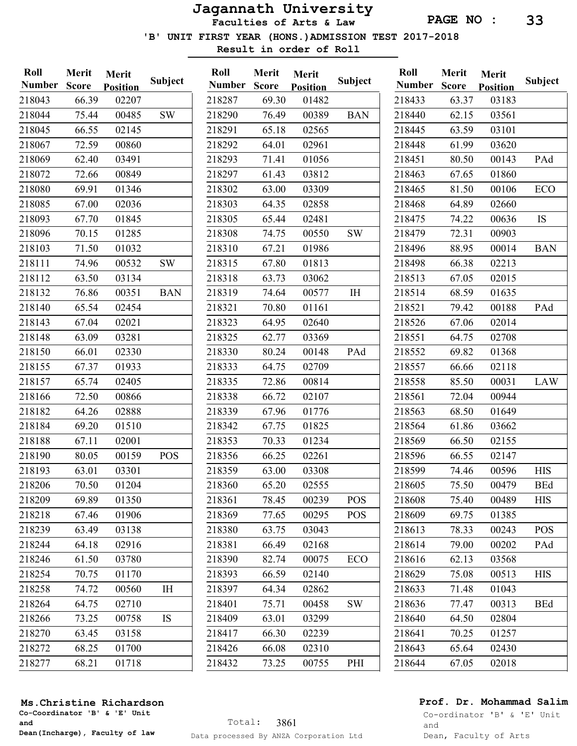Faculties of Arts & Law

'B' UNIT FIRST YEAR (HONS.)ADMISSION TEST 2017-2018

Result in order of Roll

Merit Merit

| Roll          | Merit        | Merit           |            | Roll        |
|---------------|--------------|-----------------|------------|-------------|
| <b>Number</b> | <b>Score</b> | <b>Position</b> | Subject    | <b>Numb</b> |
| 218043        | 66.39        | 02207           |            | 21828       |
| 218044        | 75.44        | 00485           | <b>SW</b>  | 21829       |
| 218045        | 66.55        | 02145           |            | 21829       |
| 218067        | 72.59        | 00860           |            | 21829       |
| 218069        | 62.40        | 03491           |            | 21829       |
| 218072        | 72.66        | 00849           |            | 21829       |
| 218080        | 69.91        | 01346           |            | 21830       |
| 218085        | 67.00        | 02036           |            | 21830       |
| 218093        | 67.70        | 01845           |            | 21830       |
| 218096        | 70.15        | 01285           |            | 21830       |
| 218103        | 71.50        | 01032           |            | 21831       |
| 218111        | 74.96        | 00532           | <b>SW</b>  | 21831       |
| 218112        | 63.50        | 03134           |            | 21831       |
| 218132        | 76.86        | 00351           | <b>BAN</b> | 21831       |
| 218140        | 65.54        | 02454           |            | 21832       |
| 218143        | 67.04        | 02021           |            | 21832       |
| 218148        | 63.09        | 03281           |            | 21832       |
| 218150        | 66.01        | 02330           |            | 21833       |
| 218155        | 67.37        | 01933           |            | 21833       |
| 218157        | 65.74        | 02405           |            | 21833       |
| 218166        | 72.50        | 00866           |            | 21833       |
| 218182        | 64.26        | 02888           |            | 21833       |
| 218184        | 69.20        | 01510           |            | 21834       |
| 218188        | 67.11        | 02001           |            | 21835       |
| 218190        | 80.05        | 00159           | <b>POS</b> | 21835       |
| 218193        | 63.01        | 03301           |            | 21835       |
| 218206        | 70.50        | 01204           |            | 21836       |
| 218209        | 69.89        | 01350           |            | 21836       |
| 218218        | 67.46        | 01906           |            | 21836       |
| 218239        | 63.49        | 03138           |            | 21838       |
| 218244        | 64.18        | 02916           |            | 21838       |
| 218246        | 61.50        | 03780           |            | 21839       |
| 218254        | 70.75        | 01170           |            | 21839       |
| 218258        | 74.72        | 00560           | IH         | 21839       |
| 218264        | 64.75        | 02710           |            | 21840       |
| 218266        | 73.25        | 00758           | IS         | 21840       |
| 218270        | 63.45        | 03158           |            | 21841       |
| 218272        | 68.25        | 01700           |            | 21842       |
| 218277        | 68.21        | 01718           |            | 21843       |

| non    | <b>NETIU</b> | Merit           |                |  |  |  |
|--------|--------------|-----------------|----------------|--|--|--|
| Number | Score        | <b>Position</b> | <b>Subject</b> |  |  |  |
| 218287 | 69.30        | 01482           |                |  |  |  |
| 218290 | 76.49        | 00389           | <b>BAN</b>     |  |  |  |
| 218291 | 65.18        | 02565           |                |  |  |  |
| 218292 | 64.01        | 02961           |                |  |  |  |
| 218293 | 71.41        | 01056           |                |  |  |  |
| 218297 | 61.43        | 03812           |                |  |  |  |
| 218302 | 63.00        | 03309           |                |  |  |  |
| 218303 | 64.35        | 02858           |                |  |  |  |
| 218305 | 65.44        | 02481           |                |  |  |  |
| 218308 | 74.75        | 00550           | <b>SW</b>      |  |  |  |
| 218310 | 67.21        | 01986           |                |  |  |  |
| 218315 | 67.80        | 01813           |                |  |  |  |
| 218318 | 63.73        | 03062           |                |  |  |  |
| 218319 | 74.64        | 00577           | IH             |  |  |  |
| 218321 | 70.80        | 01161           |                |  |  |  |
| 218323 | 64.95        | 02640           |                |  |  |  |
| 218325 | 62.77        | 03369           |                |  |  |  |
| 218330 | 80.24        | 00148           | PAd            |  |  |  |
| 218333 | 64.75        | 02709           |                |  |  |  |
| 218335 | 72.86        | 00814           |                |  |  |  |
| 218338 | 66.72        | 02107           |                |  |  |  |
| 218339 | 67.96        | 01776           |                |  |  |  |
| 218342 | 67.75        | 01825           |                |  |  |  |
| 218353 | 70.33        | 01234           |                |  |  |  |
| 218356 | 66.25        | 02261           |                |  |  |  |
| 218359 | 63.00        | 03308           |                |  |  |  |
| 218360 | 65.20        | 02555           |                |  |  |  |
| 218361 | 78.45        | 00239           | POS            |  |  |  |
| 218369 | 77.65        | 00295           | POS            |  |  |  |
| 218380 | 63.75        | 03043           |                |  |  |  |
| 218381 | 66.49        | 02168           |                |  |  |  |
| 218390 | 82.74        | 00075           | ECO            |  |  |  |
| 218393 | 66.59        | 02140           |                |  |  |  |
| 218397 | 64.34        | 02862           |                |  |  |  |
| 218401 | 75.71        | 00458           | <b>SW</b>      |  |  |  |
| 218409 | 63.01        | 03299           |                |  |  |  |
| 218417 | 66.30        | 02239           |                |  |  |  |
| 218426 | 66.08        | 02310           |                |  |  |  |
| 218432 | 73.25        | 00755           | PHI            |  |  |  |
|        |              |                 |                |  |  |  |

| Roll          | Merit        | Merit           | Subject    |  |  |
|---------------|--------------|-----------------|------------|--|--|
| <b>Number</b> | <b>Score</b> | <b>Position</b> |            |  |  |
| 218433        | 63.37        | 03183           |            |  |  |
| 218440        | 62.15        | 03561           |            |  |  |
| 218445        | 63.59        | 03101           |            |  |  |
| 218448        | 61.99        | 03620           |            |  |  |
| 218451        | 80.50        | 00143           | PAd        |  |  |
| 218463        | 67.65        | 01860           |            |  |  |
| 218465        | 81.50        | 00106           | ECO        |  |  |
| 218468        | 64.89        | 02660           |            |  |  |
| 218475        | 74.22        | 00636           | IS         |  |  |
| 218479        | 72.31        | 00903           |            |  |  |
| 218496        | 88.95        | 00014           | <b>BAN</b> |  |  |
| 218498        | 66.38        | 02213           |            |  |  |
| 218513        | 67.05        | 02015           |            |  |  |
| 218514        | 68.59        | 01635           |            |  |  |
| 218521        | 79.42        | 00188           | PAd        |  |  |
| 218526        | 67.06        | 02014           |            |  |  |
| 218551        | 64.75        | 02708           |            |  |  |
| 218552        | 69.82        | 01368           |            |  |  |
| 218557        | 66.66        | 02118           |            |  |  |
| 218558        | 85.50        | 00031           | LAW        |  |  |
| 218561        | 72.04        | 00944           |            |  |  |
| 218563        | 68.50        | 01649           |            |  |  |
| 218564        | 61.86        | 03662           |            |  |  |
| 218569        | 66.50        | 02155           |            |  |  |
| 218596        | 66.55        | 02147           |            |  |  |
| 218599        | 74.46        | 00596           | <b>HIS</b> |  |  |
| 218605        | 75.50        | 00479           | <b>BEd</b> |  |  |
| 218608        | 75.40        | 00489           | <b>HIS</b> |  |  |
| 218609        | 69.75        | 01385           |            |  |  |
| 218613        | 78.33        | 00243           | POS        |  |  |
| 218614        | 79.00        | 00202           | PAd        |  |  |
| 218616        | 62.13        | 03568           |            |  |  |
| 218629        | 75.08        | 00513           | <b>HIS</b> |  |  |
| 218633        | 71.48        | 01043           |            |  |  |
| 218636        | 77.47        | 00313           | <b>BEd</b> |  |  |
| 218640        | 64.50        | 02804           |            |  |  |
| 218641        | 70.25        | 01257           |            |  |  |
| 218643        | 65.64        | 02430           |            |  |  |
| 218644        | 67.05        | 02018           |            |  |  |
|               |              |                 |            |  |  |

### Prof. Dr. Mohammad Salim

Co-Coordinator 'B' & 'E' Unit Ms.Christine Richardson

and Dean(Incharge), Faculty of law